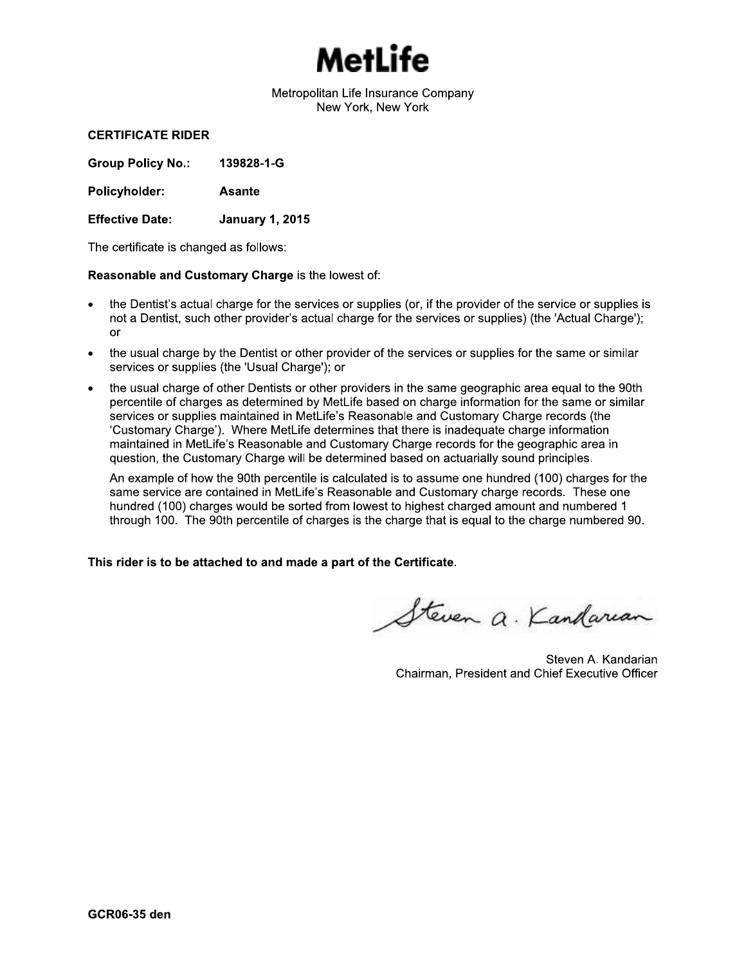

Metropolitan Life Insurance Company New York, New York

**CERTIFICATE RIDER** 

**Group Policy No.:** 139828-1-G

Policyholder: **Asante** 

**Effective Date: January 1, 2015** 

The certificate is changed as follows:

Reasonable and Customary Charge is the lowest of:

- the Dentist's actual charge for the services or supplies (or, if the provider of the service or supplies is not a Dentist, such other provider's actual charge for the services or supplies) (the 'Actual Charge'); or
- the usual charge by the Dentist or other provider of the services or supplies for the same or similar services or supplies (the 'Usual Charge'); or
- the usual charge of other Dentists or other providers in the same geographic area equal to the 90th percentile of charges as determined by MetLife based on charge information for the same or similar services or supplies maintained in MetLife's Reasonable and Customary Charge records (the 'Customary Charge'). Where MetLife determines that there is inadequate charge information maintained in MetLife's Reasonable and Customary Charge records for the geographic area in question, the Customary Charge will be determined based on actuarially sound principles.

An example of how the 90th percentile is calculated is to assume one hundred (100) charges for the same service are contained in MetLife's Reasonable and Customary charge records. These one hundred (100) charges would be sorted from lowest to highest charged amount and numbered 1 through 100. The 90th percentile of charges is the charge that is equal to the charge numbered 90.

This rider is to be attached to and made a part of the Certificate.

Steven a. Kandarian

Steven A. Kandarian Chairman, President and Chief Executive Officer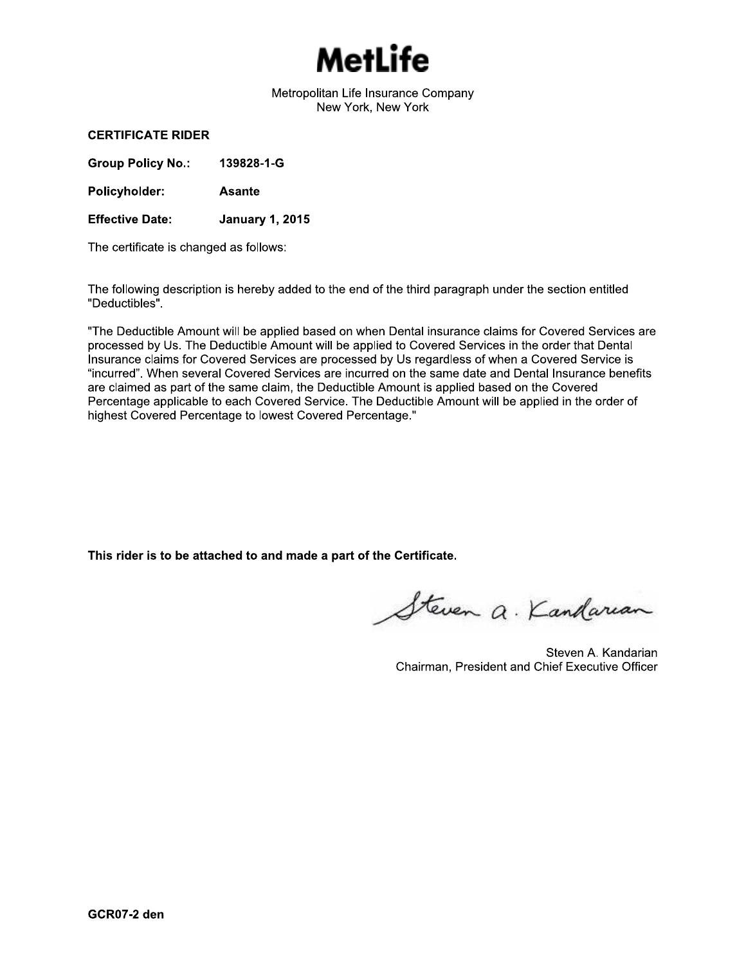

Metropolitan Life Insurance Company New York, New York

**CERTIFICATE RIDER** 

139828-1-G **Group Policy No.:** 

Policyholder: **Asante** 

**Effective Date: January 1, 2015** 

The certificate is changed as follows:

The following description is hereby added to the end of the third paragraph under the section entitled "Deductibles".

"The Deductible Amount will be applied based on when Dental insurance claims for Covered Services are processed by Us. The Deductible Amount will be applied to Covered Services in the order that Dental Insurance claims for Covered Services are processed by Us regardless of when a Covered Service is "incurred". When several Covered Services are incurred on the same date and Dental Insurance benefits are claimed as part of the same claim, the Deductible Amount is applied based on the Covered Percentage applicable to each Covered Service. The Deductible Amount will be applied in the order of highest Covered Percentage to lowest Covered Percentage."

This rider is to be attached to and made a part of the Certificate.

Steven a. Kandarian

Steven A. Kandarian Chairman, President and Chief Executive Officer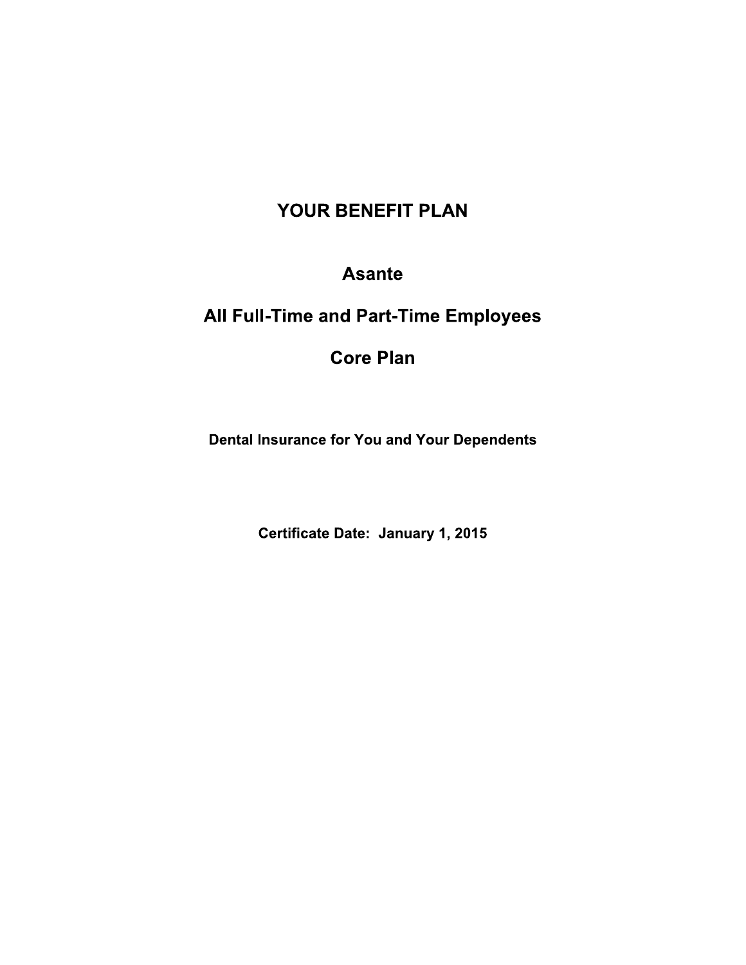# YOUR BENEFIT PLAN

# **Asante**

# All Full-Time and Part-Time Employees

# **Core Plan**

**Dental Insurance for You and Your Dependents** 

Certificate Date: January 1, 2015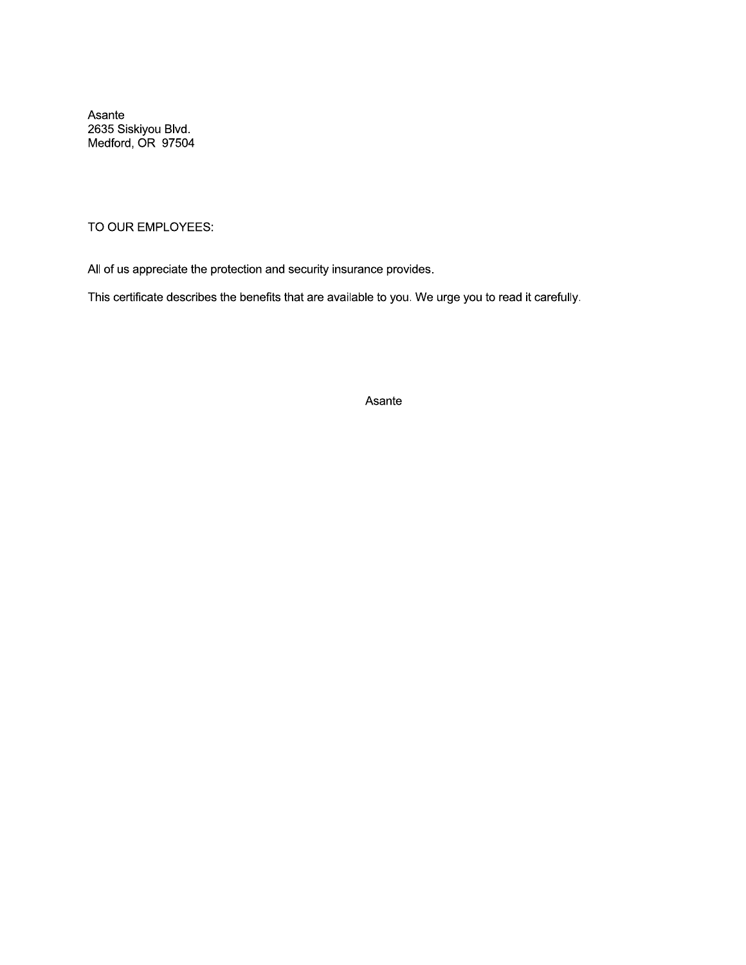Asante 2635 Siskiyou Blvd.<br>Medford, OR 97504

#### TO OUR EMPLOYEES:

All of us appreciate the protection and security insurance provides.

This certificate describes the benefits that are available to you. We urge you to read it carefully.

Asante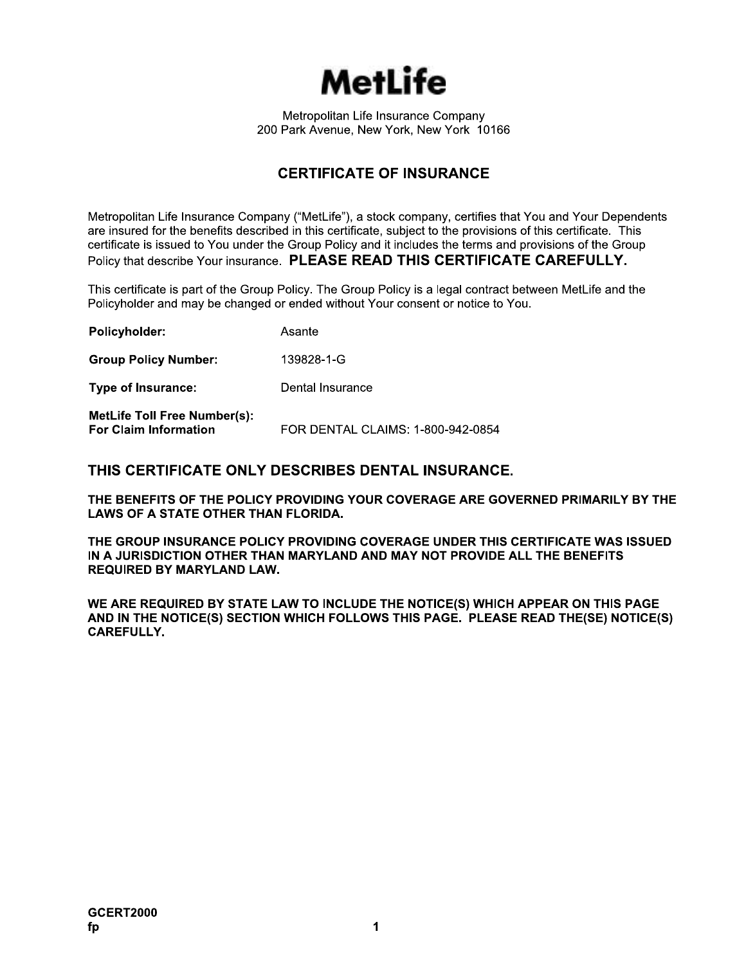

Metropolitan Life Insurance Company 200 Park Avenue, New York, New York 10166

### **CERTIFICATE OF INSURANCE**

Metropolitan Life Insurance Company ("MetLife"), a stock company, certifies that You and Your Dependents are insured for the benefits described in this certificate, subject to the provisions of this certificate. This certificate is issued to You under the Group Policy and it includes the terms and provisions of the Group Policy that describe Your insurance. PLEASE READ THIS CERTIFICATE CAREFULLY.

This certificate is part of the Group Policy. The Group Policy is a legal contract between MetLife and the Policyholder and may be changed or ended without Your consent or notice to You.

| Policyholder:                                                | Asante                            |
|--------------------------------------------------------------|-----------------------------------|
| <b>Group Policy Number:</b>                                  | 139828-1-G                        |
| Type of Insurance:                                           | Dental Insurance                  |
| MetLife Toll Free Number(s):<br><b>For Claim Information</b> | FOR DENTAL CLAIMS: 1-800-942-0854 |

### THIS CERTIFICATE ONLY DESCRIBES DENTAL INSURANCE.

THE BENEFITS OF THE POLICY PROVIDING YOUR COVERAGE ARE GOVERNED PRIMARILY BY THE LAWS OF A STATE OTHER THAN FLORIDA.

THE GROUP INSURANCE POLICY PROVIDING COVERAGE UNDER THIS CERTIFICATE WAS ISSUED IN A JURISDICTION OTHER THAN MARYLAND AND MAY NOT PROVIDE ALL THE BENEFITS **REQUIRED BY MARYLAND LAW.** 

WE ARE REQUIRED BY STATE LAW TO INCLUDE THE NOTICE(S) WHICH APPEAR ON THIS PAGE AND IN THE NOTICE(S) SECTION WHICH FOLLOWS THIS PAGE. PLEASE READ THE(SE) NOTICE(S) **CAREFULLY.**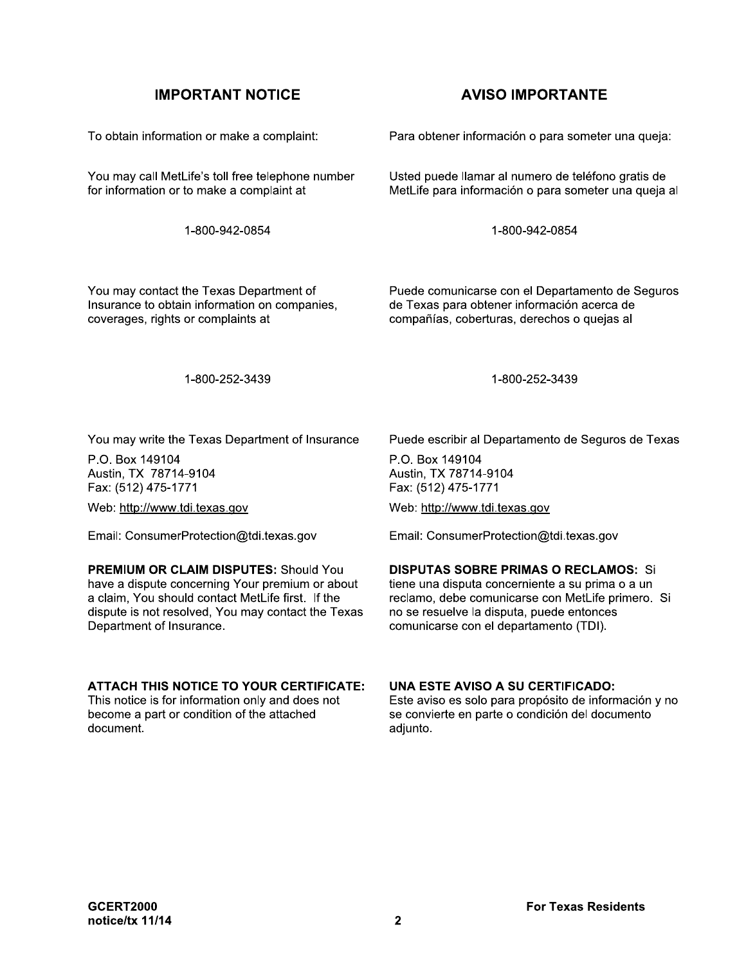### **IMPORTANT NOTICE**

To obtain information or make a complaint:

You may call MetLife's toll free telephone number for information or to make a complaint at

1-800-942-0854

You may contact the Texas Department of Insurance to obtain information on companies, coverages, rights or complaints at

### **AVISO IMPORTANTE**

Para obtener información o para someter una queja:

Usted puede llamar al numero de teléfono gratis de MetLife para información o para someter una queja al

1-800-942-0854

Puede comunicarse con el Departamento de Seguros de Texas para obtener información acerca de compañías, coberturas, derechos o quejas al

1-800-252-3439

1-800-252-3439

You may write the Texas Department of Insurance

P.O. Box 149104 Austin, TX 78714-9104 Fax: (512) 475-1771

Web: http://www.tdi.texas.gov

Email: ConsumerProtection@tdi.texas.gov

**PREMIUM OR CLAIM DISPUTES: Should You** have a dispute concerning Your premium or about a claim, You should contact MetLife first. If the dispute is not resolved, You may contact the Texas Department of Insurance.

### ATTACH THIS NOTICE TO YOUR CERTIFICATE:

This notice is for information only and does not become a part or condition of the attached document.

Puede escribir al Departamento de Seguros de Texas

P.O. Box 149104 Austin, TX 78714-9104 Fax: (512) 475-1771

Web: http://www.tdi.texas.gov

Email: ConsumerProtection@tdi.texas.gov

### **DISPUTAS SOBRE PRIMAS O RECLAMOS: Si**

tiene una disputa concerniente a su prima o a un reclamo, debe comunicarse con MetLife primero. Si no se resuelve la disputa, puede entonces comunicarse con el departamento (TDI).

### **UNA ESTE AVISO A SU CERTIFICADO:**

Este aviso es solo para propósito de información y no se convierte en parte o condición del documento adjunto.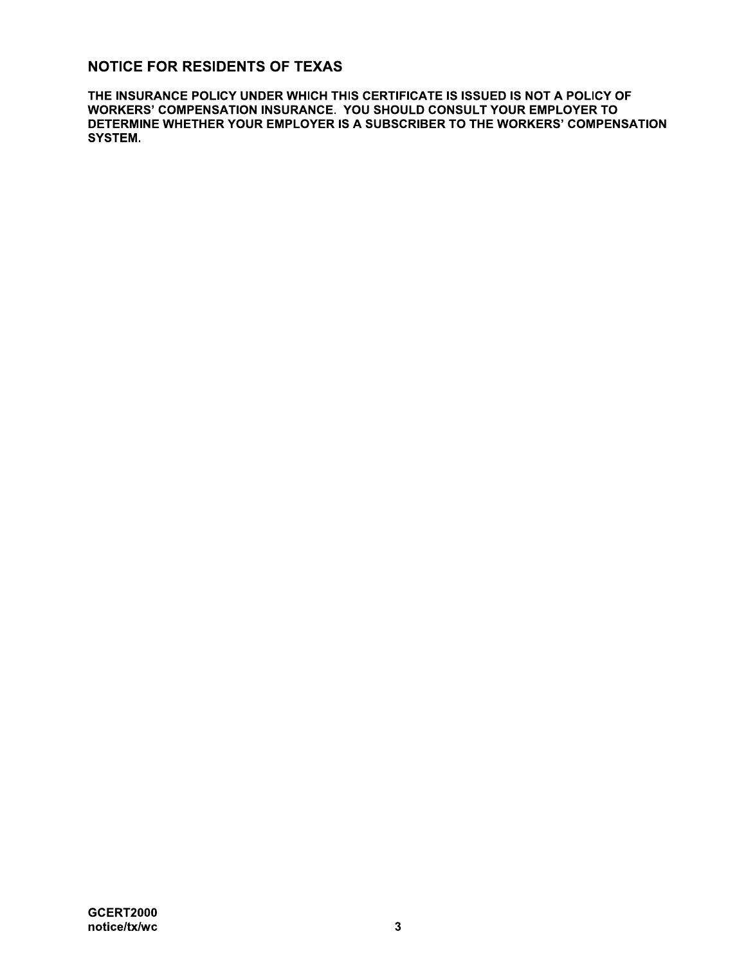### **NOTICE FOR RESIDENTS OF TEXAS**

THE INSURANCE POLICY UNDER WHICH THIS CERTIFICATE IS ISSUED IS NOT A POLICY OF WORKERS' COMPENSATION INSURANCE. YOU SHOULD CONSULT YOUR EMPLOYER TO DETERMINE WHETHER YOUR EMPLOYER IS A SUBSCRIBER TO THE WORKERS' COMPENSATION SYSTEM.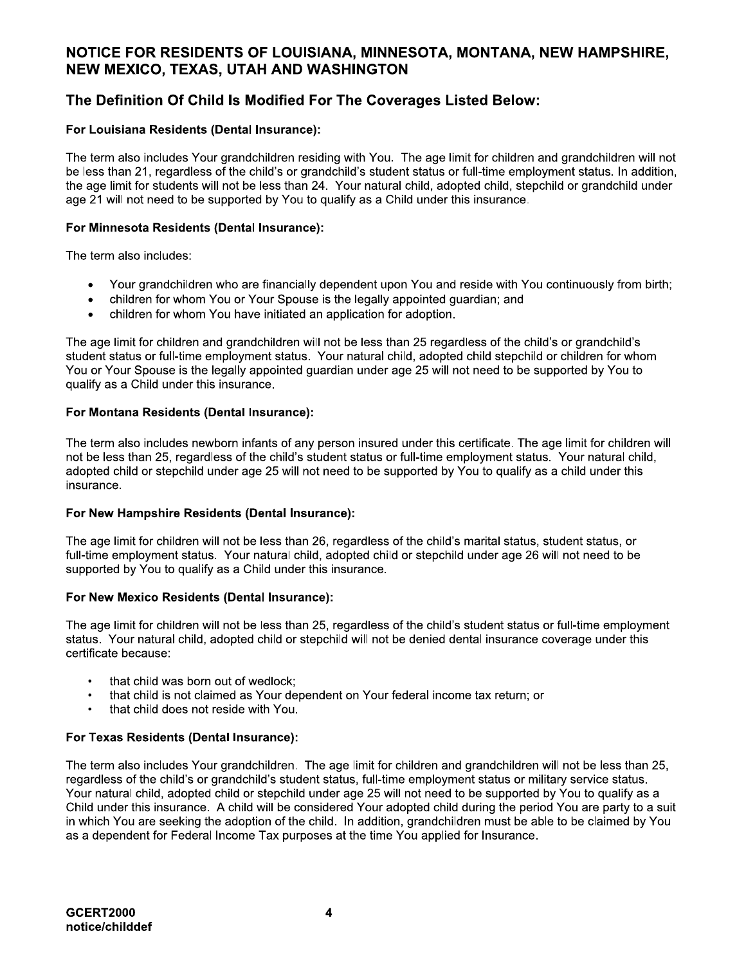### NOTICE FOR RESIDENTS OF LOUISIANA, MINNESOTA, MONTANA, NEW HAMPSHIRE, **NEW MEXICO, TEXAS, UTAH AND WASHINGTON**

### The Definition Of Child Is Modified For The Coverages Listed Below:

### For Louisiana Residents (Dental Insurance):

The term also includes Your grandchildren residing with You. The age limit for children and grandchildren will not be less than 21, regardless of the child's or grandchild's student status or full-time employment status. In addition, the age limit for students will not be less than 24. Your natural child, adopted child, stepchild or grandchild under age 21 will not need to be supported by You to qualify as a Child under this insurance.

### For Minnesota Residents (Dental Insurance):

The term also includes:

- Your grandchildren who are financially dependent upon You and reside with You continuously from birth;  $\bullet$
- children for whom You or Your Spouse is the legally appointed guardian; and
- children for whom You have initiated an application for adoption.

The age limit for children and grandchildren will not be less than 25 regardless of the child's or grandchild's student status or full-time employment status. Your natural child, adopted child stepchild or children for whom You or Your Spouse is the legally appointed quardian under age 25 will not need to be supported by You to qualify as a Child under this insurance.

#### For Montana Residents (Dental Insurance):

The term also includes newborn infants of any person insured under this certificate. The age limit for children will not be less than 25, regardless of the child's student status or full-time employment status. Your natural child, adopted child or stepchild under age 25 will not need to be supported by You to qualify as a child under this insurance.

#### For New Hampshire Residents (Dental Insurance):

The age limit for children will not be less than 26, regardless of the child's marital status, student status, or full-time employment status. Your natural child, adopted child or stepchild under age 26 will not need to be supported by You to qualify as a Child under this insurance.

### For New Mexico Residents (Dental Insurance):

The age limit for children will not be less than 25, regardless of the child's student status or full-time employment status. Your natural child, adopted child or stepchild will not be denied dental insurance coverage under this certificate because:

- that child was born out of wedlock:
- that child is not claimed as Your dependent on Your federal income tax return; or
- that child does not reside with You.

### For Texas Residents (Dental Insurance):

The term also includes Your grandchildren. The age limit for children and grandchildren will not be less than 25, regardless of the child's or grandchild's student status, full-time employment status or military service status. Your natural child, adopted child or stepchild under age 25 will not need to be supported by You to qualify as a Child under this insurance. A child will be considered Your adopted child during the period You are party to a suit in which You are seeking the adoption of the child. In addition, grandchildren must be able to be claimed by You as a dependent for Federal Income Tax purposes at the time You applied for Insurance.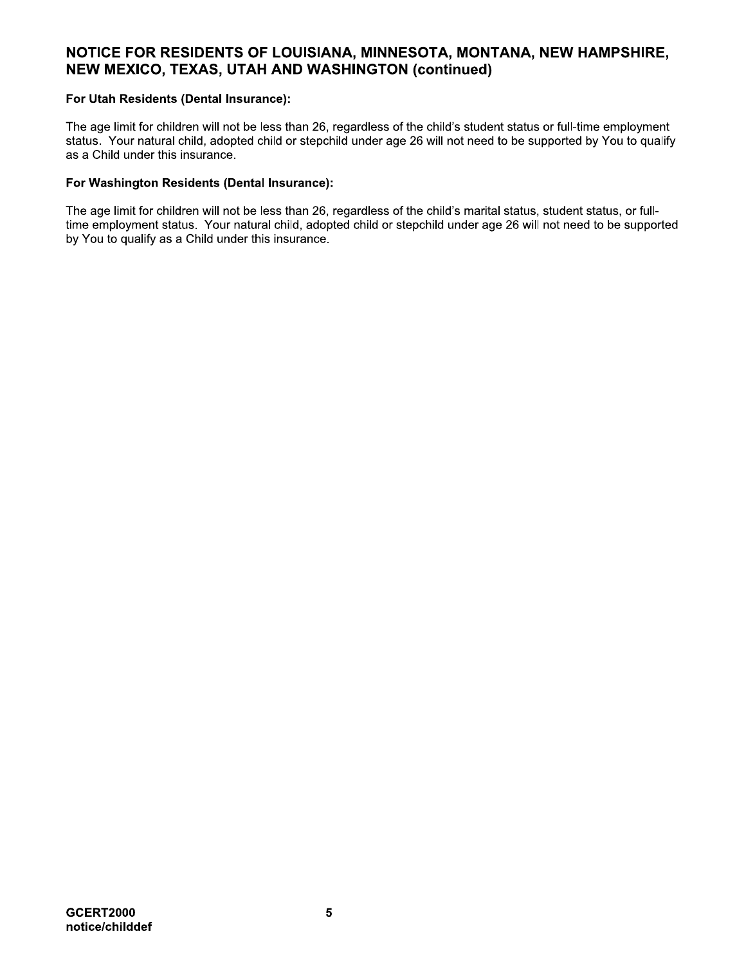### NOTICE FOR RESIDENTS OF LOUISIANA, MINNESOTA, MONTANA, NEW HAMPSHIRE, NEW MEXICO. TEXAS. UTAH AND WASHINGTON (continued)

**NOTICE FOR RESID<br>
NEW MEXICO, TEXA<br>
For Utah Residents (Der<br>
The age limit for children<br>
status. Your natural child<br>
as a Child under this insu<br>
For Washington Reside<br>
The age limit for children<br>
time employment status** NOTICE FOR RESIDENTS OF LOUISIANA, MINNESOTA, MONTANA, NEW HAMPSHIRE,<br>NEW MEXICO, TEXAS, UTAH AND WASHINGTON (continued)<br>For Utah Residents (Dental Insurance):<br>The age limit for children will not be less than 26, regardles **NEW MEXICO, TEXAS, U**<br>
For Utah Residents (Dental Ins<br>
The age limit for children will not<br>
status. Your natural child, adopt<br>
as a Child under this insurance.<br>
For Washington Residents (De<br>
The age limit for children wil

NEW MEXICO, TEXAS, UTAH AND WASHINGTON (continued)<br>For Utah Residents (Dental Insurance):<br>The age limit for children will not be less than 26, regardless of the child's student status or full-time employment<br>status. Your n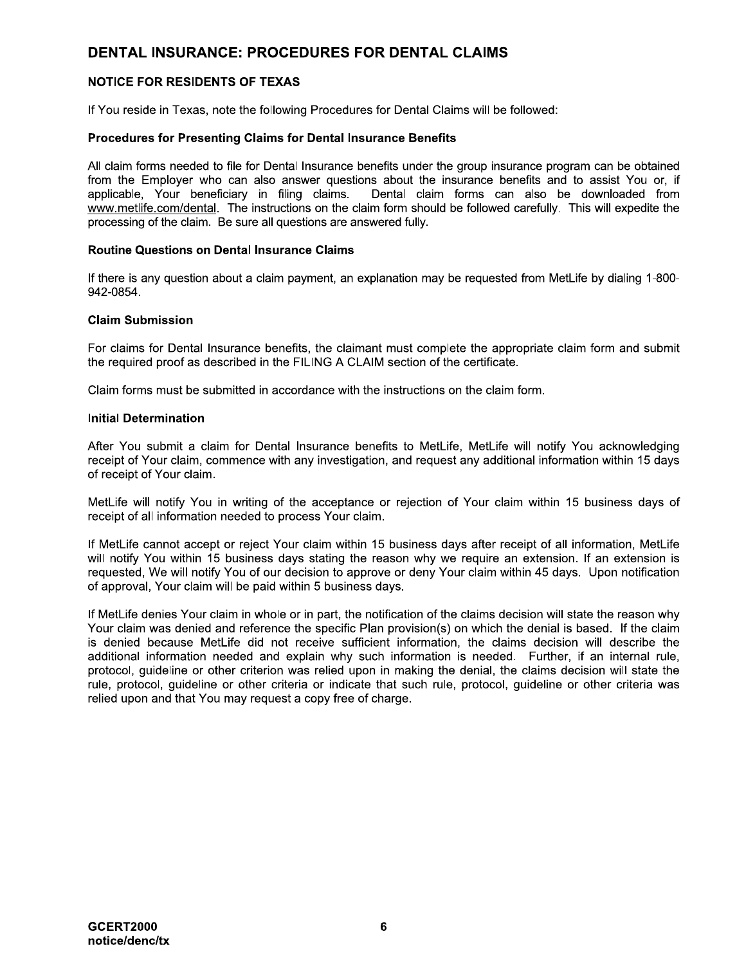### **DENTAL INSURANCE: PROCEDURES FOR DENTAL CLAIMS**

### **NOTICE FOR RESIDENTS OF TEXAS**

If You reside in Texas, note the following Procedures for Dental Claims will be followed:

#### **Procedures for Presenting Claims for Dental Insurance Benefits**

All claim forms needed to file for Dental Insurance benefits under the group insurance program can be obtained from the Employer who can also answer questions about the insurance benefits and to assist You or, if applicable, Your beneficiary in filing claims. Dental claim forms can also be downloaded from www.metlife.com/dental. The instructions on the claim form should be followed carefully. This will expedite the processing of the claim. Be sure all questions are answered fully.

#### **Routine Questions on Dental Insurance Claims**

If there is any question about a claim payment, an explanation may be requested from MetLife by dialing 1-800-942-0854.

#### **Claim Submission**

For claims for Dental Insurance benefits, the claimant must complete the appropriate claim form and submit the required proof as described in the FILING A CLAIM section of the certificate.

Claim forms must be submitted in accordance with the instructions on the claim form.

#### **Initial Determination**

After You submit a claim for Dental Insurance benefits to MetLife, MetLife will notify You acknowledging receipt of Your claim, commence with any investigation, and request any additional information within 15 days of receipt of Your claim.

MetLife will notify You in writing of the acceptance or rejection of Your claim within 15 business days of receipt of all information needed to process Your claim.

If MetLife cannot accept or reject Your claim within 15 business days after receipt of all information, MetLife will notify You within 15 business days stating the reason why we require an extension. If an extension is requested. We will notify You of our decision to approve or deny Your claim within 45 days. Upon notification of approval. Your claim will be paid within 5 business days.

If MetLife denies Your claim in whole or in part, the notification of the claims decision will state the reason why Your claim was denied and reference the specific Plan provision(s) on which the denial is based. If the claim is denied because MetLife did not receive sufficient information, the claims decision will describe the additional information needed and explain why such information is needed. Further, if an internal rule, protocol, guideline or other criterion was relied upon in making the denial, the claims decision will state the rule, protocol, guideline or other criteria or indicate that such rule, protocol, guideline or other criteria was relied upon and that You may request a copy free of charge.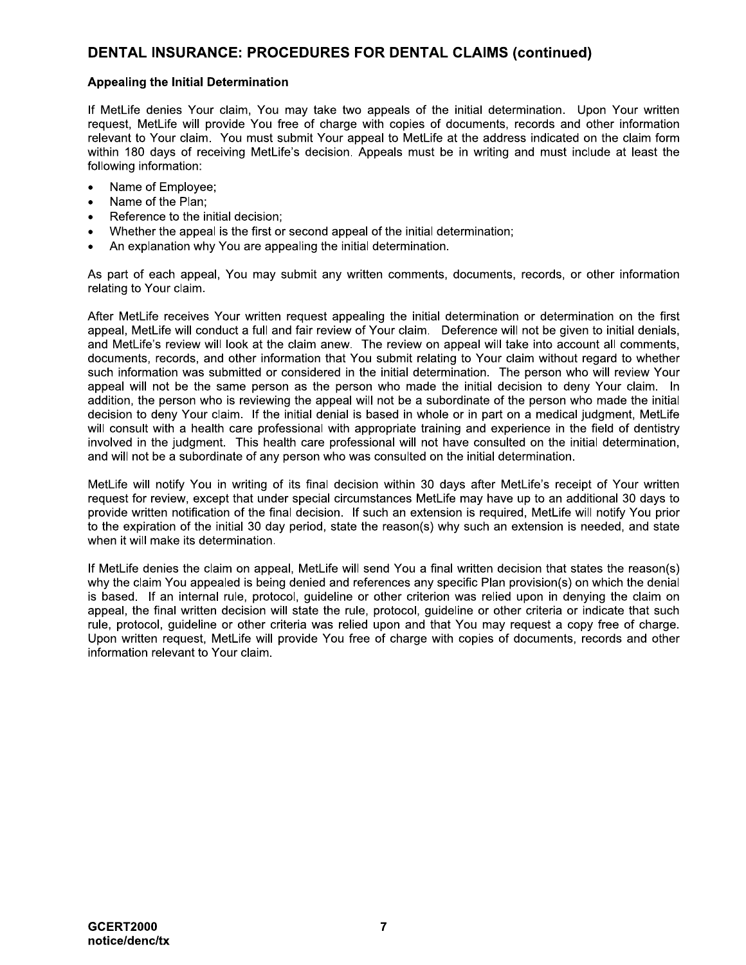### **DENTAL INSURANCE: PROCEDURES FOR DENTAL CLAIMS (continued)**

### **Appealing the Initial Determination**

If MetLife denies Your claim, You may take two appeals of the initial determination. Upon Your written request, MetLife will provide You free of charge with copies of documents, records and other information relevant to Your claim. You must submit Your appeal to MetLife at the address indicated on the claim form within 180 days of receiving MetLife's decision. Appeals must be in writing and must include at least the following information:

- Name of Employee;
- Name of the Plan;  $\bullet$
- Reference to the initial decision:
- Whether the appeal is the first or second appeal of the initial determination:
- An explanation why You are appealing the initial determination.

As part of each appeal, You may submit any written comments, documents, records, or other information relating to Your claim.

After MetLife receives Your written request appealing the initial determination or determination on the first appeal, MetLife will conduct a full and fair review of Your claim. Deference will not be given to initial denials, and MetLife's review will look at the claim anew. The review on appeal will take into account all comments. documents, records, and other information that You submit relating to Your claim without regard to whether such information was submitted or considered in the initial determination. The person who will review Your appeal will not be the same person as the person who made the initial decision to deny Your claim. In addition, the person who is reviewing the appeal will not be a subordinate of the person who made the initial decision to deny Your claim. If the initial denial is based in whole or in part on a medical judgment, MetLife will consult with a health care professional with appropriate training and experience in the field of dentistry involved in the judgment. This health care professional will not have consulted on the initial determination, and will not be a subordinate of any person who was consulted on the initial determination.

MetLife will notify You in writing of its final decision within 30 days after MetLife's receipt of Your written request for review, except that under special circumstances MetLife may have up to an additional 30 days to provide written notification of the final decision. If such an extension is required, MetLife will notify You prior to the expiration of the initial 30 day period, state the reason(s) why such an extension is needed, and state when it will make its determination.

If MetLife denies the claim on appeal, MetLife will send You a final written decision that states the reason(s) why the claim You appealed is being denied and references any specific Plan provision(s) on which the denial is based. If an internal rule, protocol, guideline or other criterion was relied upon in denying the claim on appeal, the final written decision will state the rule, protocol, guideline or other criteria or indicate that such rule, protocol, guideline or other criteria was relied upon and that You may request a copy free of charge. Upon written request, MetLife will provide You free of charge with copies of documents, records and other information relevant to Your claim.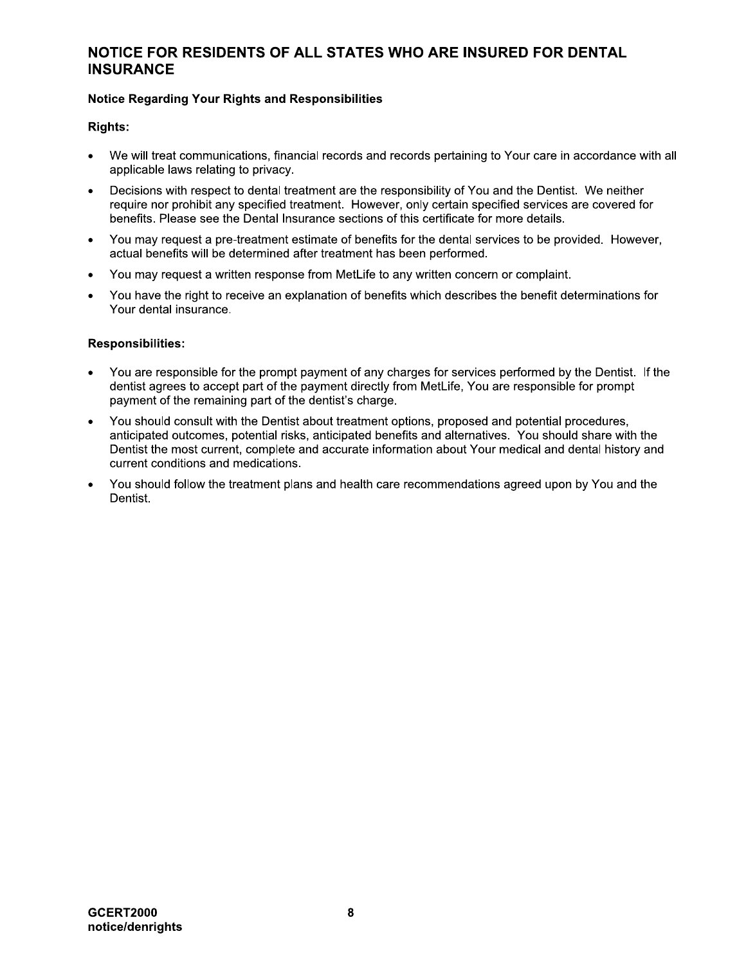### NOTICE FOR RESIDENTS OF ALL STATES WHO ARE INSURED FOR DENTAL **INSURANCE**

### **Notice Regarding Your Rights and Responsibilities**

### **Rights:**

- We will treat communications, financial records and records pertaining to Your care in accordance with all applicable laws relating to privacy.
- Decisions with respect to dental treatment are the responsibility of You and the Dentist. We neither require nor prohibit any specified treatment. However, only certain specified services are covered for benefits. Please see the Dental Insurance sections of this certificate for more details.
- You may request a pre-treatment estimate of benefits for the dental services to be provided. However,  $\bullet$ actual benefits will be determined after treatment has been performed.
- You may request a written response from MetLife to any written concern or complaint.
- You have the right to receive an explanation of benefits which describes the benefit determinations for Your dental insurance.

#### **Responsibilities:**

- You are responsible for the prompt payment of any charges for services performed by the Dentist. If the dentist agrees to accept part of the payment directly from MetLife, You are responsible for prompt payment of the remaining part of the dentist's charge.
- You should consult with the Dentist about treatment options, proposed and potential procedures, anticipated outcomes, potential risks, anticipated benefits and alternatives. You should share with the Dentist the most current, complete and accurate information about Your medical and dental history and current conditions and medications.
- You should follow the treatment plans and health care recommendations agreed upon by You and the  $\bullet$ Dentist.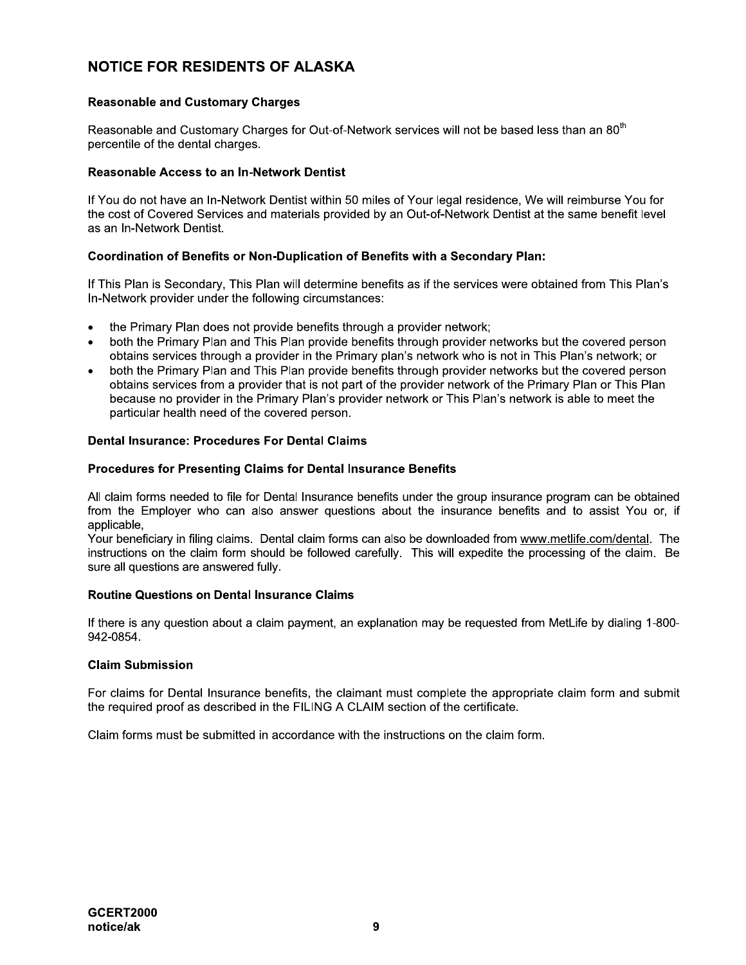#### **Reasonable and Customary Charges**

Reasonable and Customary Charges for Out-of-Network services will not be based less than an 80<sup>th</sup> percentile of the dental charges.

#### **Reasonable Access to an In-Network Dentist**

If You do not have an In-Network Dentist within 50 miles of Your legal residence. We will reimburse You for the cost of Covered Services and materials provided by an Out-of-Network Dentist at the same benefit level as an In-Network Dentist.

#### Coordination of Benefits or Non-Duplication of Benefits with a Secondary Plan:

If This Plan is Secondary, This Plan will determine benefits as if the services were obtained from This Plan's In-Network provider under the following circumstances:

- the Primary Plan does not provide benefits through a provider network;
- both the Primary Plan and This Plan provide benefits through provider networks but the covered person obtains services through a provider in the Primary plan's network who is not in This Plan's network; or
- both the Primary Plan and This Plan provide benefits through provider networks but the covered person obtains services from a provider that is not part of the provider network of the Primary Plan or This Plan because no provider in the Primary Plan's provider network or This Plan's network is able to meet the particular health need of the covered person.

#### **Dental Insurance: Procedures For Dental Claims**

#### **Procedures for Presenting Claims for Dental Insurance Benefits**

All claim forms needed to file for Dental Insurance benefits under the group insurance program can be obtained from the Employer who can also answer questions about the insurance benefits and to assist You or, if applicable.

Your beneficiary in filing claims. Dental claim forms can also be downloaded from www.metlife.com/dental. The instructions on the claim form should be followed carefully. This will expedite the processing of the claim. Be sure all questions are answered fully.

#### **Routine Questions on Dental Insurance Claims**

If there is any question about a claim payment, an explanation may be requested from MetLife by dialing 1-800-942-0854.

#### **Claim Submission**

For claims for Dental Insurance benefits, the claimant must complete the appropriate claim form and submit the required proof as described in the FILING A CLAIM section of the certificate.

Claim forms must be submitted in accordance with the instructions on the claim form.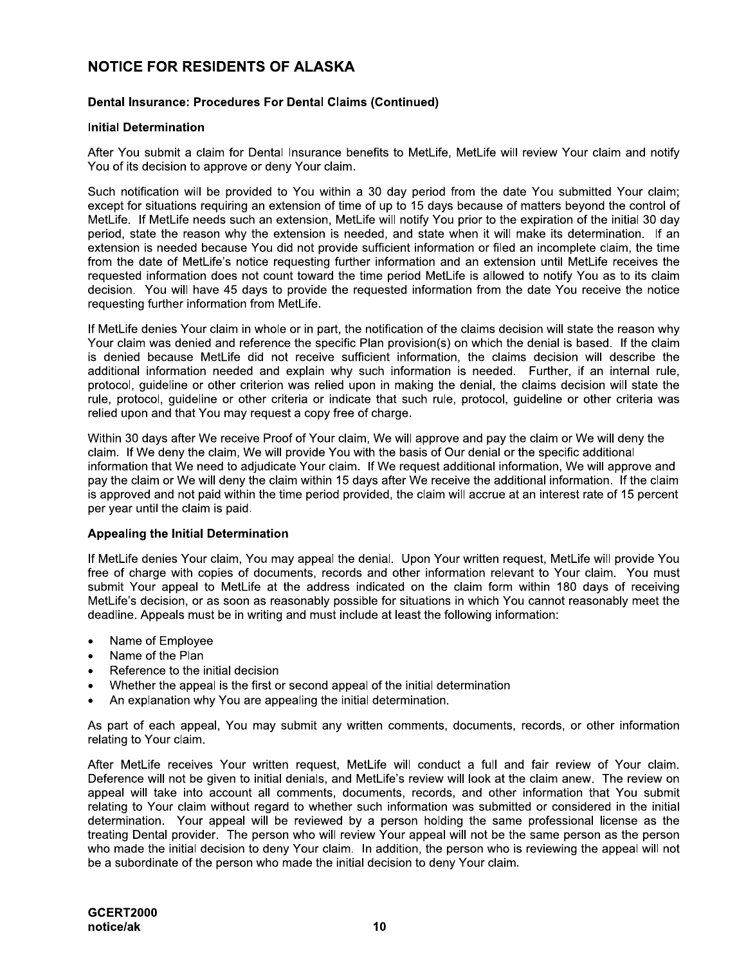### **Dental Insurance: Procedures For Dental Claims (Continued)**

#### **Initial Determination**

After You submit a claim for Dental Insurance benefits to MetLife, MetLife will review Your claim and notify You of its decision to approve or deny Your claim.

Such notification will be provided to You within a 30 day period from the date You submitted Your claim; except for situations requiring an extension of time of up to 15 days because of matters beyond the control of MetLife. If MetLife needs such an extension, MetLife will notify You prior to the expiration of the initial 30 day period, state the reason why the extension is needed, and state when it will make its determination. If an extension is needed because You did not provide sufficient information or filed an incomplete claim, the time from the date of MetLife's notice requesting further information and an extension until MetLife receives the requested information does not count toward the time period MetLife is allowed to notify You as to its claim decision. You will have 45 days to provide the requested information from the date You receive the notice requesting further information from MetLife.

If MetLife denies Your claim in whole or in part, the notification of the claims decision will state the reason why Your claim was denied and reference the specific Plan provision(s) on which the denial is based. If the claim is denied because MetLife did not receive sufficient information, the claims decision will describe the additional information needed and explain why such information is needed. Further, if an internal rule, protocol, guideline or other criterion was relied upon in making the denial, the claims decision will state the rule, protocol, quideline or other criteria or indicate that such rule, protocol, quideline or other criteria was relied upon and that You may request a copy free of charge.

Within 30 days after We receive Proof of Your claim, We will approve and pay the claim or We will deny the claim. If We deny the claim, We will provide You with the basis of Our denial or the specific additional information that We need to adjudicate Your claim. If We request additional information, We will approve and pay the claim or We will deny the claim within 15 days after We receive the additional information. If the claim is approved and not paid within the time period provided, the claim will accrue at an interest rate of 15 percent per year until the claim is paid.

### **Appealing the Initial Determination**

If MetLife denies Your claim, You may appeal the denial. Upon Your written request, MetLife will provide You free of charge with copies of documents, records and other information relevant to Your claim. You must submit Your appeal to MetLife at the address indicated on the claim form within 180 days of receiving MetLife's decision, or as soon as reasonably possible for situations in which You cannot reasonably meet the deadline. Appeals must be in writing and must include at least the following information:

- Name of Employee  $\bullet$
- Name of the Plan
- Reference to the initial decision  $\bullet$
- Whether the appeal is the first or second appeal of the initial determination
- An explanation why You are appealing the initial determination.

As part of each appeal, You may submit any written comments, documents, records, or other information relating to Your claim.

After MetLife receives Your written request, MetLife will conduct a full and fair review of Your claim. Deference will not be given to initial denials, and MetLife's review will look at the claim anew. The review on appeal will take into account all comments, documents, records, and other information that You submit relating to Your claim without regard to whether such information was submitted or considered in the initial determination. Your appeal will be reviewed by a person holding the same professional license as the treating Dental provider. The person who will review Your appeal will not be the same person as the person who made the initial decision to deny Your claim. In addition, the person who is reviewing the appeal will not be a subordinate of the person who made the initial decision to deny Your claim.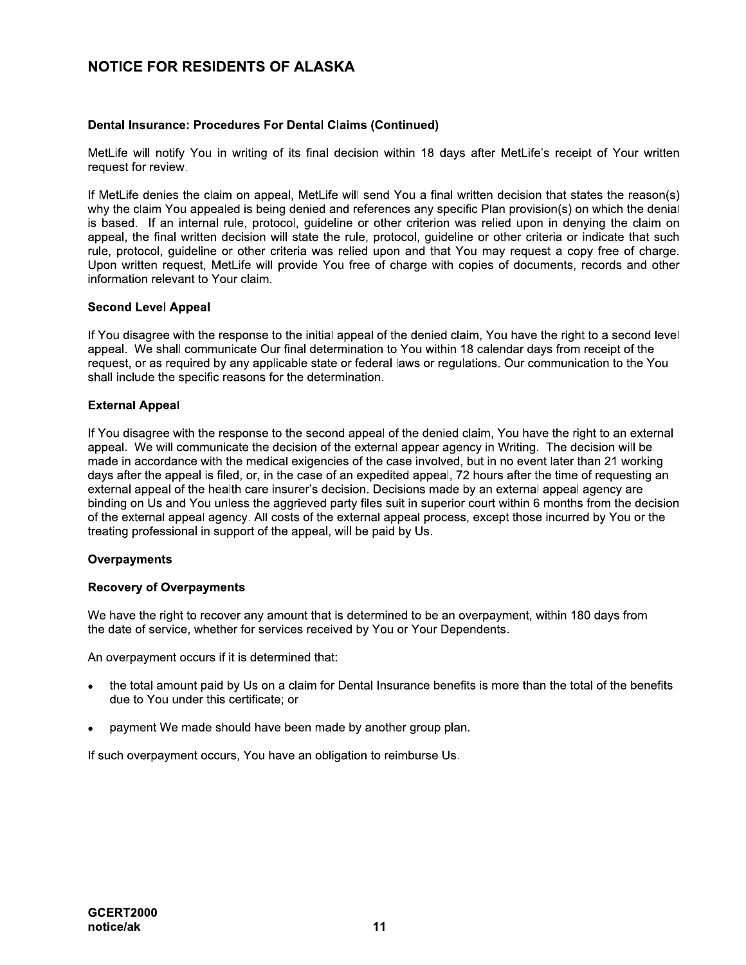#### **Dental Insurance: Procedures For Dental Claims (Continued)**

MetLife will notify You in writing of its final decision within 18 days after MetLife's receipt of Your written request for review.

If MetLife denies the claim on appeal, MetLife will send You a final written decision that states the reason(s) why the claim You appealed is being denied and references any specific Plan provision(s) on which the denial is based. If an internal rule, protocol, quideline or other criterion was relied upon in denying the claim on appeal, the final written decision will state the rule, protocol, guideline or other criteria or indicate that such rule, protocol, quideline or other criteria was relied upon and that You may request a copy free of charge. Upon written request, MetLife will provide You free of charge with copies of documents, records and other information relevant to Your claim.

#### **Second Level Appeal**

If You disagree with the response to the initial appeal of the denied claim, You have the right to a second level appeal. We shall communicate Our final determination to You within 18 calendar days from receipt of the request, or as required by any applicable state or federal laws or regulations. Our communication to the You shall include the specific reasons for the determination.

#### **External Appeal**

If You disagree with the response to the second appeal of the denied claim, You have the right to an external appeal. We will communicate the decision of the external appear agency in Writing. The decision will be made in accordance with the medical exigencies of the case involved, but in no event later than 21 working days after the appeal is filed, or, in the case of an expedited appeal, 72 hours after the time of requesting an external appeal of the health care insurer's decision. Decisions made by an external appeal agency are binding on Us and You unless the aggrieved party files suit in superior court within 6 months from the decision of the external appeal agency. All costs of the external appeal process, except those incurred by You or the treating professional in support of the appeal, will be paid by Us.

#### Overpayments

#### **Recovery of Overpayments**

We have the right to recover any amount that is determined to be an overpayment, within 180 days from the date of service, whether for services received by You or Your Dependents.

An overpayment occurs if it is determined that:

- the total amount paid by Us on a claim for Dental Insurance benefits is more than the total of the benefits due to You under this certificate; or
- payment We made should have been made by another group plan.

If such overpayment occurs, You have an obligation to reimburse Us.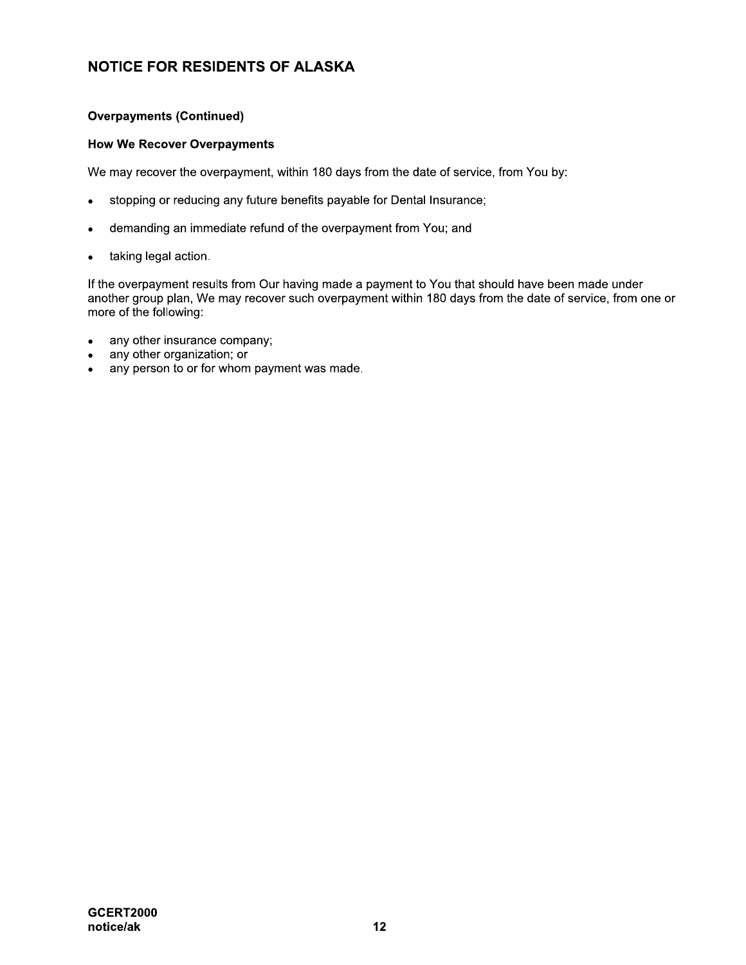### **Overpayments (Continued)**

#### **How We Recover Overpayments**

We may recover the overpayment, within 180 days from the date of service, from You by:

- stopping or reducing any future benefits payable for Dental Insurance;
- demanding an immediate refund of the overpayment from You; and  $\bullet$
- taking legal action.  $\bullet$

If the overpayment results from Our having made a payment to You that should have been made under another group plan, We may recover such overpayment within 180 days from the date of service, from one or more of the following:

- any other insurance company;  $\bullet$
- any other organization; or
- any person to or for whom payment was made.  $\bullet$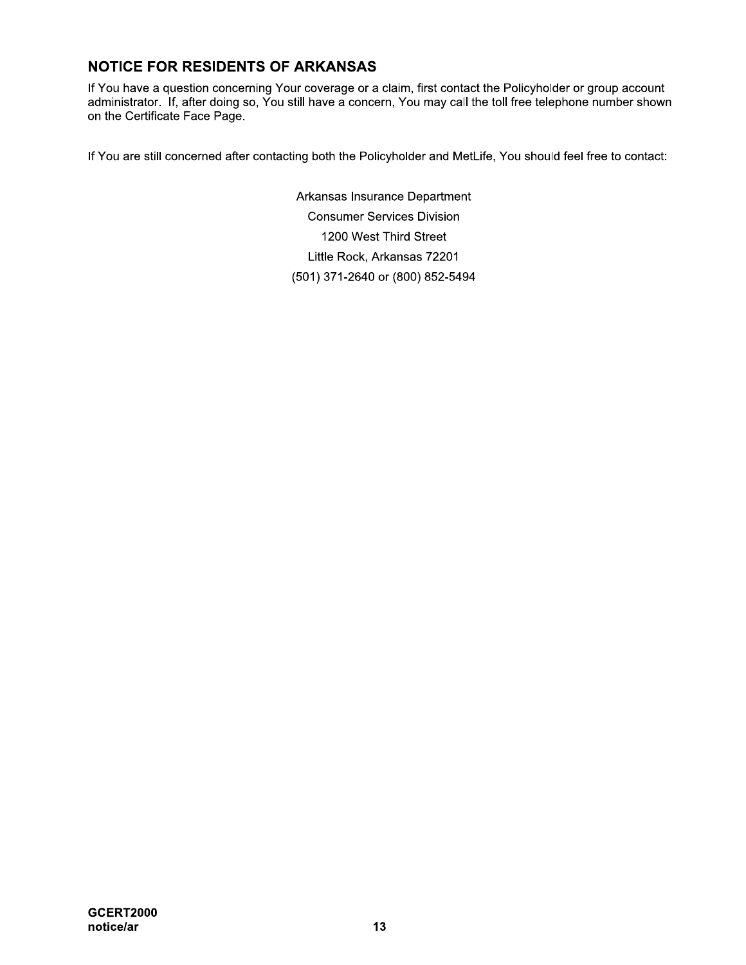If You have a question concerning Your coverage or a claim, first contact the Policyholder or group account administrator. If, after doing so, You still have a concern, You may call the toll free telephone number shown on the Certificate Face Page.

If You are still concerned after contacting both the Policyholder and MetLife, You should feel free to contact:

Arkansas Insurance Department **Consumer Services Division** 1200 West Third Street Little Rock, Arkansas 72201 (501) 371-2640 or (800) 852-5494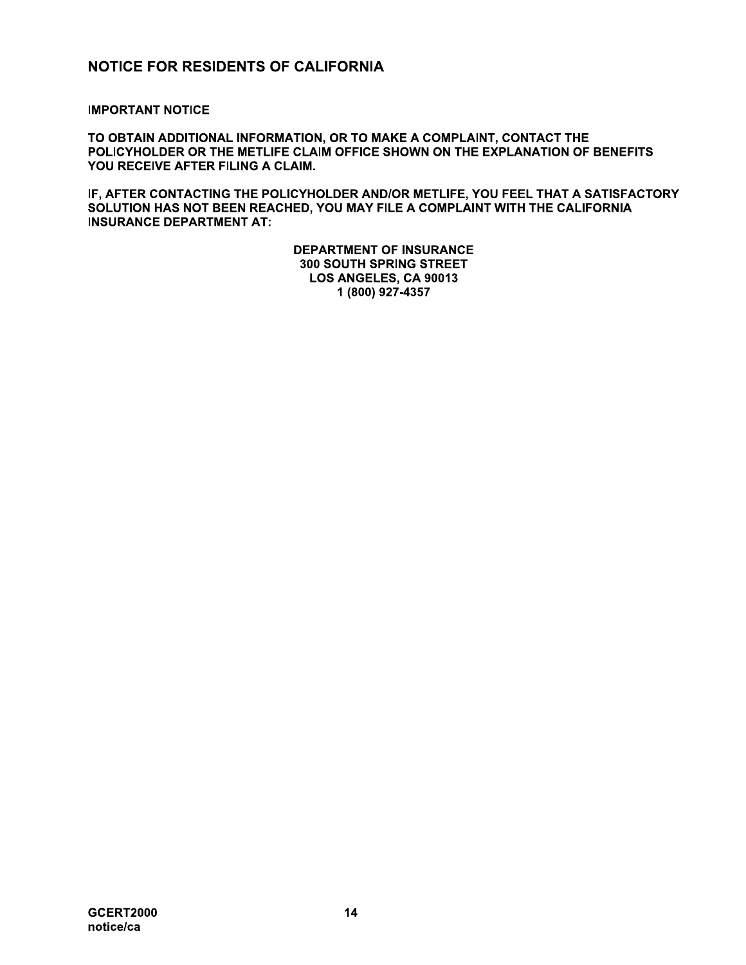### **NOTICE FOR RESIDENTS OF CALIFORNIA**

#### **IMPORTANT NOTICE**

TO OBTAIN ADDITIONAL INFORMATION, OR TO MAKE A COMPLAINT, CONTACT THE POLICYHOLDER OR THE METLIFE CLAIM OFFICE SHOWN ON THE EXPLANATION OF BENEFITS YOU RECEIVE AFTER FILING A CLAIM.

IF, AFTER CONTACTING THE POLICYHOLDER AND/OR METLIFE, YOU FEEL THAT A SATISFACTORY SOLUTION HAS NOT BEEN REACHED, YOU MAY FILE A COMPLAINT WITH THE CALIFORNIA **INSURANCE DEPARTMENT AT:** 

> **DEPARTMENT OF INSURANCE 300 SOUTH SPRING STREET** LOS ANGELES, CA 90013 1 (800) 927-4357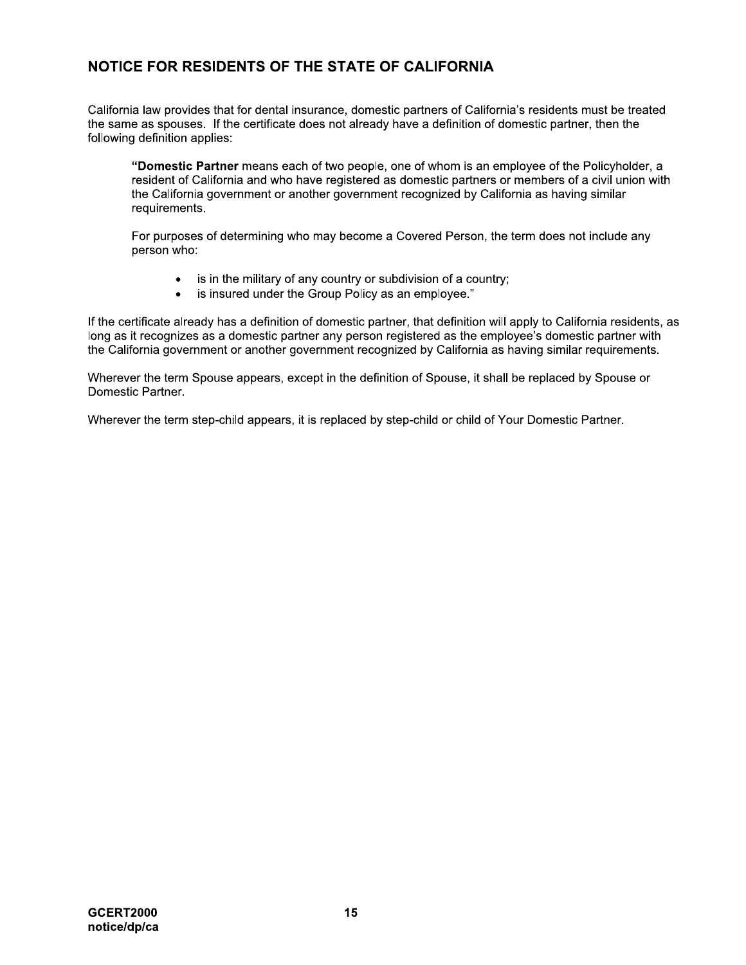### NOTICE FOR RESIDENTS OF THE STATE OF CALIFORNIA

California law provides that for dental insurance, domestic partners of California's residents must be treated the same as spouses. If the certificate does not already have a definition of domestic partner, then the following definition applies:

"Domestic Partner means each of two people, one of whom is an employee of the Policyholder, a resident of California and who have registered as domestic partners or members of a civil union with the California government or another government recognized by California as having similar requirements.

For purposes of determining who may become a Covered Person, the term does not include any person who:

- is in the military of any country or subdivision of a country;  $\bullet$
- is insured under the Group Policy as an employee."

If the certificate already has a definition of domestic partner, that definition will apply to California residents, as long as it recognizes as a domestic partner any person registered as the employee's domestic partner with the California government or another government recognized by California as having similar requirements.

Wherever the term Spouse appears, except in the definition of Spouse, it shall be replaced by Spouse or Domestic Partner.

Wherever the term step-child appears, it is replaced by step-child or child of Your Domestic Partner.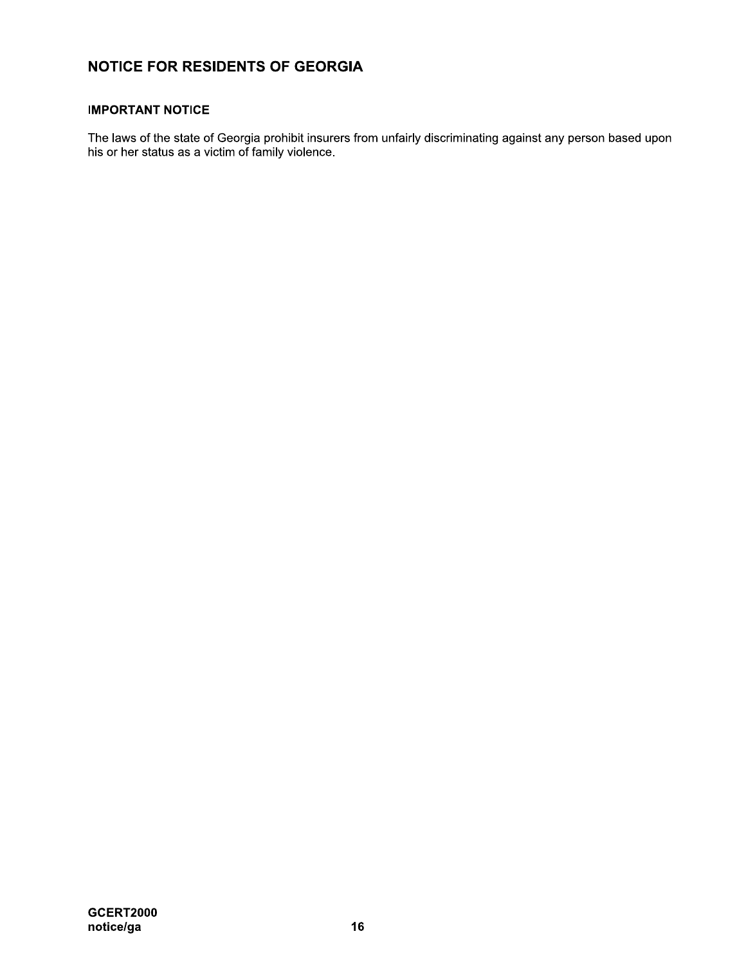### **NOTICE FOR RESIDENTS OF GEORGIA**

### **IMPORTANT NOTICE**

The laws of the state of Georgia prohibit insurers from unfairly discriminating against any person based upon<br>his or her status as a victim of family violence.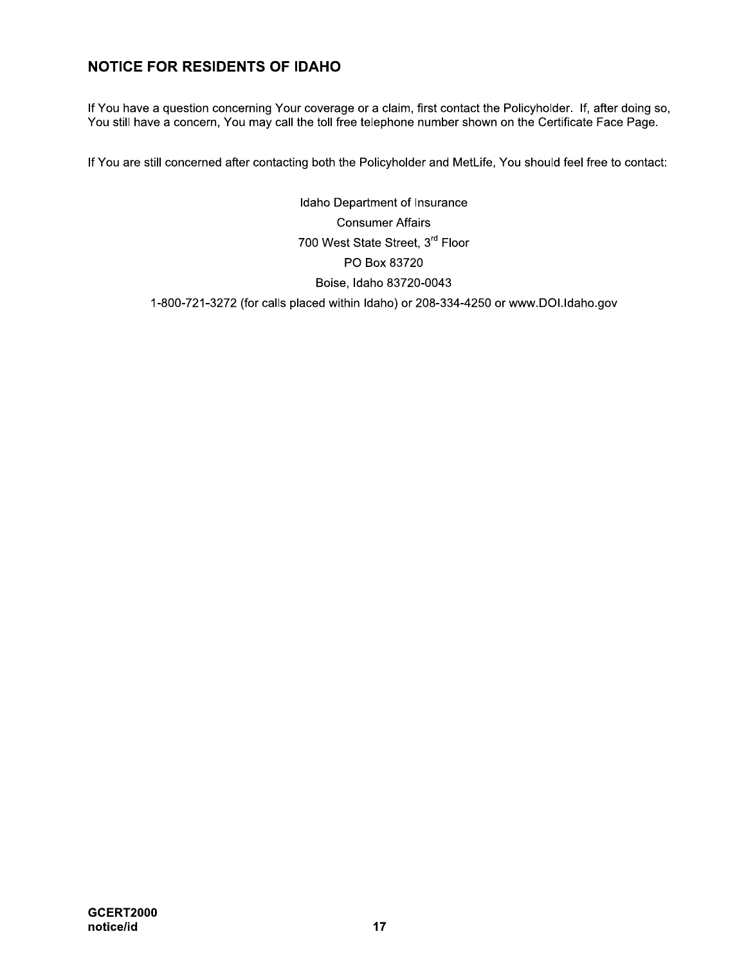### **NOTICE FOR RESIDENTS OF IDAHO**

If You have a question concerning Your coverage or a claim, first contact the Policyholder. If, after doing so, You still have a concern, You may call the toll free telephone number shown on the Certificate Face Page.

If You are still concerned after contacting both the Policyholder and MetLife, You should feel free to contact:

Idaho Department of Insurance **Consumer Affairs** 700 West State Street, 3rd Floor PO Box 83720 Boise, Idaho 83720-0043 1-800-721-3272 (for calls placed within Idaho) or 208-334-4250 or www.DOI.Idaho.gov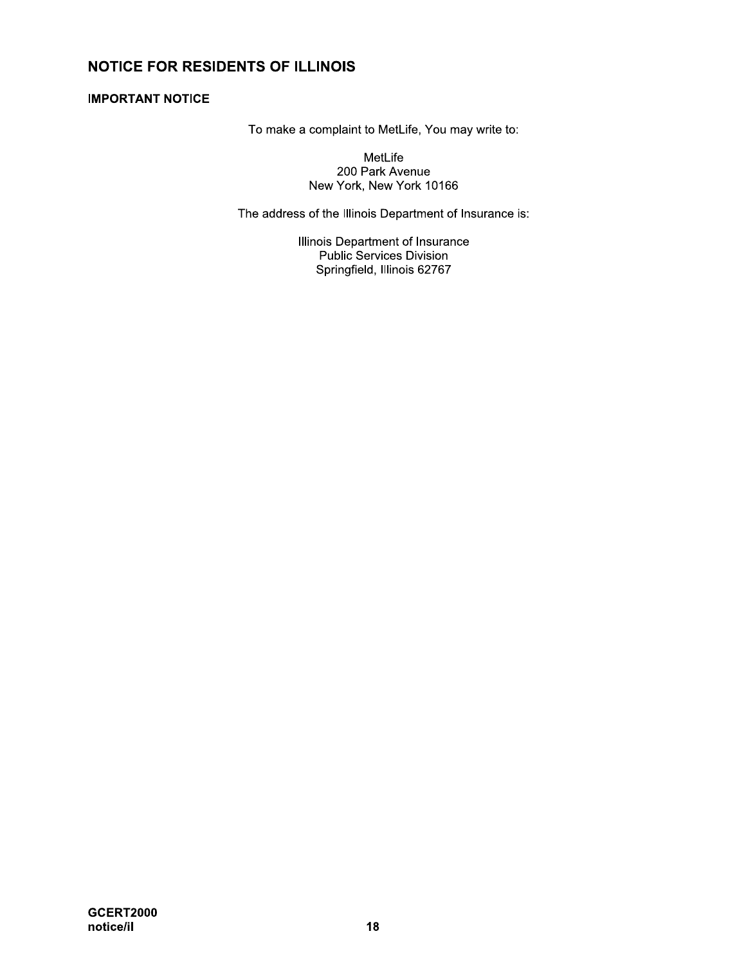### **NOTICE FOR RESIDENTS OF ILLINOIS**

### **IMPORTANT NOTICE**

To make a complaint to MetLife, You may write to:

MetLife 200 Park Avenue New York, New York 10166

The address of the Illinois Department of Insurance is:

Illinois Department of Insurance **Public Services Division** Springfield, Illinois 62767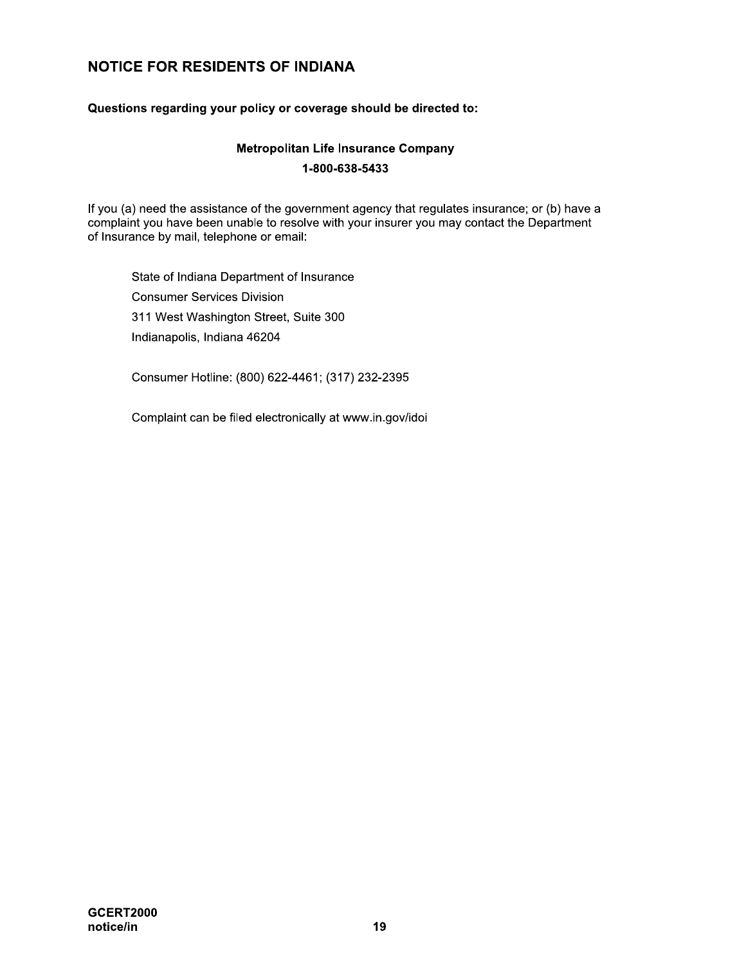### **NOTICE FOR RESIDENTS OF INDIANA**

Questions regarding your policy or coverage should be directed to:

### **Metropolitan Life Insurance Company** 1-800-638-5433

If you (a) need the assistance of the government agency that regulates insurance; or (b) have a complaint you have been unable to resolve with your insurer you may contact the Department of Insurance by mail, telephone or email:

State of Indiana Department of Insurance **Consumer Services Division** 311 West Washington Street, Suite 300 Indianapolis, Indiana 46204

Consumer Hotline: (800) 622-4461; (317) 232-2395

Complaint can be filed electronically at www.in.gov/idoi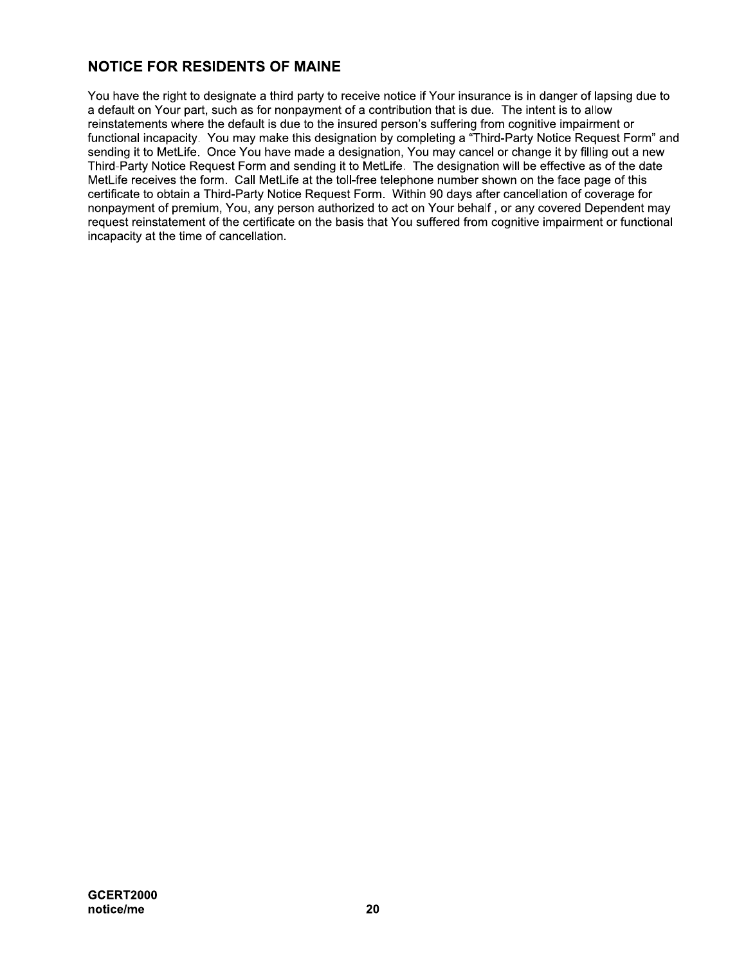### **NOTICE FOR RESIDENTS OF MAINE**

You have the right to designate a third party to receive notice if Your insurance is in danger of lapsing due to a default on Your part, such as for nonpayment of a contribution that is due. The intent is to allow reinstatements where the default is due to the insured person's suffering from cognitive impairment or functional incapacity. You may make this designation by completing a "Third-Party Notice Request Form" and sending it to MetLife. Once You have made a designation, You may cancel or change it by filling out a new Third-Party Notice Request Form and sending it to MetLife. The designation will be effective as of the date MetLife receives the form. Call MetLife at the toll-free telephone number shown on the face page of this certificate to obtain a Third-Party Notice Request Form. Within 90 days after cancellation of coverage for nonpayment of premium, You, any person authorized to act on Your behalf, or any covered Dependent may request reinstatement of the certificate on the basis that You suffered from cognitive impairment or functional incapacity at the time of cancellation.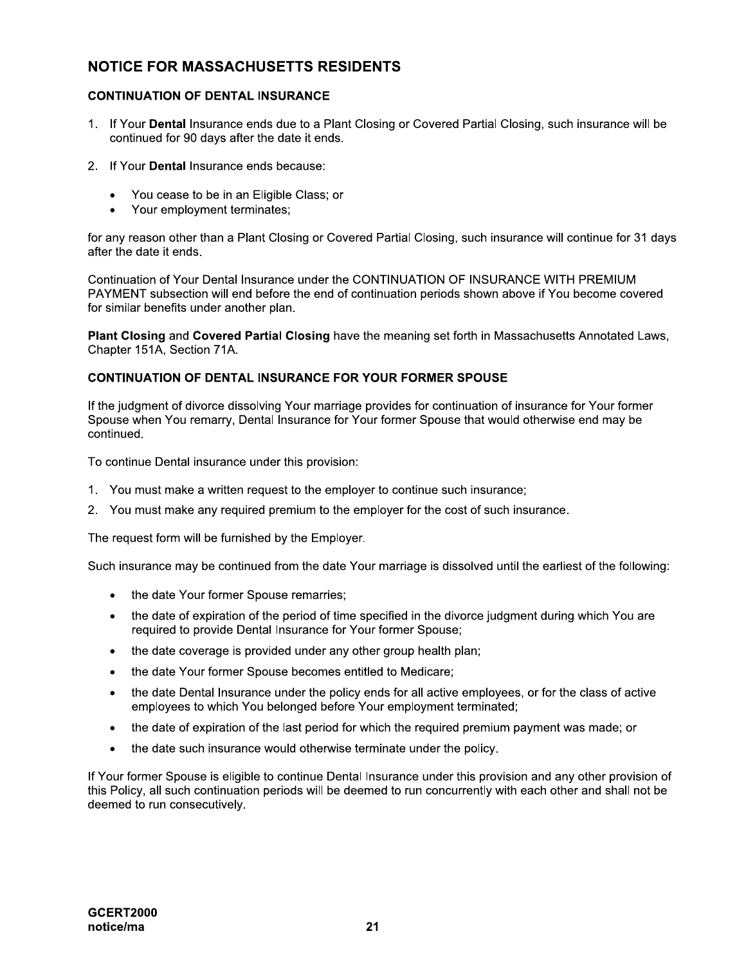### NOTICE FOR MASSACHUSETTS RESIDENTS

### **CONTINUATION OF DENTAL INSURANCE**

- 1. If Your Dental Insurance ends due to a Plant Closing or Covered Partial Closing, such insurance will be continued for 90 days after the date it ends.
- 2. If Your Dental Insurance ends because:
	- You cease to be in an Eligible Class; or
	- Your employment terminates:

for any reason other than a Plant Closing or Covered Partial Closing, such insurance will continue for 31 days after the date it ends.

Continuation of Your Dental Insurance under the CONTINUATION OF INSURANCE WITH PREMIUM PAYMENT subsection will end before the end of continuation periods shown above if You become covered for similar benefits under another plan.

Plant Closing and Covered Partial Closing have the meaning set forth in Massachusetts Annotated Laws, Chapter 151A, Section 71A.

### **CONTINUATION OF DENTAL INSURANCE FOR YOUR FORMER SPOUSE**

If the judgment of divorce dissolving Your marriage provides for continuation of insurance for Your former Spouse when You remarry, Dental Insurance for Your former Spouse that would otherwise end may be continued.

To continue Dental insurance under this provision:

- 1. You must make a written request to the employer to continue such insurance;
- 2. You must make any required premium to the employer for the cost of such insurance.

The request form will be furnished by the Employer.

Such insurance may be continued from the date Your marriage is dissolved until the earliest of the following:

- the date Your former Spouse remarries;
- the date of expiration of the period of time specified in the divorce judgment during which You are  $\bullet$ required to provide Dental Insurance for Your former Spouse;
- the date coverage is provided under any other group health plan;  $\bullet$
- the date Your former Spouse becomes entitled to Medicare;  $\bullet$
- the date Dental Insurance under the policy ends for all active employees, or for the class of active  $\bullet$ employees to which You belonged before Your employment terminated;
- the date of expiration of the last period for which the required premium payment was made; or  $\bullet$
- $\bullet$ the date such insurance would otherwise terminate under the policy.

If Your former Spouse is eligible to continue Dental Insurance under this provision and any other provision of this Policy, all such continuation periods will be deemed to run concurrently with each other and shall not be deemed to run consecutively.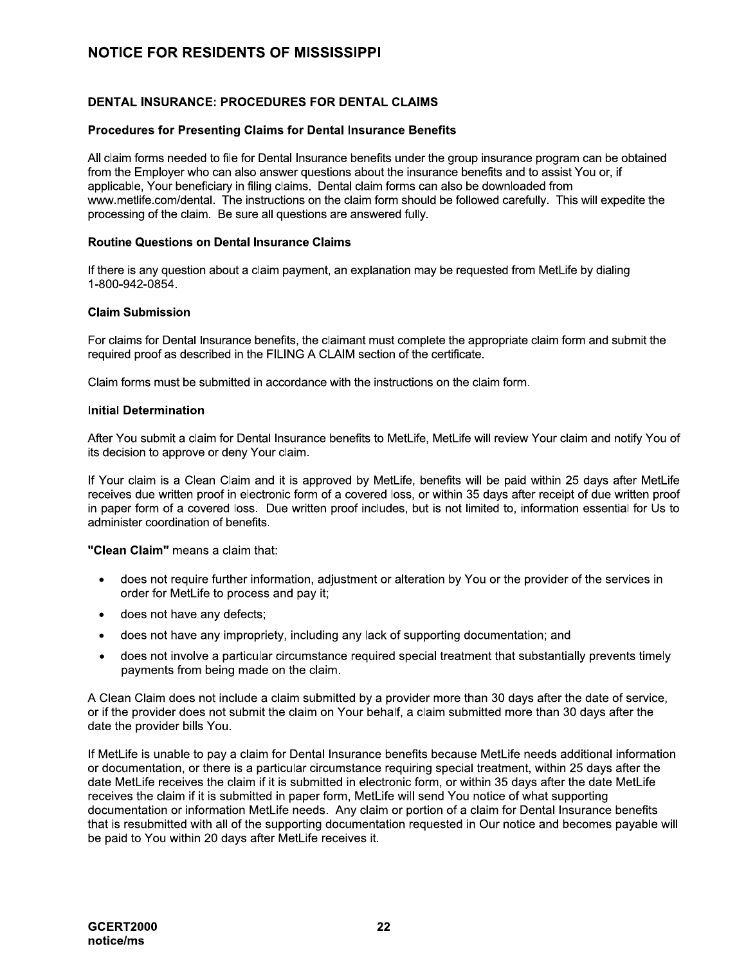### **NOTICE FOR RESIDENTS OF MISSISSIPPI**

### **DENTAL INSURANCE: PROCEDURES FOR DENTAL CLAIMS**

#### **Procedures for Presenting Claims for Dental Insurance Benefits**

All claim forms needed to file for Dental Insurance benefits under the group insurance program can be obtained from the Employer who can also answer questions about the insurance benefits and to assist You or, if applicable, Your beneficiary in filing claims. Dental claim forms can also be downloaded from www.metlife.com/dental. The instructions on the claim form should be followed carefully. This will expedite the processing of the claim. Be sure all questions are answered fully.

#### **Routine Questions on Dental Insurance Claims**

If there is any question about a claim payment, an explanation may be requested from MetLife by dialing 1-800-942-0854.

#### **Claim Submission**

For claims for Dental Insurance benefits, the claimant must complete the appropriate claim form and submit the required proof as described in the FILING A CLAIM section of the certificate.

Claim forms must be submitted in accordance with the instructions on the claim form.

#### **Initial Determination**

After You submit a claim for Dental Insurance benefits to MetLife. MetLife will review Your claim and notify You of its decision to approve or deny Your claim.

If Your claim is a Clean Claim and it is approved by MetLife, benefits will be paid within 25 days after MetLife receives due written proof in electronic form of a covered loss, or within 35 days after receipt of due written proof in paper form of a covered loss. Due written proof includes, but is not limited to, information essential for Us to administer coordination of benefits.

"Clean Claim" means a claim that:

- does not require further information, adjustment or alteration by You or the provider of the services in  $\bullet$ order for MetLife to process and pay it:
- does not have any defects;  $\bullet$
- does not have any impropriety, including any lack of supporting documentation; and  $\bullet$
- does not involve a particular circumstance required special treatment that substantially prevents timely payments from being made on the claim.

A Clean Claim does not include a claim submitted by a provider more than 30 days after the date of service, or if the provider does not submit the claim on Your behalf, a claim submitted more than 30 days after the date the provider bills You.

If MetLife is unable to pay a claim for Dental Insurance benefits because MetLife needs additional information or documentation, or there is a particular circumstance requiring special treatment, within 25 days after the date MetLife receives the claim if it is submitted in electronic form, or within 35 days after the date MetLife receives the claim if it is submitted in paper form, MetLife will send You notice of what supporting documentation or information MetLife needs. Any claim or portion of a claim for Dental Insurance benefits that is resubmitted with all of the supporting documentation requested in Our notice and becomes payable will be paid to You within 20 days after MetLife receives it.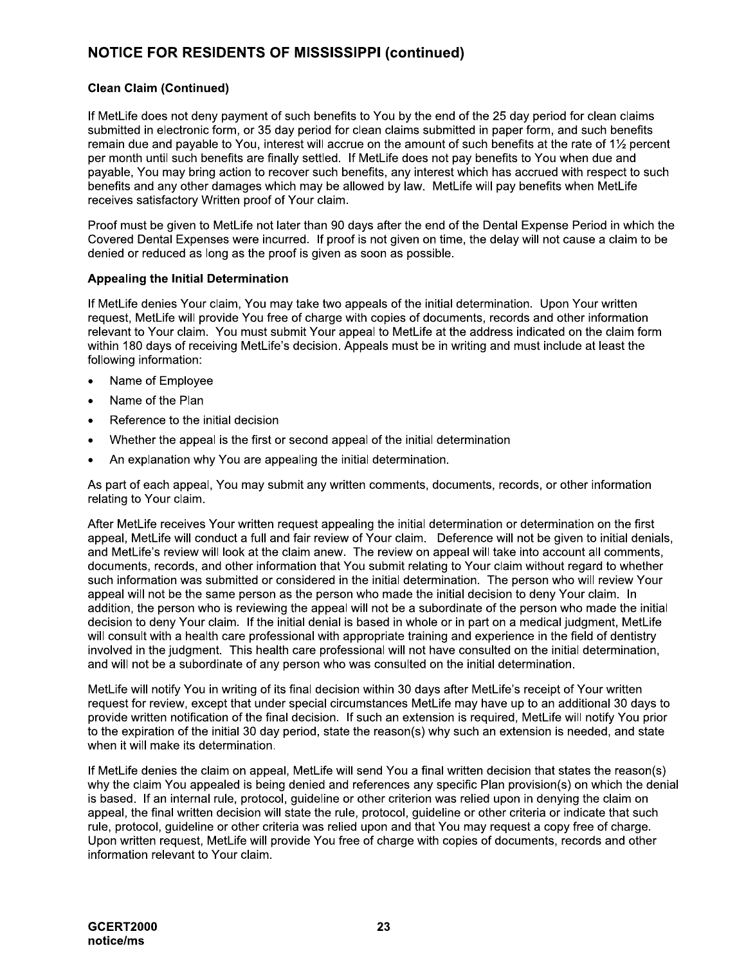### **NOTICE FOR RESIDENTS OF MISSISSIPPI (continued)**

### **Clean Claim (Continued)**

If MetLife does not deny payment of such benefits to You by the end of the 25 day period for clean claims submitted in electronic form, or 35 day period for clean claims submitted in paper form, and such benefits remain due and payable to You, interest will accrue on the amount of such benefits at the rate of 1½ percent per month until such benefits are finally settled. If MetLife does not pay benefits to You when due and payable, You may bring action to recover such benefits, any interest which has accrued with respect to such benefits and any other damages which may be allowed by law. MetLife will pay benefits when MetLife receives satisfactory Written proof of Your claim.

Proof must be given to MetLife not later than 90 days after the end of the Dental Expense Period in which the Covered Dental Expenses were incurred. If proof is not given on time, the delay will not cause a claim to be denied or reduced as long as the proof is given as soon as possible.

#### **Appealing the Initial Determination**

If MetLife denies Your claim, You may take two appeals of the initial determination. Upon Your written request, MetLife will provide You free of charge with copies of documents, records and other information relevant to Your claim. You must submit Your appeal to MetLife at the address indicated on the claim form within 180 days of receiving MetLife's decision. Appeals must be in writing and must include at least the following information:

- Name of Employee  $\bullet$
- Name of the Plan  $\bullet$
- Reference to the initial decision  $\bullet$
- Whether the appeal is the first or second appeal of the initial determination  $\bullet$
- An explanation why You are appealing the initial determination.

As part of each appeal, You may submit any written comments, documents, records, or other information relating to Your claim.

After MetLife receives Your written request appealing the initial determination or determination on the first appeal, MetLife will conduct a full and fair review of Your claim. Deference will not be given to initial denials, and MetLife's review will look at the claim anew. The review on appeal will take into account all comments, documents, records, and other information that You submit relating to Your claim without regard to whether such information was submitted or considered in the initial determination. The person who will review Your appeal will not be the same person as the person who made the initial decision to deny Your claim. In addition, the person who is reviewing the appeal will not be a subordinate of the person who made the initial decision to deny Your claim. If the initial denial is based in whole or in part on a medical judgment, MetLife will consult with a health care professional with appropriate training and experience in the field of dentistry involved in the judgment. This health care professional will not have consulted on the initial determination, and will not be a subordinate of any person who was consulted on the initial determination.

MetLife will notify You in writing of its final decision within 30 days after MetLife's receipt of Your written request for review, except that under special circumstances MetLife may have up to an additional 30 days to provide written notification of the final decision. If such an extension is required, MetLife will notify You prior to the expiration of the initial 30 day period, state the reason(s) why such an extension is needed, and state when it will make its determination.

If MetLife denies the claim on appeal, MetLife will send You a final written decision that states the reason(s) why the claim You appealed is being denied and references any specific Plan provision(s) on which the denial is based. If an internal rule, protocol, guideline or other criterion was relied upon in denying the claim on appeal, the final written decision will state the rule, protocol, guideline or other criteria or indicate that such rule, protocol, quideline or other criteria was relied upon and that You may request a copy free of charge. Upon written request, MetLife will provide You free of charge with copies of documents, records and other information relevant to Your claim.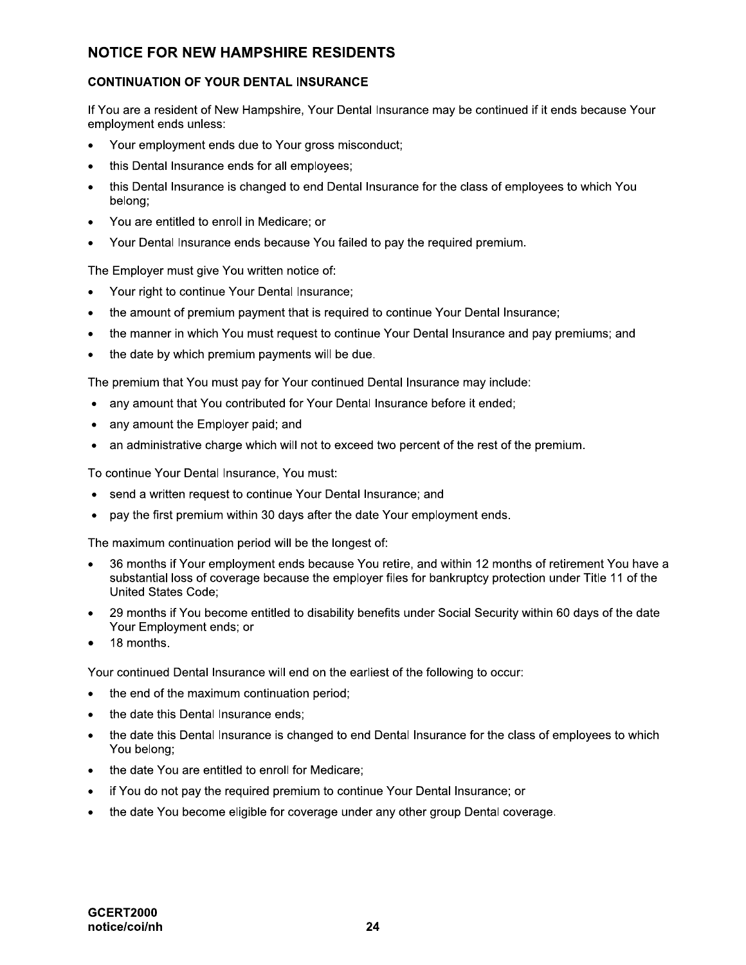### **NOTICE FOR NEW HAMPSHIRE RESIDENTS**

### **CONTINUATION OF YOUR DENTAL INSURANCE**

If You are a resident of New Hampshire, Your Dental Insurance may be continued if it ends because Your employment ends unless:

- Your employment ends due to Your gross misconduct;
- this Dental Insurance ends for all employees;  $\bullet$
- this Dental Insurance is changed to end Dental Insurance for the class of employees to which You belong;
- You are entitled to enroll in Medicare; or
- Your Dental Insurance ends because You failed to pay the required premium.

The Employer must give You written notice of:

- Your right to continue Your Dental Insurance;
- the amount of premium payment that is required to continue Your Dental Insurance;
- the manner in which You must request to continue Your Dental Insurance and pay premiums; and  $\bullet$
- the date by which premium payments will be due.

The premium that You must pay for Your continued Dental Insurance may include:

- any amount that You contributed for Your Dental Insurance before it ended;
- any amount the Employer paid; and
- an administrative charge which will not to exceed two percent of the rest of the premium.  $\bullet$

To continue Your Dental Insurance, You must:

- send a written request to continue Your Dental Insurance; and
- pay the first premium within 30 days after the date Your employment ends.

The maximum continuation period will be the longest of:

- 36 months if Your employment ends because You retire, and within 12 months of retirement You have a substantial loss of coverage because the employer files for bankruptcy protection under Title 11 of the **United States Code:**
- 29 months if You become entitled to disability benefits under Social Security within 60 days of the date  $\bullet$ Your Employment ends; or
- 18 months.

Your continued Dental Insurance will end on the earliest of the following to occur:

- the end of the maximum continuation period;  $\bullet$
- the date this Dental Insurance ends:
- the date this Dental Insurance is changed to end Dental Insurance for the class of employees to which You belong;
- the date You are entitled to enroll for Medicare;
- if You do not pay the required premium to continue Your Dental Insurance; or
- the date You become eligible for coverage under any other group Dental coverage.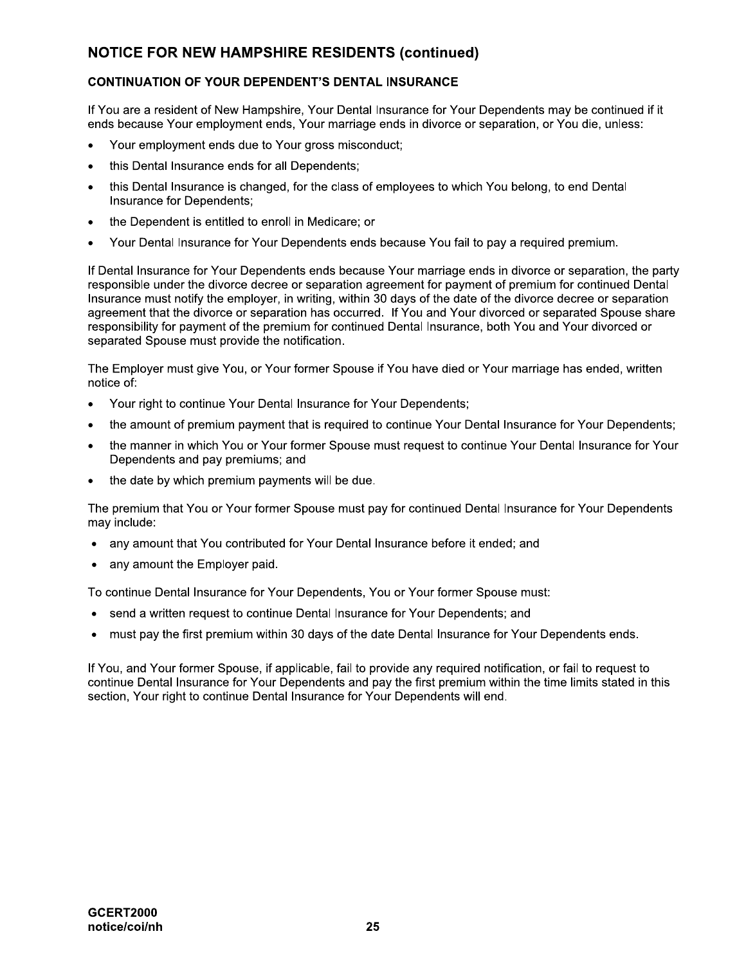### **NOTICE FOR NEW HAMPSHIRE RESIDENTS (continued)**

### **CONTINUATION OF YOUR DEPENDENT'S DENTAL INSURANCE**

If You are a resident of New Hampshire, Your Dental Insurance for Your Dependents may be continued if it ends because Your employment ends, Your marriage ends in divorce or separation, or You die, unless:

- Your employment ends due to Your gross misconduct:
- this Dental Insurance ends for all Dependents;  $\bullet$
- this Dental Insurance is changed, for the class of employees to which You belong, to end Dental Insurance for Dependents;
- the Dependent is entitled to enroll in Medicare; or
- Your Dental Insurance for Your Dependents ends because You fail to pay a required premium.

If Dental Insurance for Your Dependents ends because Your marriage ends in divorce or separation, the party responsible under the divorce decree or separation agreement for payment of premium for continued Dental Insurance must notify the employer, in writing, within 30 days of the date of the divorce decree or separation agreement that the divorce or separation has occurred. If You and Your divorced or separated Spouse share responsibility for payment of the premium for continued Dental Insurance, both You and Your divorced or separated Spouse must provide the notification.

The Employer must give You, or Your former Spouse if You have died or Your marriage has ended, written notice of:

- Your right to continue Your Dental Insurance for Your Dependents;
- the amount of premium payment that is required to continue Your Dental Insurance for Your Dependents:
- the manner in which You or Your former Spouse must request to continue Your Dental Insurance for Your Dependents and pay premiums; and
- the date by which premium payments will be due.

The premium that You or Your former Spouse must pay for continued Dental Insurance for Your Dependents may include:

- any amount that You contributed for Your Dental Insurance before it ended; and
- any amount the Employer paid.  $\bullet$

To continue Dental Insurance for Your Dependents, You or Your former Spouse must:

- send a written request to continue Dental Insurance for Your Dependents; and
- must pay the first premium within 30 days of the date Dental Insurance for Your Dependents ends.

If You, and Your former Spouse, if applicable, fail to provide any required notification, or fail to request to continue Dental Insurance for Your Dependents and pay the first premium within the time limits stated in this section, Your right to continue Dental Insurance for Your Dependents will end.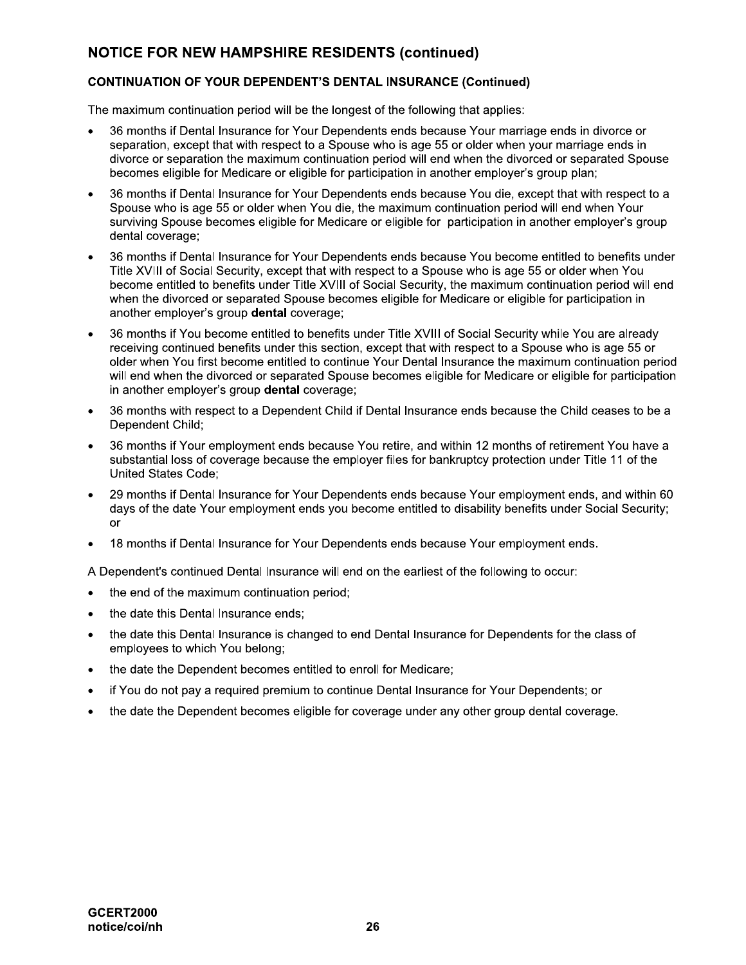### **NOTICE FOR NEW HAMPSHIRE RESIDENTS (continued)**

### **CONTINUATION OF YOUR DEPENDENT'S DENTAL INSURANCE (Continued)**

The maximum continuation period will be the longest of the following that applies:

- 36 months if Dental Insurance for Your Dependents ends because Your marriage ends in divorce or separation, except that with respect to a Spouse who is age 55 or older when your marriage ends in divorce or separation the maximum continuation period will end when the divorced or separated Spouse becomes eligible for Medicare or eligible for participation in another employer's group plan;
- 36 months if Dental Insurance for Your Dependents ends because You die, except that with respect to a Spouse who is age 55 or older when You die, the maximum continuation period will end when Your surviving Spouse becomes eligible for Medicare or eligible for participation in another employer's group dental coverage;
- 36 months if Dental Insurance for Your Dependents ends because You become entitled to benefits under Title XVIII of Social Security, except that with respect to a Spouse who is age 55 or older when You become entitled to benefits under Title XVIII of Social Security, the maximum continuation period will end when the divorced or separated Spouse becomes eligible for Medicare or eligible for participation in another emplover's group dental coverage:
- 36 months if You become entitled to benefits under Title XVIII of Social Security while You are already receiving continued benefits under this section, except that with respect to a Spouse who is age 55 or older when You first become entitled to continue Your Dental Insurance the maximum continuation period will end when the divorced or separated Spouse becomes eligible for Medicare or eligible for participation in another employer's group dental coverage;
- 36 months with respect to a Dependent Child if Dental Insurance ends because the Child ceases to be a Dependent Child:
- 36 months if Your employment ends because You retire, and within 12 months of retirement You have a substantial loss of coverage because the employer files for bankruptcy protection under Title 11 of the **United States Code:**
- 29 months if Dental Insurance for Your Dependents ends because Your employment ends, and within 60 days of the date Your employment ends you become entitled to disability benefits under Social Security; or
- 18 months if Dental Insurance for Your Dependents ends because Your employment ends.

A Dependent's continued Dental Insurance will end on the earliest of the following to occur:

- the end of the maximum continuation period:
- the date this Dental Insurance ends:  $\bullet$
- the date this Dental Insurance is changed to end Dental Insurance for Dependents for the class of employees to which You belong;
- the date the Dependent becomes entitled to enroll for Medicare;
- if You do not pay a required premium to continue Dental Insurance for Your Dependents; or  $\bullet$
- the date the Dependent becomes eligible for coverage under any other group dental coverage.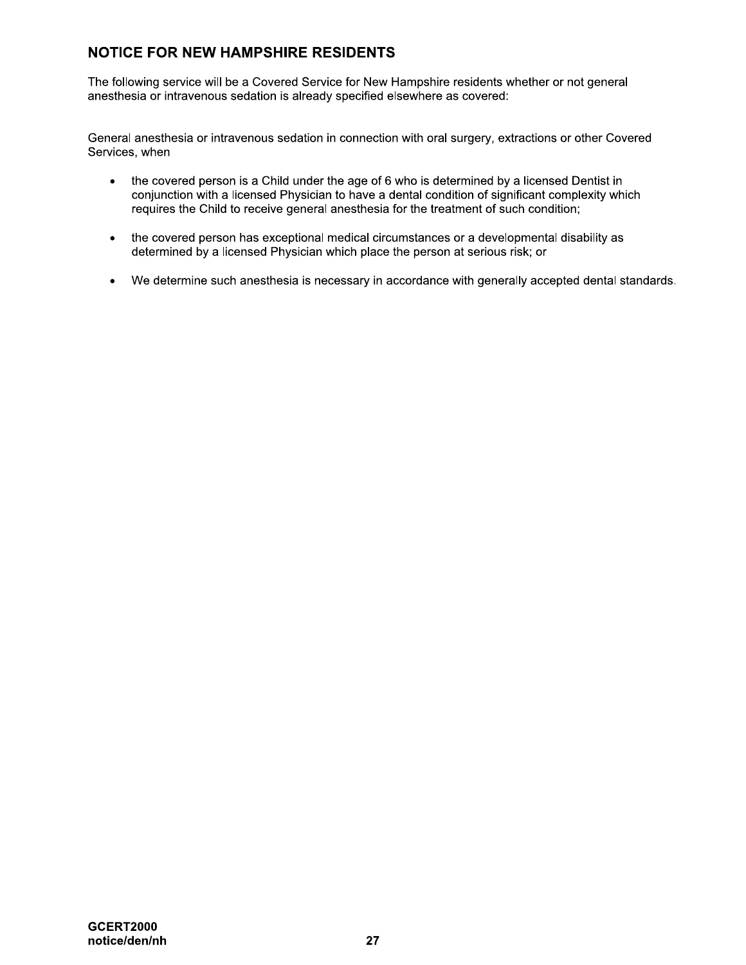## **NOTICE FOR NEW HAMPSHIRE RESIDENTS**

The following service will be a Covered Service for New Hampshire residents whether or not general anesthesia or intravenous sedation is already specified elsewhere as covered:

General anesthesia or intravenous sedation in connection with oral surgery, extractions or other Covered Services, when

- the covered person is a Child under the age of 6 who is determined by a licensed Dentist in  $\bullet$ conjunction with a licensed Physician to have a dental condition of significant complexity which requires the Child to receive general anesthesia for the treatment of such condition;
- the covered person has exceptional medical circumstances or a developmental disability as  $\bullet$ determined by a licensed Physician which place the person at serious risk; or
- We determine such anesthesia is necessary in accordance with generally accepted dental standards.  $\bullet$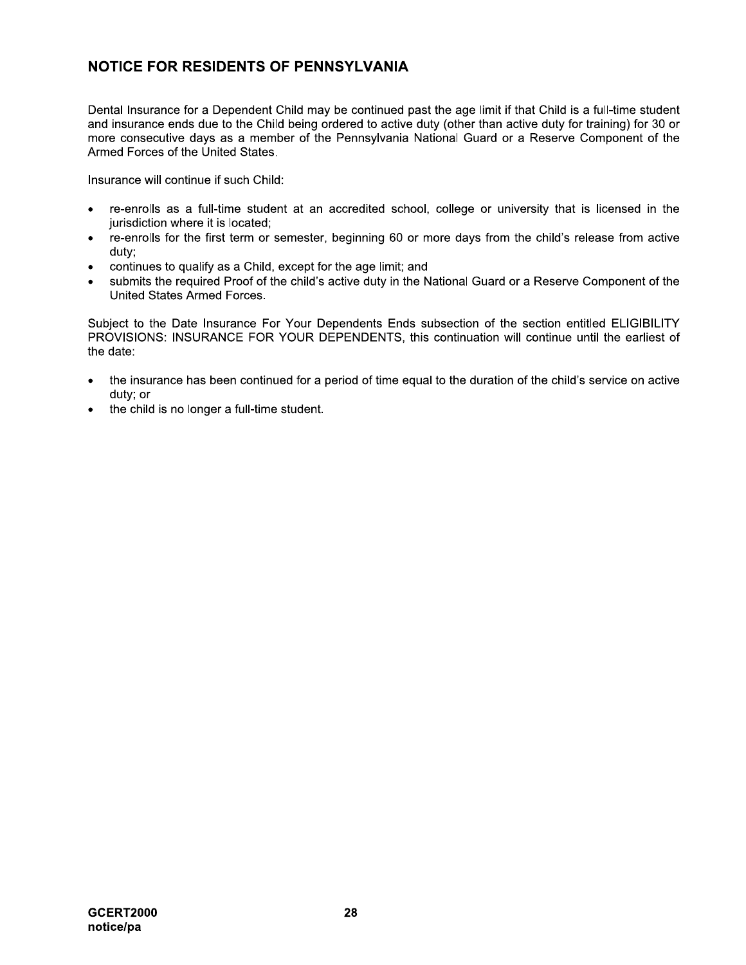### **NOTICE FOR RESIDENTS OF PENNSYLVANIA**

Dental Insurance for a Dependent Child may be continued past the age limit if that Child is a full-time student and insurance ends due to the Child being ordered to active duty (other than active duty for training) for 30 or more consecutive days as a member of the Pennsylvania National Guard or a Reserve Component of the Armed Forces of the United States.

Insurance will continue if such Child:

- re-enrolls as a full-time student at an accredited school, college or university that is licensed in the jurisdiction where it is located;
- re-enrolls for the first term or semester, beginning 60 or more days from the child's release from active duty:
- continues to qualify as a Child, except for the age limit; and
- submits the required Proof of the child's active duty in the National Guard or a Reserve Component of the United States Armed Forces.

Subject to the Date Insurance For Your Dependents Ends subsection of the section entitled ELIGIBILITY PROVISIONS: INSURANCE FOR YOUR DEPENDENTS, this continuation will continue until the earliest of the date:

- the insurance has been continued for a period of time equal to the duration of the child's service on active duty; or
- the child is no longer a full-time student.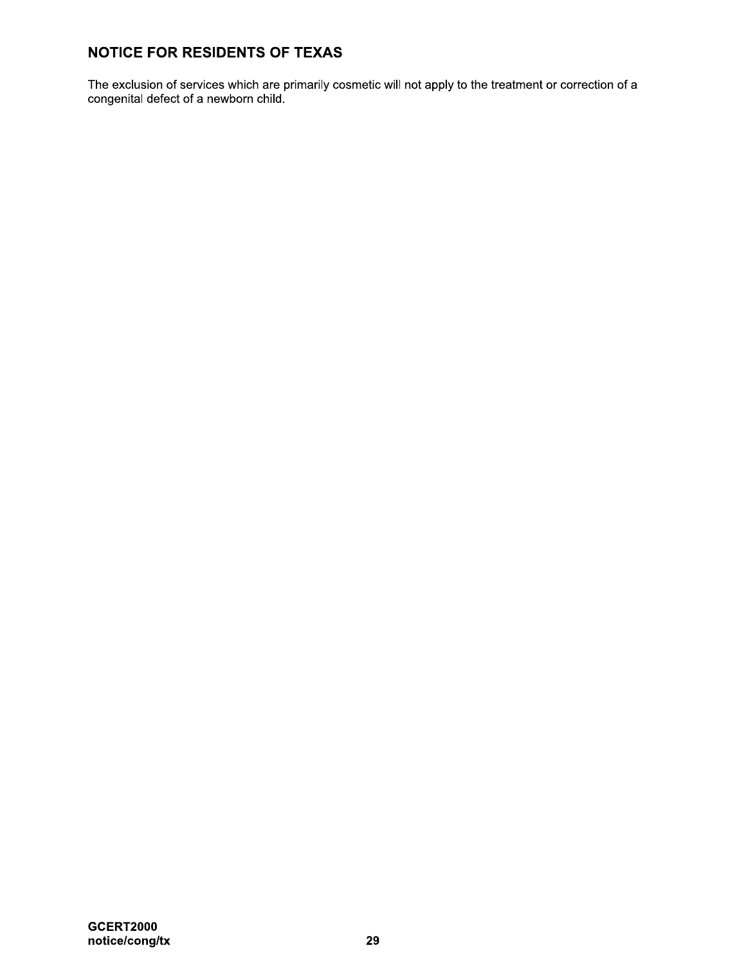## **NOTICE FOR RESIDENTS OF TEXAS**

The exclusion of services which are primarily cosmetic will not apply to the treatment or correction of a congenital defect of a newborn child.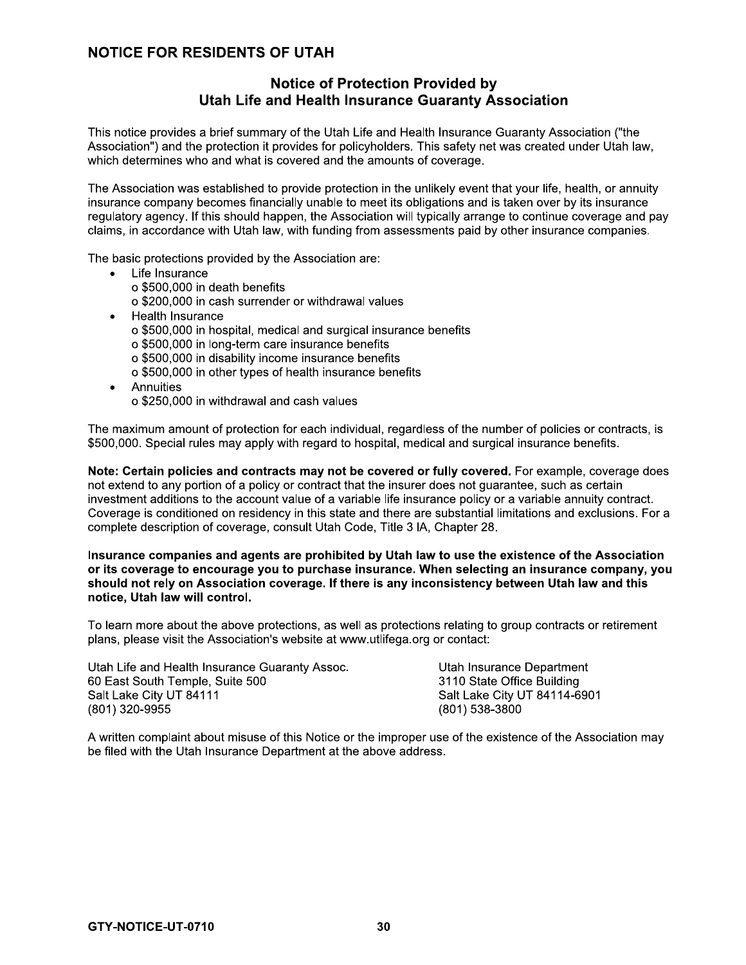### **NOTICE FOR RESIDENTS OF UTAH**

### **Notice of Protection Provided by** Utah Life and Health Insurance Guaranty Association

This notice provides a brief summary of the Utah Life and Health Insurance Guaranty Association ("the Association") and the protection it provides for policyholders. This safety net was created under Utah law, which determines who and what is covered and the amounts of coverage.

The Association was established to provide protection in the unlikely event that your life, health, or annuity insurance company becomes financially unable to meet its obligations and is taken over by its insurance regulatory agency. If this should happen, the Association will typically arrange to continue coverage and pay claims, in accordance with Utah law, with funding from assessments paid by other insurance companies.

The basic protections provided by the Association are:

- Life Insurance
	- o \$500,000 in death benefits
	- o \$200,000 in cash surrender or withdrawal values
- **Health Insurance**  $\bullet$ o \$500,000 in hospital, medical and surgical insurance benefits o \$500,000 in long-term care insurance benefits o \$500,000 in disability income insurance benefits o \$500,000 in other types of health insurance benefits
- Annuities o \$250,000 in withdrawal and cash values

The maximum amount of protection for each individual, regardless of the number of policies or contracts, is \$500,000. Special rules may apply with regard to hospital, medical and surgical insurance benefits.

Note: Certain policies and contracts may not be covered or fully covered. For example, coverage does not extend to any portion of a policy or contract that the insurer does not quarantee, such as certain investment additions to the account value of a variable life insurance policy or a variable annuity contract. Coverage is conditioned on residency in this state and there are substantial limitations and exclusions. For a complete description of coverage, consult Utah Code, Title 3 IA, Chapter 28.

Insurance companies and agents are prohibited by Utah law to use the existence of the Association or its coverage to encourage you to purchase insurance. When selecting an insurance company, you should not rely on Association coverage. If there is any inconsistency between Utah law and this notice, Utah law will control.

To learn more about the above protections, as well as protections relating to group contracts or retirement plans, please visit the Association's website at www.utlifega.org or contact:

| Utah Life and Health Insurance Guaranty Assoc. | Utah Insurance Department    |
|------------------------------------------------|------------------------------|
| 60 East South Temple, Suite 500                | 3110 State Office Building   |
| Salt Lake City UT 84111                        | Salt Lake City UT 84114-6901 |
| (801) 320-9955                                 | (801) 538-3800               |

A written complaint about misuse of this Notice or the improper use of the existence of the Association may be filed with the Utah Insurance Department at the above address.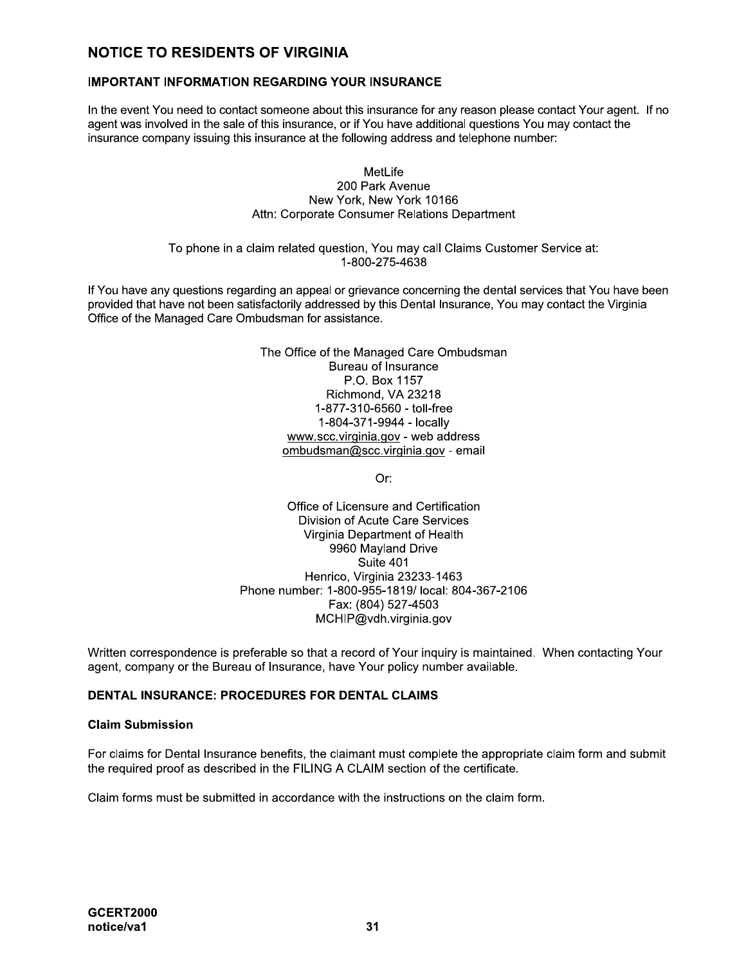### **NOTICE TO RESIDENTS OF VIRGINIA**

### **IMPORTANT INFORMATION REGARDING YOUR INSURANCE**

In the event You need to contact someone about this insurance for any reason please contact Your agent. If no agent was involved in the sale of this insurance, or if You have additional questions You may contact the insurance company issuing this insurance at the following address and telephone number:

#### MetLife 200 Park Avenue New York, New York 10166 Attn: Corporate Consumer Relations Department

To phone in a claim related question, You may call Claims Customer Service at: 1-800-275-4638

If You have any questions regarding an appeal or grievance concerning the dental services that You have been provided that have not been satisfactorily addressed by this Dental Insurance, You may contact the Virginia Office of the Managed Care Ombudsman for assistance.

> The Office of the Managed Care Ombudsman Bureau of Insurance P.O. Box 1157 Richmond, VA 23218 1-877-310-6560 - toll-free 1-804-371-9944 - locally www.scc.virginia.gov - web address ombudsman@scc.virginia.gov - email

> > Or:

Office of Licensure and Certification **Division of Acute Care Services** Virginia Department of Health 9960 Mayland Drive Suite 401 Henrico, Virginia 23233-1463 Phone number: 1-800-955-1819/ local: 804-367-2106 Fax: (804) 527-4503 MCHIP@vdh.virginia.gov

Written correspondence is preferable so that a record of Your inquiry is maintained. When contacting Your agent, company or the Bureau of Insurance, have Your policy number available.

### **DENTAL INSURANCE: PROCEDURES FOR DENTAL CLAIMS**

### **Claim Submission**

For claims for Dental Insurance benefits, the claimant must complete the appropriate claim form and submit the required proof as described in the FILING A CLAIM section of the certificate.

Claim forms must be submitted in accordance with the instructions on the claim form.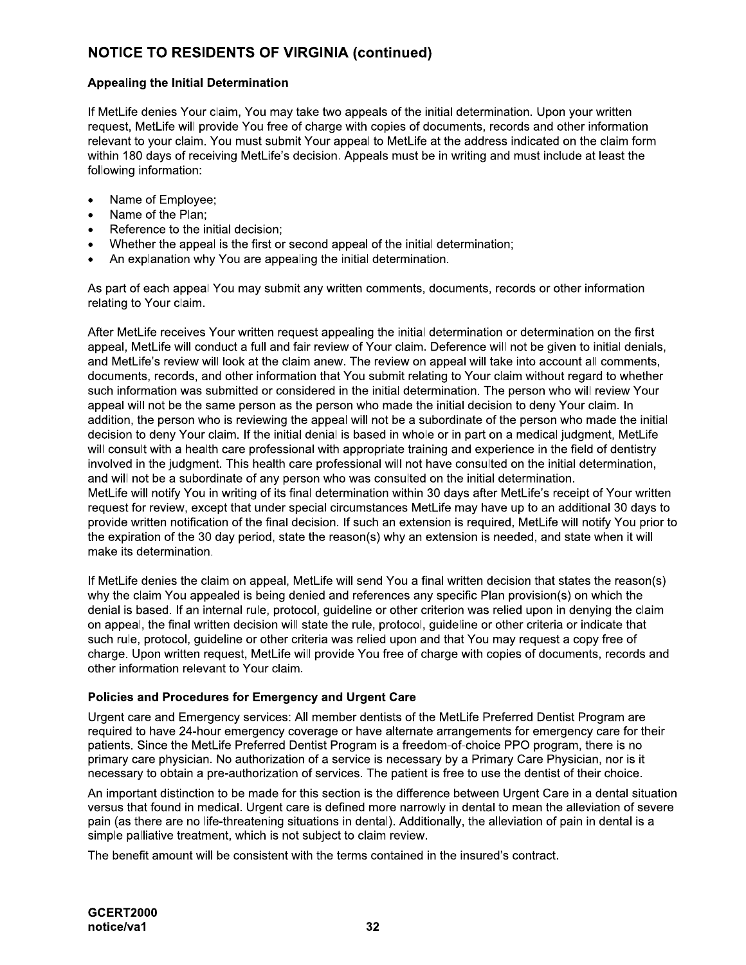## **NOTICE TO RESIDENTS OF VIRGINIA (continued)**

### **Appealing the Initial Determination**

If MetLife denies Your claim, You may take two appeals of the initial determination. Upon your written request, MetLife will provide You free of charge with copies of documents, records and other information relevant to your claim. You must submit Your appeal to MetLife at the address indicated on the claim form within 180 days of receiving MetLife's decision. Appeals must be in writing and must include at least the following information:

- Name of Employee;
- Name of the Plan;
- Reference to the initial decision;
- Whether the appeal is the first or second appeal of the initial determination;
- An explanation why You are appealing the initial determination.

As part of each appeal You may submit any written comments, documents, records or other information relating to Your claim.

After MetLife receives Your written request appealing the initial determination or determination on the first appeal, MetLife will conduct a full and fair review of Your claim. Deference will not be given to initial denials, and MetLife's review will look at the claim anew. The review on appeal will take into account all comments, documents, records, and other information that You submit relating to Your claim without regard to whether such information was submitted or considered in the initial determination. The person who will review Your appeal will not be the same person as the person who made the initial decision to deny Your claim. In addition, the person who is reviewing the appeal will not be a subordinate of the person who made the initial decision to deny Your claim. If the initial denial is based in whole or in part on a medical judgment, MetLife will consult with a health care professional with appropriate training and experience in the field of dentistry involved in the judgment. This health care professional will not have consulted on the initial determination, and will not be a subordinate of any person who was consulted on the initial determination. MetLife will notify You in writing of its final determination within 30 days after MetLife's receipt of Your written request for review, except that under special circumstances MetLife may have up to an additional 30 days to provide written notification of the final decision. If such an extension is required, MetLife will notify You prior to the expiration of the 30 day period, state the reason(s) why an extension is needed, and state when it will make its determination.

If MetLife denies the claim on appeal, MetLife will send You a final written decision that states the reason(s) why the claim You appealed is being denied and references any specific Plan provision(s) on which the denial is based. If an internal rule, protocol, guideline or other criterion was relied upon in denying the claim on appeal, the final written decision will state the rule, protocol, guideline or other criteria or indicate that such rule, protocol, guideline or other criteria was relied upon and that You may request a copy free of charge. Upon written request, MetLife will provide You free of charge with copies of documents, records and other information relevant to Your claim.

### Policies and Procedures for Emergency and Urgent Care

Urgent care and Emergency services: All member dentists of the MetLife Preferred Dentist Program are required to have 24-hour emergency coverage or have alternate arrangements for emergency care for their patients. Since the MetLife Preferred Dentist Program is a freedom-of-choice PPO program, there is no primary care physician. No authorization of a service is necessary by a Primary Care Physician, nor is it necessary to obtain a pre-authorization of services. The patient is free to use the dentist of their choice.

An important distinction to be made for this section is the difference between Urgent Care in a dental situation versus that found in medical. Urgent care is defined more narrowly in dental to mean the alleviation of severe pain (as there are no life-threatening situations in dental). Additionally, the alleviation of pain in dental is a simple palliative treatment, which is not subject to claim review.

The benefit amount will be consistent with the terms contained in the insured's contract.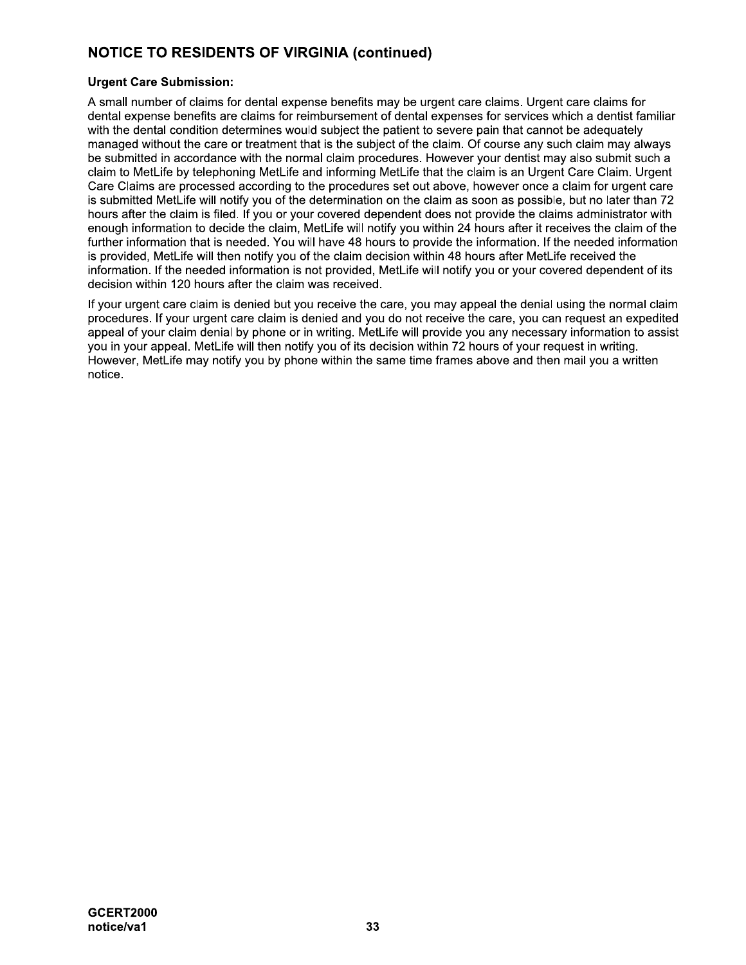## **NOTICE TO RESIDENTS OF VIRGINIA (continued)**

## **Urgent Care Submission:**

A small number of claims for dental expense benefits may be urgent care claims. Urgent care claims for dental expense benefits are claims for reimbursement of dental expenses for services which a dentist familiar with the dental condition determines would subject the patient to severe pain that cannot be adequately managed without the care or treatment that is the subject of the claim. Of course any such claim may always be submitted in accordance with the normal claim procedures. However your dentist may also submit such a claim to MetLife by telephoning MetLife and informing MetLife that the claim is an Urgent Care Claim. Urgent Care Claims are processed according to the procedures set out above, however once a claim for urgent care is submitted MetLife will notify you of the determination on the claim as soon as possible, but no later than 72 hours after the claim is filed. If you or your covered dependent does not provide the claims administrator with enough information to decide the claim, MetLife will notify you within 24 hours after it receives the claim of the further information that is needed. You will have 48 hours to provide the information. If the needed information is provided, MetLife will then notify you of the claim decision within 48 hours after MetLife received the information. If the needed information is not provided. MetLife will notify you or your covered dependent of its decision within 120 hours after the claim was received.

If your urgent care claim is denied but you receive the care, you may appeal the denial using the normal claim procedures. If your urgent care claim is denied and you do not receive the care, you can request an expedited appeal of your claim denial by phone or in writing. MetLife will provide you any necessary information to assist you in your appeal. MetLife will then notify you of its decision within 72 hours of your request in writing. However, MetLife may notify you by phone within the same time frames above and then mail you a written notice.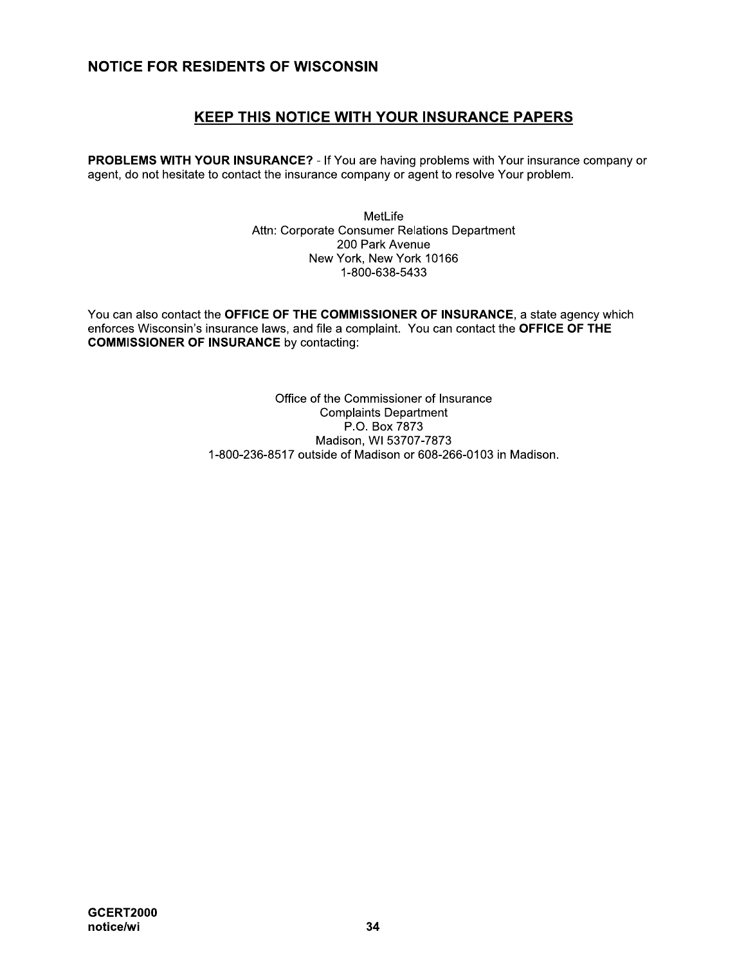## KEEP THIS NOTICE WITH YOUR INSURANCE PAPERS

PROBLEMS WITH YOUR INSURANCE? - If You are having problems with Your insurance company or agent, do not hesitate to contact the insurance company or agent to resolve Your problem.

> MetLife Attn: Corporate Consumer Relations Department 200 Park Avenue New York, New York 10166 1-800-638-5433

You can also contact the OFFICE OF THE COMMISSIONER OF INSURANCE, a state agency which enforces Wisconsin's insurance laws, and file a complaint. You can contact the OFFICE OF THE **COMMISSIONER OF INSURANCE by contacting:** 

> Office of the Commissioner of Insurance **Complaints Department** P.O. Box 7873 Madison, WI 53707-7873 1-800-236-8517 outside of Madison or 608-266-0103 in Madison.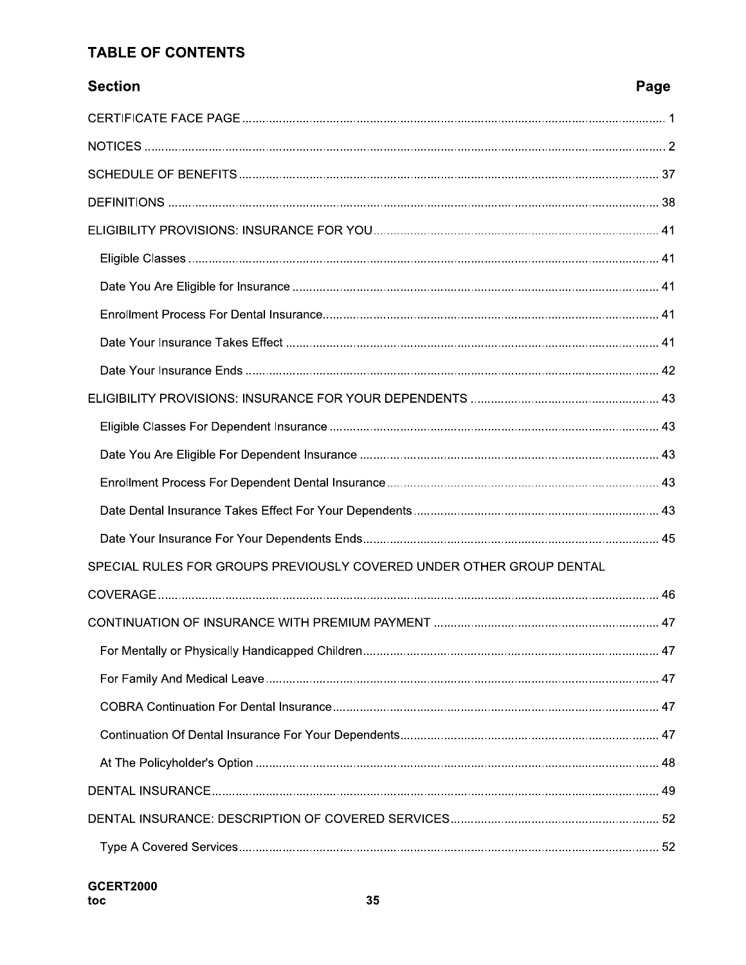## **TABLE OF CONTENTS**

| <b>Section</b>                                                       | Page |
|----------------------------------------------------------------------|------|
|                                                                      |      |
|                                                                      |      |
|                                                                      |      |
|                                                                      |      |
|                                                                      |      |
|                                                                      |      |
|                                                                      |      |
|                                                                      |      |
|                                                                      |      |
|                                                                      |      |
|                                                                      |      |
|                                                                      |      |
|                                                                      |      |
|                                                                      |      |
|                                                                      |      |
|                                                                      |      |
| SPECIAL RULES FOR GROUPS PREVIOUSLY COVERED UNDER OTHER GROUP DENTAL |      |
|                                                                      |      |
|                                                                      |      |
|                                                                      |      |
|                                                                      |      |
|                                                                      |      |
|                                                                      |      |
|                                                                      |      |
|                                                                      |      |
|                                                                      |      |
|                                                                      |      |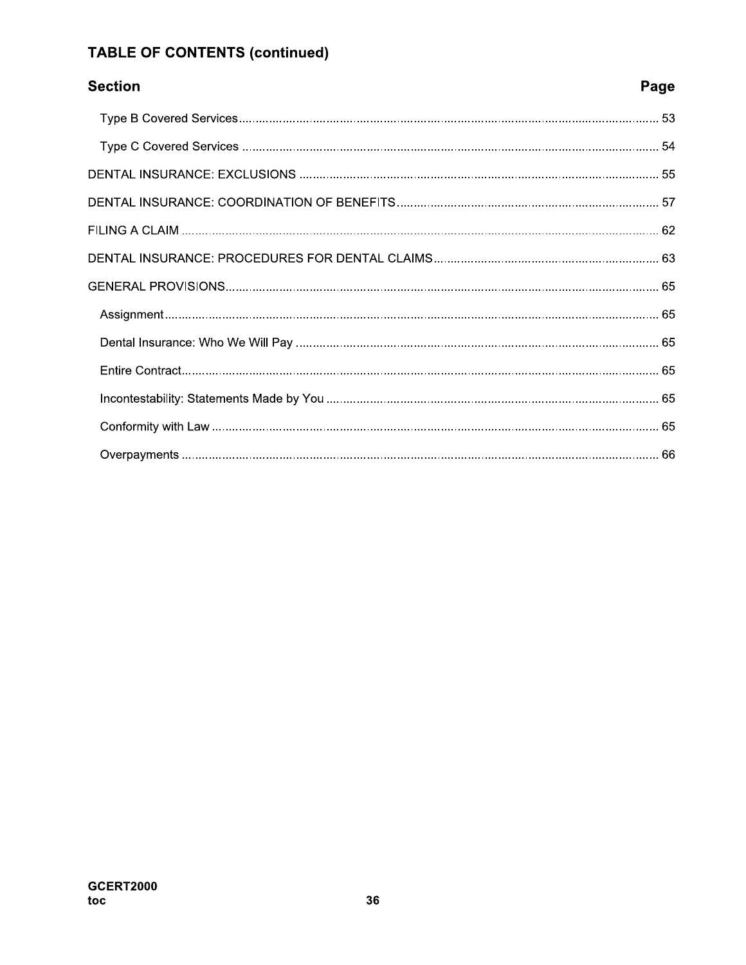# **TABLE OF CONTENTS (continued)**

| <b>Section</b> | Page |
|----------------|------|
|                |      |
|                |      |
|                |      |
|                |      |
|                |      |
|                |      |
|                |      |
|                |      |
|                |      |
|                |      |
|                |      |
|                |      |
|                |      |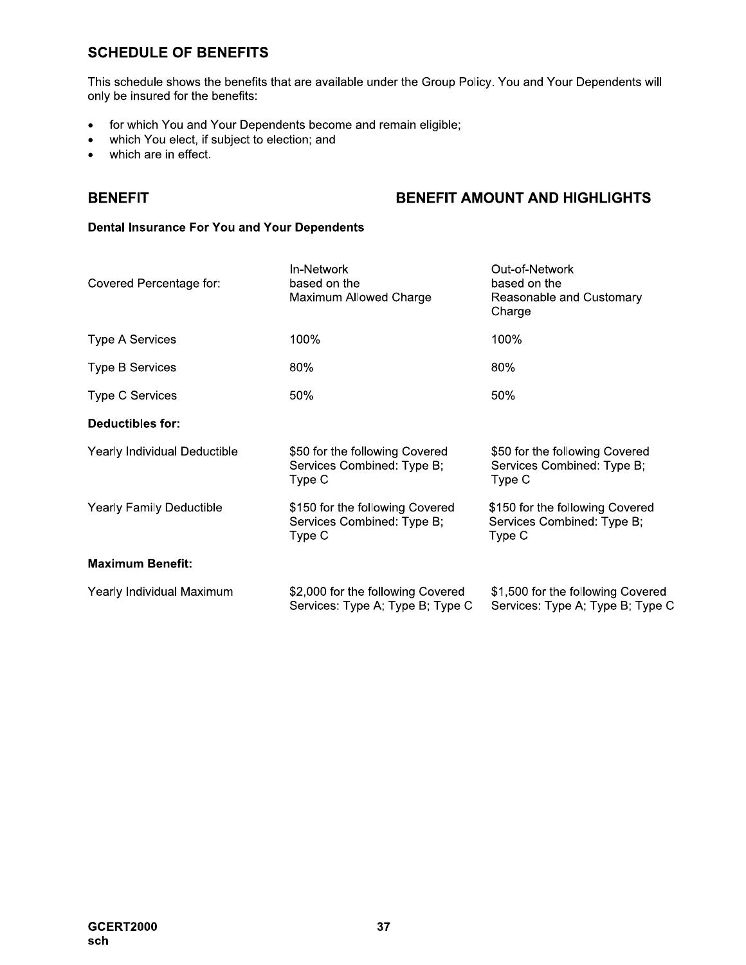## **SCHEDULE OF BENEFITS**

This schedule shows the benefits that are available under the Group Policy. You and Your Dependents will only be insured for the benefits:

- for which You and Your Dependents become and remain eligible;  $\bullet$
- which You elect, if subject to election; and  $\bullet$
- which are in effect.  $\bullet$

## **BENEFIT**

## **BENEFIT AMOUNT AND HIGHLIGHTS**

## **Dental Insurance For You and Your Dependents**

| Covered Percentage for:         | In-Network<br>based on the<br>Maximum Allowed Charge                    | Out-of-Network<br>based on the<br>Reasonable and Customary<br>Charge    |
|---------------------------------|-------------------------------------------------------------------------|-------------------------------------------------------------------------|
| <b>Type A Services</b>          | 100%                                                                    | 100%                                                                    |
| <b>Type B Services</b>          | 80%                                                                     | 80%                                                                     |
| <b>Type C Services</b>          | 50%                                                                     | 50%                                                                     |
| Deductibles for:                |                                                                         |                                                                         |
| Yearly Individual Deductible    | \$50 for the following Covered<br>Services Combined: Type B;<br>Type C  | \$50 for the following Covered<br>Services Combined: Type B;<br>Type C  |
| <b>Yearly Family Deductible</b> | \$150 for the following Covered<br>Services Combined: Type B;<br>Type C | \$150 for the following Covered<br>Services Combined: Type B;<br>Type C |
| <b>Maximum Benefit:</b>         |                                                                         |                                                                         |
| Yearly Individual Maximum       | \$2,000 for the following Covered<br>Services: Type A; Type B; Type C   | \$1,500 for the following Covered<br>Services: Type A; Type B; Type C   |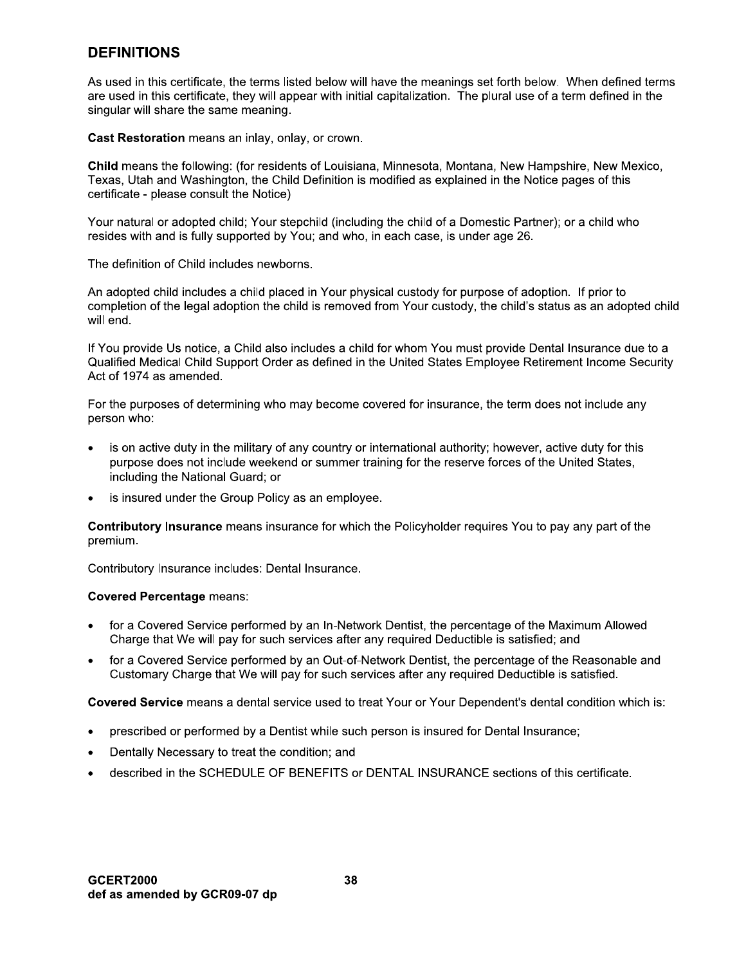## **DEFINITIONS**

As used in this certificate, the terms listed below will have the meanings set forth below. When defined terms are used in this certificate, they will appear with initial capitalization. The plural use of a term defined in the singular will share the same meaning.

Cast Restoration means an inlay, onlay, or crown.

Child means the following: (for residents of Louisiana, Minnesota, Montana, New Hampshire, New Mexico, Texas, Utah and Washington, the Child Definition is modified as explained in the Notice pages of this certificate - please consult the Notice)

Your natural or adopted child; Your stepchild (including the child of a Domestic Partner); or a child who resides with and is fully supported by You; and who, in each case, is under age 26.

The definition of Child includes newborns.

An adopted child includes a child placed in Your physical custody for purpose of adoption. If prior to completion of the legal adoption the child is removed from Your custody, the child's status as an adopted child will end.

If You provide Us notice, a Child also includes a child for whom You must provide Dental Insurance due to a Qualified Medical Child Support Order as defined in the United States Employee Retirement Income Security Act of 1974 as amended.

For the purposes of determining who may become covered for insurance, the term does not include any person who:

- is on active duty in the military of any country or international authority; however, active duty for this purpose does not include weekend or summer training for the reserve forces of the United States, including the National Guard; or
- is insured under the Group Policy as an employee.  $\bullet$

Contributory Insurance means insurance for which the Policyholder requires You to pay any part of the premium.

Contributory Insurance includes: Dental Insurance.

#### **Covered Percentage means:**

- for a Covered Service performed by an In-Network Dentist, the percentage of the Maximum Allowed Charge that We will pay for such services after any required Deductible is satisfied; and
- for a Covered Service performed by an Out-of-Network Dentist, the percentage of the Reasonable and Customary Charge that We will pay for such services after any required Deductible is satisfied.

Covered Service means a dental service used to treat Your or Your Dependent's dental condition which is:

- prescribed or performed by a Dentist while such person is insured for Dental Insurance;
- Dentally Necessary to treat the condition; and
- described in the SCHEDULE OF BENEFITS or DENTAL INSURANCE sections of this certificate.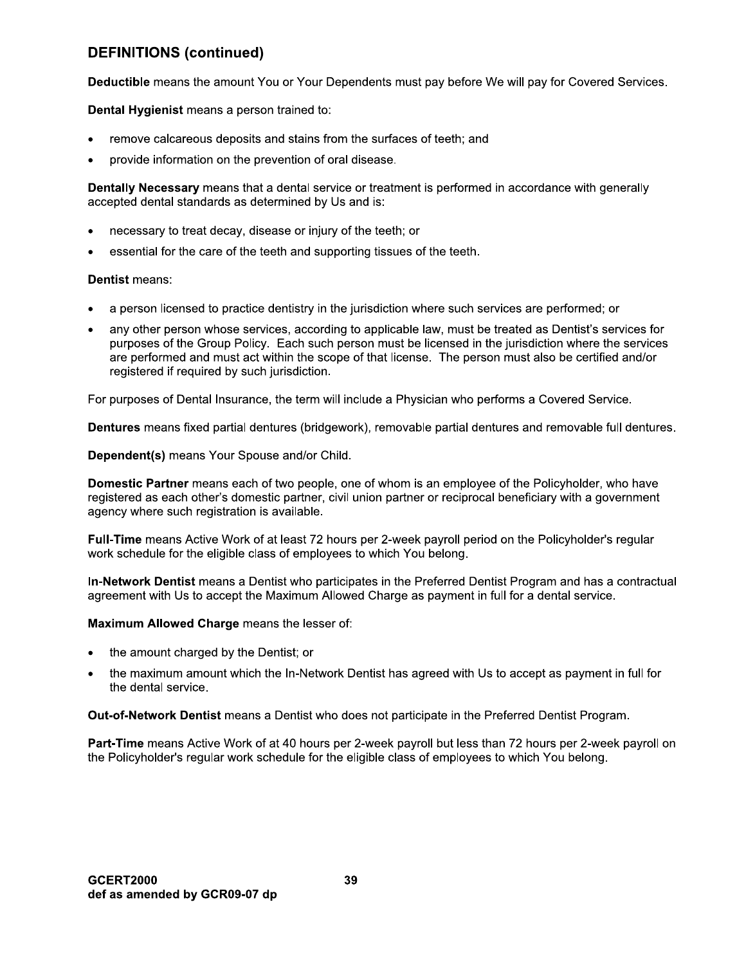## **DEFINITIONS (continued)**

Deductible means the amount You or Your Dependents must pay before We will pay for Covered Services.

Dental Hygienist means a person trained to:

- remove calcareous deposits and stains from the surfaces of teeth; and
- provide information on the prevention of oral disease.

Dentally Necessary means that a dental service or treatment is performed in accordance with generally accepted dental standards as determined by Us and is:

- necessary to treat decay, disease or injury of the teeth; or
- essential for the care of the teeth and supporting tissues of the teeth.

### **Dentist means:**

- a person licensed to practice dentistry in the jurisdiction where such services are performed; or
- any other person whose services, according to applicable law, must be treated as Dentist's services for purposes of the Group Policy. Each such person must be licensed in the jurisdiction where the services are performed and must act within the scope of that license. The person must also be certified and/or registered if required by such jurisdiction.

For purposes of Dental Insurance, the term will include a Physician who performs a Covered Service.

Dentures means fixed partial dentures (bridgework), removable partial dentures and removable full dentures.

Dependent(s) means Your Spouse and/or Child.

Domestic Partner means each of two people, one of whom is an employee of the Policyholder, who have registered as each other's domestic partner, civil union partner or reciprocal beneficiary with a government agency where such registration is available.

Full-Time means Active Work of at least 72 hours per 2-week payroll period on the Policyholder's regular work schedule for the eligible class of employees to which You belong.

In-Network Dentist means a Dentist who participates in the Preferred Dentist Program and has a contractual agreement with Us to accept the Maximum Allowed Charge as payment in full for a dental service.

Maximum Allowed Charge means the lesser of:

- the amount charged by the Dentist; or
- the maximum amount which the In-Network Dentist has agreed with Us to accept as payment in full for the dental service.

**Out-of-Network Dentist** means a Dentist who does not participate in the Preferred Dentist Program.

Part-Time means Active Work of at 40 hours per 2-week payroll but less than 72 hours per 2-week payroll on the Policyholder's regular work schedule for the eligible class of employees to which You belong.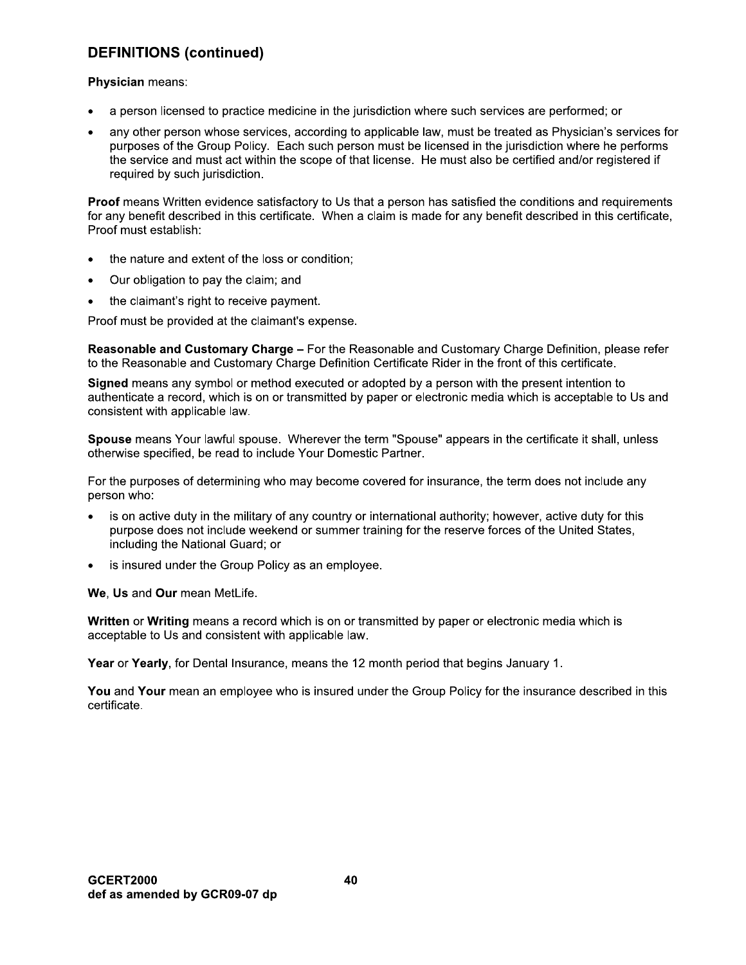## **DEFINITIONS (continued)**

## Physician means:

- a person licensed to practice medicine in the jurisdiction where such services are performed; or
- any other person whose services, according to applicable law, must be treated as Physician's services for purposes of the Group Policy. Each such person must be licensed in the jurisdiction where he performs the service and must act within the scope of that license. He must also be certified and/or registered if required by such jurisdiction.

Proof means Written evidence satisfactory to Us that a person has satisfied the conditions and requirements for any benefit described in this certificate. When a claim is made for any benefit described in this certificate. Proof must establish:

- the nature and extent of the loss or condition;
- Our obligation to pay the claim; and  $\bullet$
- the claimant's right to receive payment.

Proof must be provided at the claimant's expense.

Reasonable and Customary Charge - For the Reasonable and Customary Charge Definition, please refer to the Reasonable and Customary Charge Definition Certificate Rider in the front of this certificate.

Signed means any symbol or method executed or adopted by a person with the present intention to authenticate a record, which is on or transmitted by paper or electronic media which is acceptable to Us and consistent with applicable law.

Spouse means Your lawful spouse. Wherever the term "Spouse" appears in the certificate it shall, unless otherwise specified, be read to include Your Domestic Partner.

For the purposes of determining who may become covered for insurance, the term does not include any person who:

- is on active duty in the military of any country or international authority; however, active duty for this purpose does not include weekend or summer training for the reserve forces of the United States, including the National Guard; or
- is insured under the Group Policy as an employee.

We, Us and Our mean MetLife.

Written or Writing means a record which is on or transmitted by paper or electronic media which is acceptable to Us and consistent with applicable law.

Year or Yearly, for Dental Insurance, means the 12 month period that begins January 1.

You and Your mean an employee who is insured under the Group Policy for the insurance described in this certificate.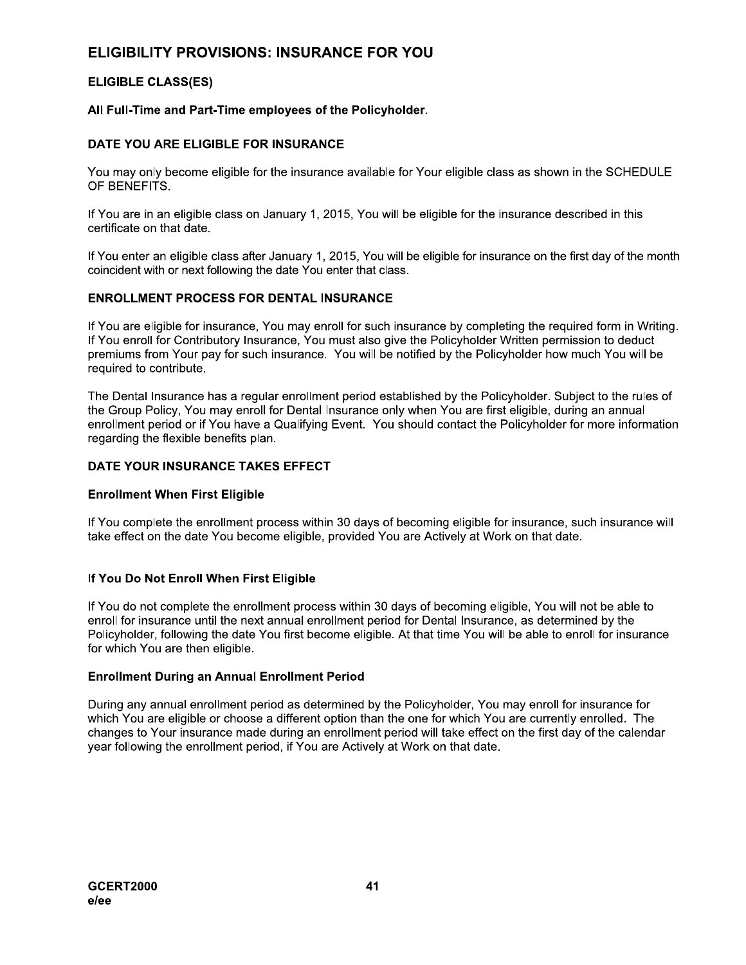# ELIGIBILITY PROVISIONS: INSURANCE FOR YOU

#### $\mathbb{Z}^2$ ELIGIBLE CLASS(ES)

All Full-Time and Part-Time employees of the Policyholder.

## DATE YOU ARE ELIGIBLE FOR INSURANCE

**ELIGIBILITY PROVISIONS: INSURANCE FOR YOU<br>ELIGIBLE CLASS(ES)<br>All Full-Time and Part-Time employees of the Policyholder.<br>DATE YOU ARE ELIGIBLE FOR INSURANCE<br>You may only become eligible for the insurance available for Your**  $\mathbf{r}$ You may only become eligible for the insurance available for Your eligible class as shown in the SCHEDULE OF BENEFITS.

 $\mathbf{r}$ If You are in an eiigible class on January 1, 2015, You will be eiigible for the insurance described in this certificate on that date.

 $\ddotsc$ If You enter an eiigible class after January 1, 2015, You will be eiigible for insurance on the first day of the month coincident with or next following the date You enter that class.

#### $\overline{a}$ ENRULLMENT PROCESS FOR DENTAL INSURANCE

 $\mathbf{r}$ If You are eligible for insurance, You may enroll for such insurance by completing the required form in viriting. If You enroll for Contributory Insurance, You must also give the Policyholder Written permission to deduct premiums from Your pay for such insurance. You will be notified by the Policyholder how much You will be required to contribute.

 $\overline{\phantom{a}}$ The Dental Insurance has a regular enrollment period established by the Policyholder. Subject to the rules of the Group Policy, You may enroll for Dental Insurance only when You are first eligible, during an annual enrollment period or if You have a Qualifying Event. You should contact the Policyholder for more information regarding the flexible benefits plan. The Dental Insurance has a regular enrollment period established by the Policyholder. Subject to the ulles of<br>
the Group Policy, You may enroll for Dental Insurance only when You are first eligible, during an annual<br>
engar

#### $\mathbf{r}$ <u>DATE YOUR IN</u>

## If You Do Not Enroll When First Eligible

**DATE YOUR INSURANCE TAKES EFFECT**<br> **Enrollment When First Eligible**<br>
If You complete the enrollment process within 30 days of becoming eligible for insurance, such insurance will<br>
take effect on the date You become eligib If You Do Not Enroll When First Eligible<br>If You do not complete the enrollment process within 30 days of becoming eligible, You will not be able to<br>enroll for insurance until the next annual enrollment period for Dental In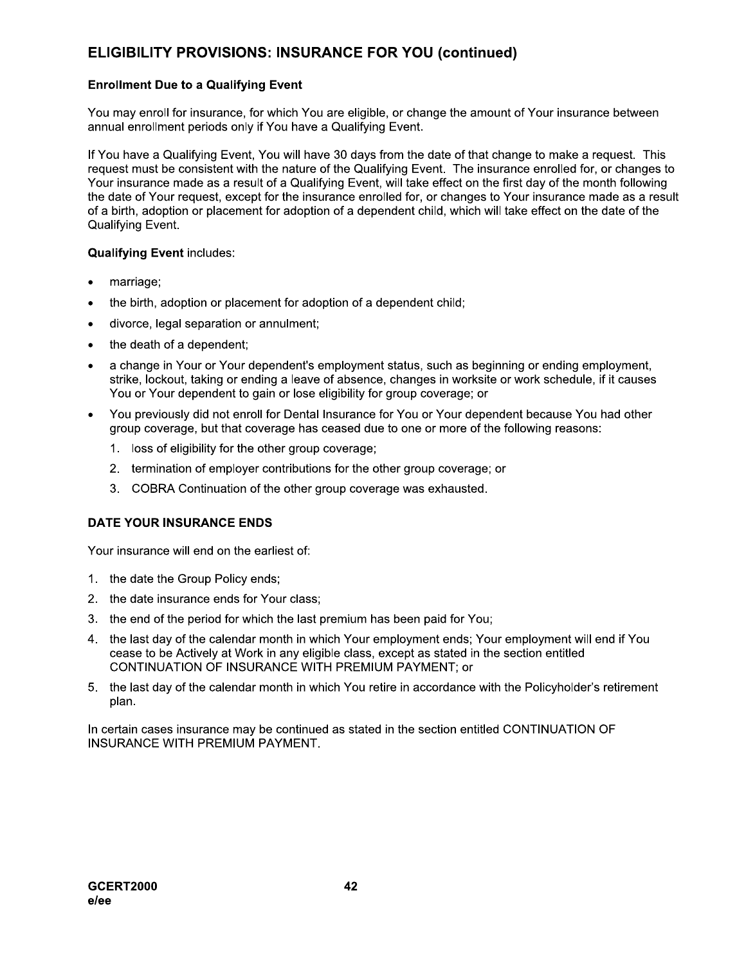## ELIGIBILITY PROVISIONS: INSURANCE FOR YOU (continued)

You may enroll for insurance, for which You are eligible, or change the amount of Your insurance between annual enrollment periods only if You have a Qualifying Event.

**ELIGIBILITY PROVISIONS: INSURA**<br> **Enrollment Due to a Qualifying Event**<br>
You may enroll for insurance, for which You a<br>
annual enrollment periods only if You have a<br>
If You have a Qualifying Event, You will have<br>
request If You have a Qualifying Event, You will have 30 days from the date of that change to make a request. This request must be consistent with the nature of the Qualifying Event. The insurance enrolled for, or changes to Your insurance made as a result of a Qualifying Event, will take effect on the first day of the month following the date of Your request, except for the insurance enrolled for, or changes to Your insurance made as a result of a birth, adoption or placement for adoption of a dependent child, which will take effect on the date of the Qualifying Event. If You have a Qualifying Event, You will have 30 days from the date of that change to make a request. This<br>request must be consistent with the nature of the Qualifying Event. The insurance enrolled for, or changes t<br>Your i

- 
- 
- 
- 
- You or Your dependent to gain or lose eligibility for group coverage; or
- You previously did not enroll for Dental Insurance for You or Your dependent because You had other group coverage, but that coverage has ceased due to one or more of the following reasons:
	- 1. loss of eligibility for the other group coverage;
	- 2. termination of employer contributions for the other group coverage; or
	- 3. COBRA Continuation of the other group coverage was exhausted.

## DATE YOUR INSURANCE ENDS

Your insurance will end on the earliest of:

- 1. the date the Group Policy ends:
- 2. the date insurance ends for Your class:
- 3. the end of the period for which the last premium has been paid for You;
- 4. the last day of the calendar month in which Your employment ends: Your employment will end if You cease to be Actively at Work in any eligible class, except as stated in the section entitled CONTINUATION OF INSURANCE WITH PREMIUM PAYMENT; or
- 5. the last day of the calendar month in which You retire in accordance with the Policyholder's retirement plan.

In certain cases insurance may be continued as stated in the section entitled CONTINUATION OF INSURANCE WITH PREMIUM PAYMENT.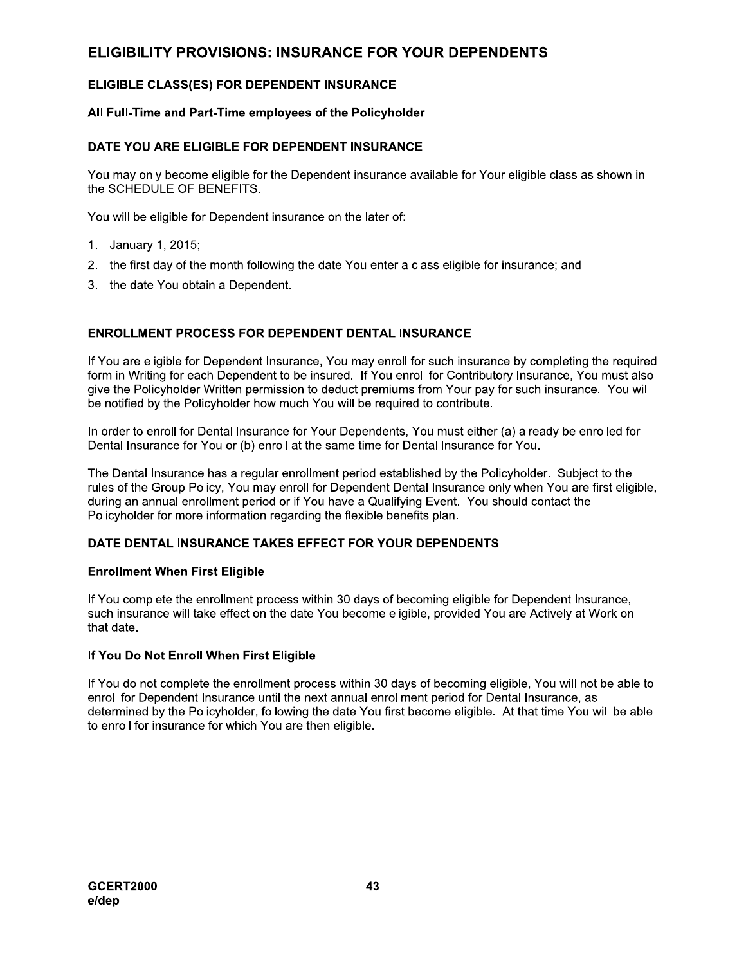# ELIGIBILITY PROVISIONS: INSURANCE FOR YOUR DEPENDENTS

#### $\mathbf{L}$ ELIGIBLE CLASS(ES) FOR DEPENDENT INSURANCE

## All Full-Time and Part-Time employees of the Policyholder.

## DATE YOU ARE ELIGIBLE FOR DEPENDENT INSURANCE

ELIGIBILITY PROVISIONS: INSURANCE FOR YOUR I<br>ELIGIBLE CLASS(ES) FOR DEPENDENT INSURANCE<br>All Full-Time and Part-Time employees of the Policyholder.<br>DATE YOU ARE ELIGIBLE FOR DEPENDENT INSURANCE<br>You may only become eligible  $\mathbf{r}$ You may only become eligible for the Dependent insurance available for Your eligible class as shown in the SCHEDULE OF BENEFITS.

 $\mathbf{r}$ You will be eligible for Dependent insurance on the later of:

- 1. January 1, 2015;
- 2. the first day of the month following the date You enter a class eligible for insurance; and
- 3. the date You obtain a Dependent.

#### $\overline{\phantom{a}}$ ENROLLMENT PROCESS FOR DEPENDENT DENTAL INSURANCE

 $\ddotsc$ If You are eligible for Dependent Insurance, You may enroll for such insurance by completing the required form in Writing for each Dependent to be insured. If You enroll for Contributory Insurance, You must also give the Policyholder Written permission to deduct premiums from Your pay for such insurance. You will be notified by the Policyholder how much You will be required to contribute.

J. In order to enroll for Dental Insurance for Your Dependents, You must either (a) aiready be enrolled for Dental Insurance for You or (b) enroll at the same time for Dental Insurance for You.

 $\overline{\phantom{a}}$ The Dental Insurance has a regular enrollment period established by the Policyholder. Subject to the rules of the Group Policy, You may enroll for Dependent Dental Insurance only when You are first eligible, during an annual enrollment period or if You have a Qualifying Event. You should contact the Policyholder for more information regarding the flexible benefits plan. The Dental Insurance has a regular enrollment period established by the Policy<br>rules of the Group Policy, You may enroll for Dependent Dental Insurance only<br>during an annual enrollment period or if You have a Qualifying Ev

#### $\mathbf{r}$ DATE DENTAL INSURANCE TAKES EFFECT FOR YOU

If You complete the enrollment process within 30 days of becoming eligible for Dependent Insurance, such insurance will take effect on the date You become eligible, provided You are Actively at Work on that date.

#### $\mathbf{r}$ IT.

DATE DENTAL INSURANCE TAKES EFFECT FOR YOUR DEPENDENTS<br>Enrollment When First Eligible<br>If You complete the enrollment process within 30 days of becoming eligible for Dependent Insurance,<br>such insurance will take effect on t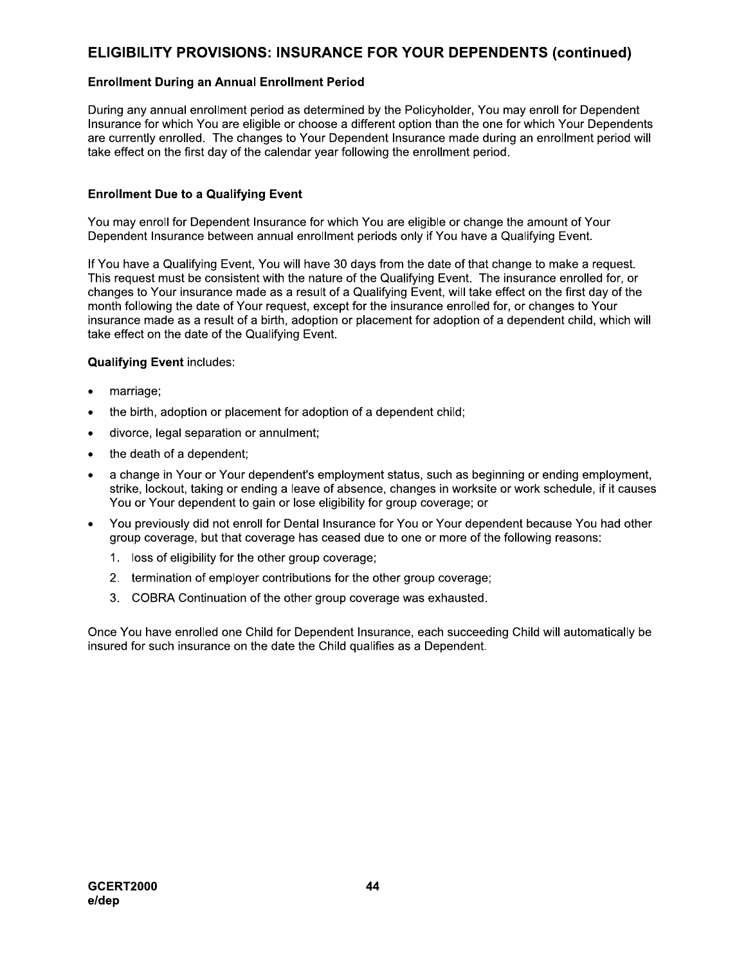## **ELIGIBILITY PROVISIONS: INSURANCE FOR YOUR DEPENDENTS (continued)**

## **Enrollment During an Annual Enrollment Period**

During any annual enrollment period as determined by the Policyholder. You may enroll for Dependent Insurance for which You are eligible or choose a different option than the one for which Your Dependents are currently enrolled. The changes to Your Dependent Insurance made during an enrollment period will take effect on the first day of the calendar year following the enrollment period.

## **Enrollment Due to a Qualifying Event**

You may enroll for Dependent Insurance for which You are eligible or change the amount of Your Dependent Insurance between annual enrollment periods only if You have a Qualifying Event.

If You have a Qualifying Event, You will have 30 days from the date of that change to make a request. This request must be consistent with the nature of the Qualifying Event. The insurance enrolled for, or changes to Your insurance made as a result of a Qualifying Event, will take effect on the first day of the month following the date of Your request, except for the insurance enrolled for, or changes to Your insurance made as a result of a birth, adoption or placement for adoption of a dependent child, which will take effect on the date of the Qualifying Event.

#### **Qualifying Event includes:**

- marriage;  $\bullet$
- the birth, adoption or placement for adoption of a dependent child;
- divorce, legal separation or annulment;  $\bullet$
- the death of a dependent;
- a change in Your or Your dependent's employment status, such as beginning or ending employment, strike, lockout, taking or ending a leave of absence, changes in worksite or work schedule, if it causes You or Your dependent to gain or lose eligibility for group coverage; or
- You previously did not enroll for Dental Insurance for You or Your dependent because You had other group coverage, but that coverage has ceased due to one or more of the following reasons:
	- 1. loss of eligibility for the other group coverage;
	- 2. termination of employer contributions for the other group coverage;
	- 3. COBRA Continuation of the other group coverage was exhausted.

Once You have enrolled one Child for Dependent Insurance, each succeeding Child will automatically be insured for such insurance on the date the Child qualifies as a Dependent.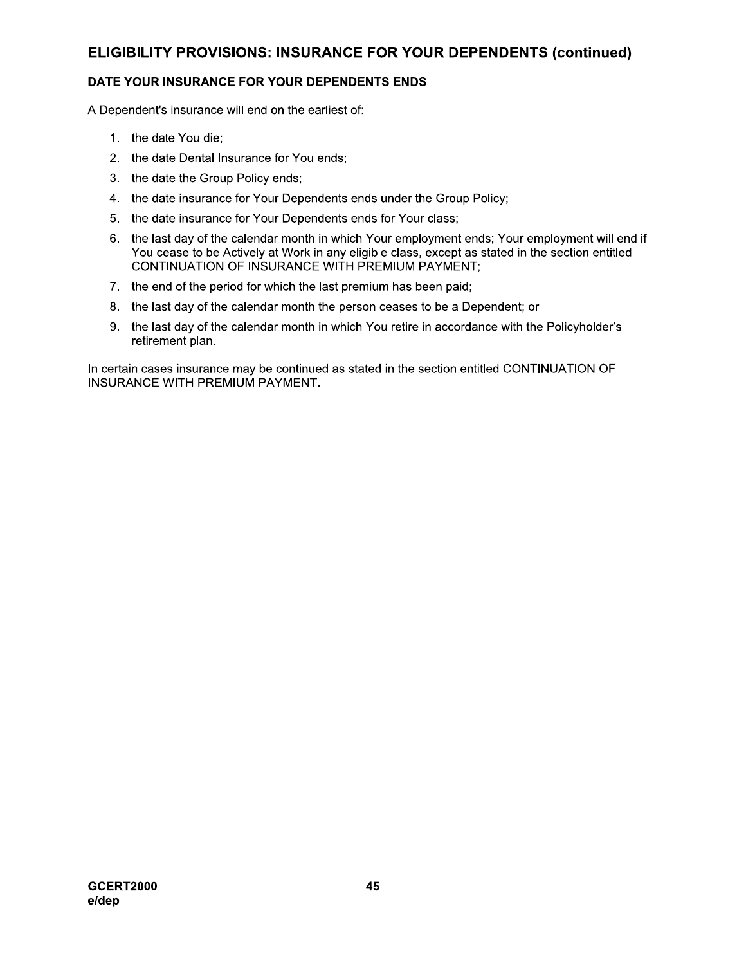## **ELIGIBILITY PROVISIONS: INSURANCE FOR YOUR DEPENDENTS (continued)**

## DATE YOUR INSURANCE FOR YOUR DEPENDENTS ENDS

A Dependent's insurance will end on the earliest of:

- 1. the date You die:
- 2. the date Dental Insurance for You ends;
- 3. the date the Group Policy ends;
- 4. the date insurance for Your Dependents ends under the Group Policy;
- 5. the date insurance for Your Dependents ends for Your class;
- 6. the last day of the calendar month in which Your employment ends; Your employment will end if You cease to be Actively at Work in any eligible class, except as stated in the section entitled CONTINUATION OF INSURANCE WITH PREMIUM PAYMENT;
- 7. the end of the period for which the last premium has been paid;
- 8. the last day of the calendar month the person ceases to be a Dependent; or
- 9. the last day of the calendar month in which You retire in accordance with the Policyholder's retirement plan.

In certain cases insurance may be continued as stated in the section entitled CONTINUATION OF INSURANCE WITH PREMIUM PAYMENT.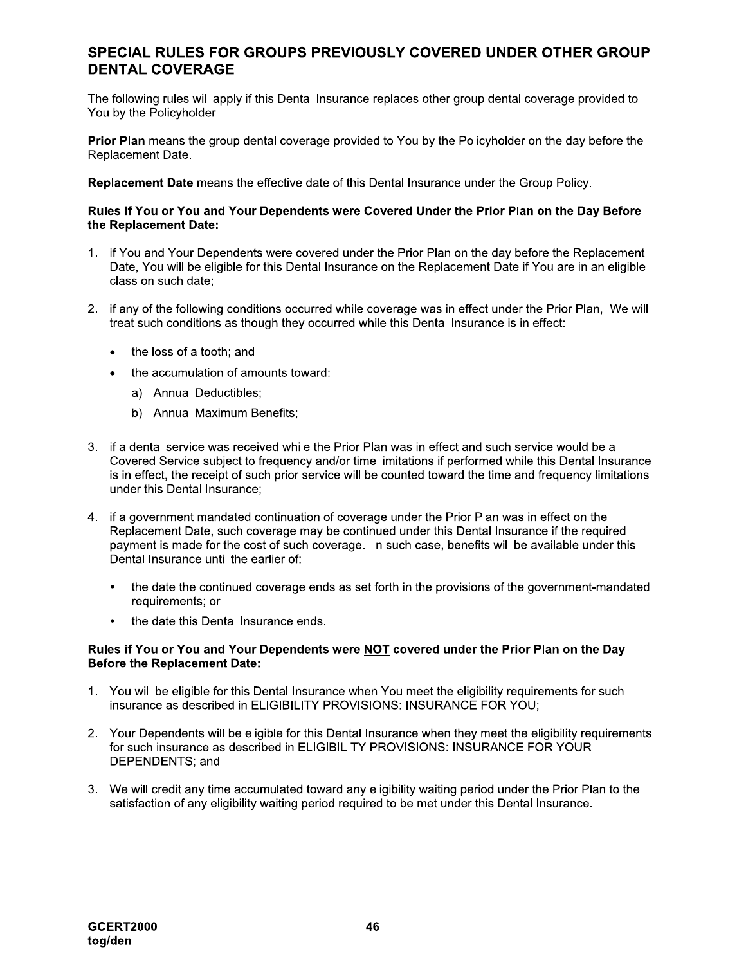## SPECIAL RULES FOR GROUPS PREVIOUSLY COVERED UNDER OTHER GROUP **DENTAL COVERAGE**

The following rules will apply if this Dental Insurance replaces other group dental coverage provided to You by the Policyholder.

Prior Plan means the group dental coverage provided to You by the Policyholder on the day before the Replacement Date.

Replacement Date means the effective date of this Dental Insurance under the Group Policy.

#### Rules if You or You and Your Dependents were Covered Under the Prior Plan on the Day Before the Replacement Date:

- 1. if You and Your Dependents were covered under the Prior Plan on the day before the Replacement Date, You will be eligible for this Dental Insurance on the Replacement Date if You are in an eligible class on such date:
- 2. if any of the following conditions occurred while coverage was in effect under the Prior Plan, We will treat such conditions as though they occurred while this Dental Insurance is in effect:
	- the loss of a tooth; and
	- the accumulation of amounts toward:
		- a) Annual Deductibles;
		- b) Annual Maximum Benefits;
- 3. If a dental service was received while the Prior Plan was in effect and such service would be a Covered Service subject to frequency and/or time limitations if performed while this Dental Insurance is in effect, the receipt of such prior service will be counted toward the time and frequency limitations under this Dental Insurance;
- 4. If a government mandated continuation of coverage under the Prior Plan was in effect on the Replacement Date, such coverage may be continued under this Dental Insurance if the required payment is made for the cost of such coverage. In such case, benefits will be available under this Dental Insurance until the earlier of:
	- the date the continued coverage ends as set forth in the provisions of the government-mandated requirements; or
	- the date this Dental Insurance ends.

#### Rules if You or You and Your Dependents were NOT covered under the Prior Plan on the Day **Before the Replacement Date:**

- 1. You will be eligible for this Dental Insurance when You meet the eligibility requirements for such insurance as described in ELIGIBILITY PROVISIONS: INSURANCE FOR YOU;
- 2. Your Dependents will be eligible for this Dental Insurance when they meet the eligibility requirements for such insurance as described in ELIGIBILITY PROVISIONS: INSURANCE FOR YOUR DEPENDENTS; and
- 3. We will credit any time accumulated toward any eligibility waiting period under the Prior Plan to the satisfaction of any eligibility waiting period required to be met under this Dental Insurance.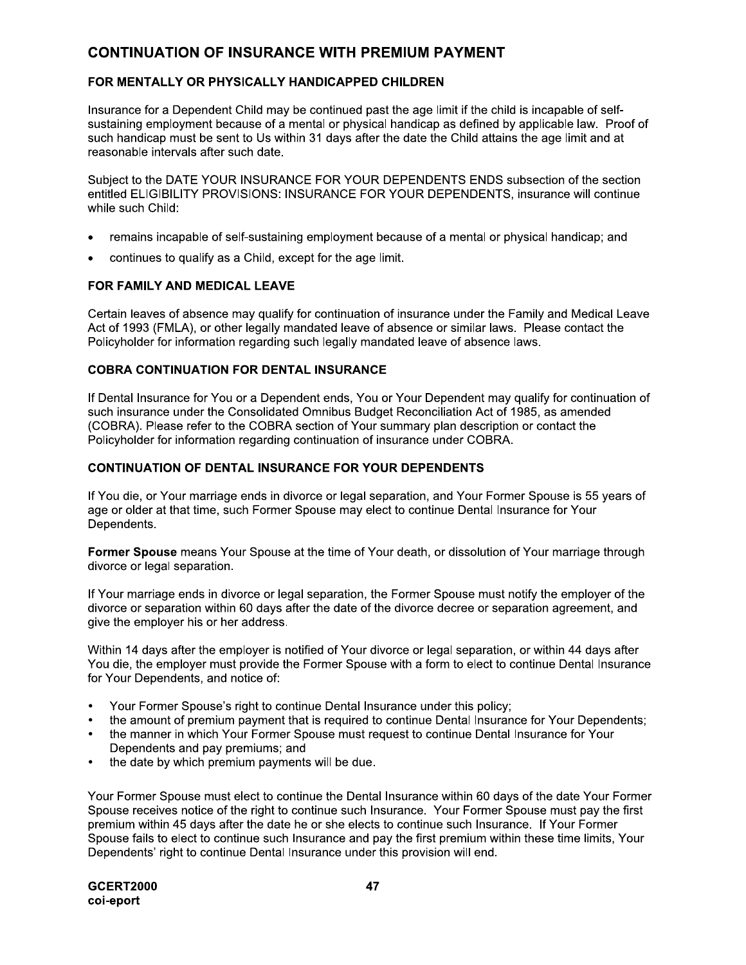## **CONTINUATION OF INSURANCE WITH PREMIUM PAYMENT**

## FOR MENTALLY OR PHYSICALLY HANDICAPPED CHILDREN

Insurance for a Dependent Child may be continued past the age limit if the child is incapable of selfsustaining employment because of a mental or physical handicap as defined by applicable law. Proof of such handicap must be sent to Us within 31 days after the date the Child attains the age limit and at reasonable intervals after such date.

Subject to the DATE YOUR INSURANCE FOR YOUR DEPENDENTS ENDS subsection of the section entitled ELIGIBILITY PROVISIONS: INSURANCE FOR YOUR DEPENDENTS, insurance will continue while such Child:

- remains incapable of self-sustaining employment because of a mental or physical handicap; and
- continues to qualify as a Child, except for the age limit.

### FOR FAMILY AND MEDICAL LEAVE

Certain leaves of absence may qualify for continuation of insurance under the Family and Medical Leave Act of 1993 (FMLA), or other legally mandated leave of absence or similar laws. Please contact the Policyholder for information regarding such legally mandated leave of absence laws.

### **COBRA CONTINUATION FOR DENTAL INSURANCE**

If Dental Insurance for You or a Dependent ends, You or Your Dependent may qualify for continuation of such insurance under the Consolidated Omnibus Budget Reconciliation Act of 1985, as amended (COBRA). Please refer to the COBRA section of Your summary plan description or contact the Policyholder for information regarding continuation of insurance under COBRA.

### **CONTINUATION OF DENTAL INSURANCE FOR YOUR DEPENDENTS**

If You die, or Your marriage ends in divorce or legal separation, and Your Former Spouse is 55 years of age or older at that time, such Former Spouse may elect to continue Dental Insurance for Your Dependents.

Former Spouse means Your Spouse at the time of Your death, or dissolution of Your marriage through divorce or legal separation.

If Your marriage ends in divorce or legal separation, the Former Spouse must notify the employer of the divorce or separation within 60 days after the date of the divorce decree or separation agreement, and give the employer his or her address.

Within 14 days after the employer is notified of Your divorce or legal separation, or within 44 days after You die, the employer must provide the Former Spouse with a form to elect to continue Dental Insurance for Your Dependents, and notice of:

- Your Former Spouse's right to continue Dental Insurance under this policy;
- the amount of premium payment that is required to continue Dental Insurance for Your Dependents; the manner in which Your Former Spouse must request to continue Dental Insurance for Your
- Dependents and pay premiums; and
- the date by which premium payments will be due.

Your Former Spouse must elect to continue the Dental Insurance within 60 days of the date Your Former Spouse receives notice of the right to continue such Insurance. Your Former Spouse must pay the first premium within 45 days after the date he or she elects to continue such Insurance. If Your Former Spouse fails to elect to continue such Insurance and pay the first premium within these time limits, Your Dependents' right to continue Dental Insurance under this provision will end.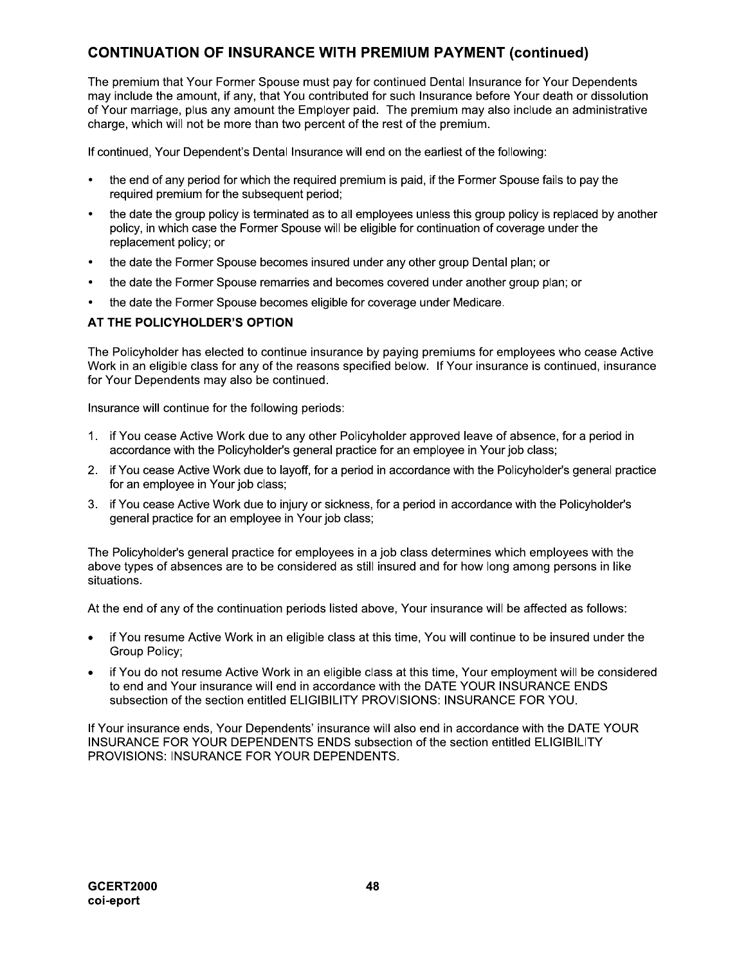## CONTINUATION OF INSURANCE WITH PREMIUM PAYMENT (continued)

**CONTINUATION OF INSURANCE WITH PREMIUM PAYMENT (continued)**<br>
The premium that Your Former Spouse must pay for continued Dental Insurance for Your Dependents<br>
may include the amount, if any, that You contributed for such I CONTINUATION OF INSURANCE WITH PREMIUM PAYMENT (continued)<br>
The premium that Your Former Spouse must pay for continued Dental Insurance for Your Dependents<br>
may include the amount, if any, that You contributed for such ha

- 
- 
- 
- 
- 

## AT THE POLICYHOLDER'S OPTION

Freplacement policy; or<br>
• the date the Former Spouse becomes insured under any other group Dental plan; or<br>
• the date the Former Spouse becomes eligible for coverage under Medicare.<br>
• the date the Former Spouse becomes • the date the Former Spouse becomes eligible for coverage under Medicare.<br> **AT THE POLICYHOLDER'S OPTION**<br>
The Policyholder has elected to continue insurance by paying premiums for employees who cease Active<br>
Work in an e

- 
- 
- 

Example to the continuation periods in a profer procynce and of the above a state of a period in accordance with the Policyholder's general practice for an employee in Your job class;<br>
2. if You cease Active Work due to l

- 
- 3. If You cease Active Work due to injury or sickness, for a period in accordance with the Policyholder's<br>general practice for an employee in Your job class;<br>The Policyholder's general practice for employees in a job class <sup>2</sup>. If You resume Active Work in an eligible class at this time, You will continue to be insured under the Group Policy;<br>
• If You do not resume Active Work in an eligible class at this time, Your employment will be consi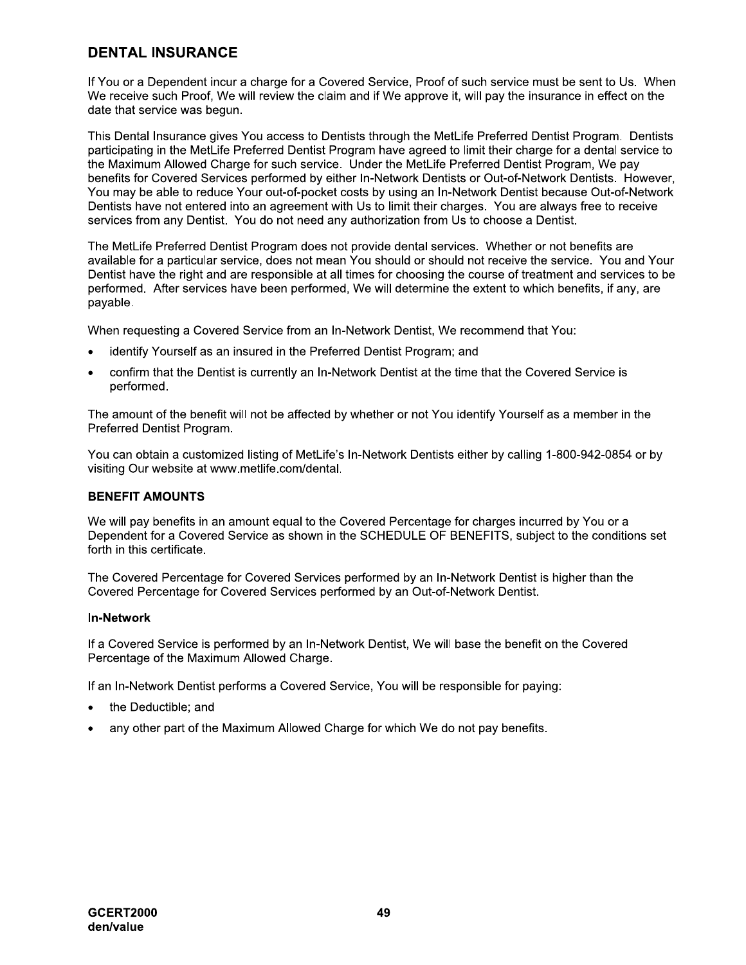## **DENTAL INSURANCE**

If You or a Dependent incur a charge for a Covered Service, Proof of such service must be sent to Us. When We receive such Proof, We will review the claim and if We approve it, will pay the insurance in effect on the date that service was begun.

This Dental Insurance gives You access to Dentists through the MetLife Preferred Dentist Program. Dentists participating in the MetLife Preferred Dentist Program have agreed to limit their charge for a dental service to the Maximum Allowed Charge for such service. Under the MetLife Preferred Dentist Program. We pay benefits for Covered Services performed by either In-Network Dentists or Out-of-Network Dentists. However, You may be able to reduce Your out-of-pocket costs by using an In-Network Dentist because Out-of-Network Dentists have not entered into an agreement with Us to limit their charges. You are always free to receive services from any Dentist. You do not need any authorization from Us to choose a Dentist.

The MetLife Preferred Dentist Program does not provide dental services. Whether or not benefits are available for a particular service, does not mean You should or should not receive the service. You and Your Dentist have the right and are responsible at all times for choosing the course of treatment and services to be performed. After services have been performed, We will determine the extent to which benefits, if any, are payable.

When requesting a Covered Service from an In-Network Dentist, We recommend that You:

- identify Yourself as an insured in the Preferred Dentist Program; and
- confirm that the Dentist is currently an In-Network Dentist at the time that the Covered Service is performed.

The amount of the benefit will not be affected by whether or not You identify Yourself as a member in the Preferred Dentist Program.

You can obtain a customized listing of MetLife's In-Network Dentists either by calling 1-800-942-0854 or by visiting Our website at www.metlife.com/dental.

## **BENEFIT AMOUNTS**

We will pay benefits in an amount equal to the Covered Percentage for charges incurred by You or a Dependent for a Covered Service as shown in the SCHEDULE OF BENEFITS, subject to the conditions set forth in this certificate.

The Covered Percentage for Covered Services performed by an In-Network Dentist is higher than the Covered Percentage for Covered Services performed by an Out-of-Network Dentist.

#### **In-Network**

If a Covered Service is performed by an In-Network Dentist, We will base the benefit on the Covered Percentage of the Maximum Allowed Charge.

If an In-Network Dentist performs a Covered Service, You will be responsible for paying:

- the Deductible: and
- any other part of the Maximum Allowed Charge for which We do not pay benefits.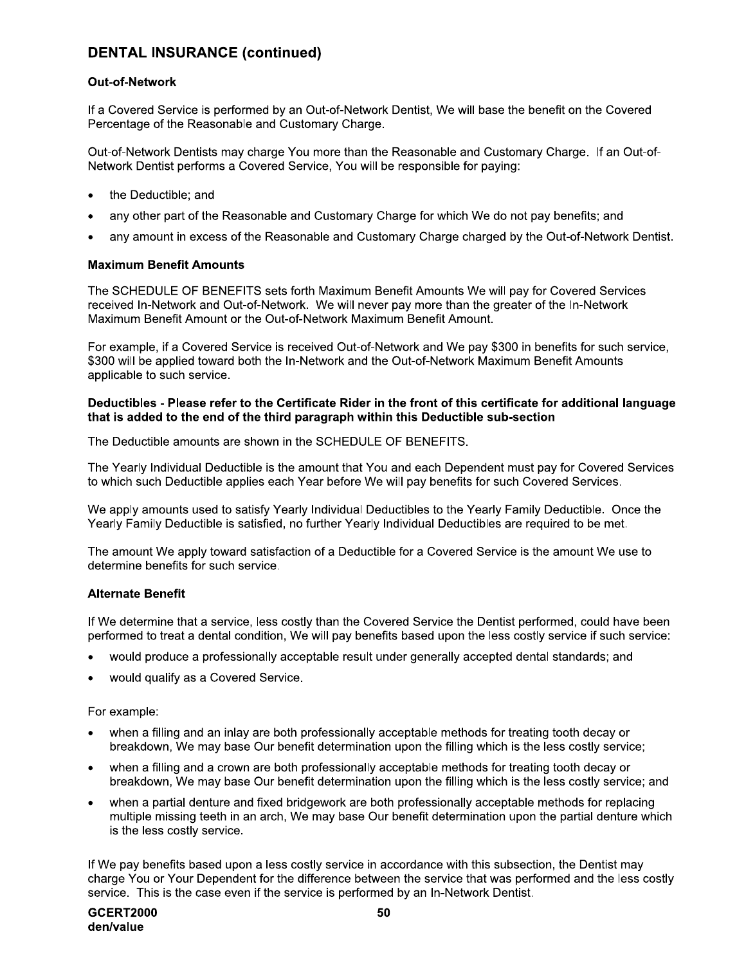## **DENTAL INSURANCE (continued)**

## **Out-of-Network**

If a Covered Service is performed by an Out-of-Network Dentist. We will base the benefit on the Covered Percentage of the Reasonable and Customary Charge.

Out-of-Network Dentists may charge You more than the Reasonable and Customary Charge. If an Out-of-Network Dentist performs a Covered Service, You will be responsible for paying:

- the Deductible; and
- any other part of the Reasonable and Customary Charge for which We do not pay benefits; and
- any amount in excess of the Reasonable and Customary Charge charged by the Out-of-Network Dentist.

## **Maximum Benefit Amounts**

The SCHEDULE OF BENEFITS sets forth Maximum Benefit Amounts We will pay for Covered Services received In-Network and Out-of-Network. We will never pay more than the greater of the In-Network Maximum Benefit Amount or the Out-of-Network Maximum Benefit Amount.

For example, if a Covered Service is received Out-of-Network and We pay \$300 in benefits for such service, \$300 will be applied toward both the In-Network and the Out-of-Network Maximum Benefit Amounts applicable to such service.

### Deductibles - Please refer to the Certificate Rider in the front of this certificate for additional language that is added to the end of the third paragraph within this Deductible sub-section

The Deductible amounts are shown in the SCHEDULE OF BENEFITS.

The Yearly Individual Deductible is the amount that You and each Dependent must pay for Covered Services to which such Deductible applies each Year before We will pay benefits for such Covered Services.

We apply amounts used to satisfy Yearly Individual Deductibles to the Yearly Family Deductible. Once the Yearly Family Deductible is satisfied, no further Yearly Individual Deductibles are required to be met.

The amount We apply toward satisfaction of a Deductible for a Covered Service is the amount We use to determine benefits for such service.

## **Alternate Benefit**

If We determine that a service, less costly than the Covered Service the Dentist performed, could have been performed to treat a dental condition, We will pay benefits based upon the less costly service if such service:

- would produce a professionally acceptable result under generally accepted dental standards; and
- would qualify as a Covered Service.

## For example:

- when a filling and an inlay are both professionally acceptable methods for treating tooth decay or breakdown, We may base Our benefit determination upon the filling which is the less costly service;
- when a filling and a crown are both professionally acceptable methods for treating tooth decay or breakdown. We may base Our benefit determination upon the filling which is the less costly service; and
- when a partial denture and fixed bridgework are both professionally acceptable methods for replacing multiple missing teeth in an arch, We may base Our benefit determination upon the partial denture which is the less costly service.

If We pay benefits based upon a less costly service in accordance with this subsection, the Dentist may charge You or Your Dependent for the difference between the service that was performed and the less costly service. This is the case even if the service is performed by an In-Network Dentist.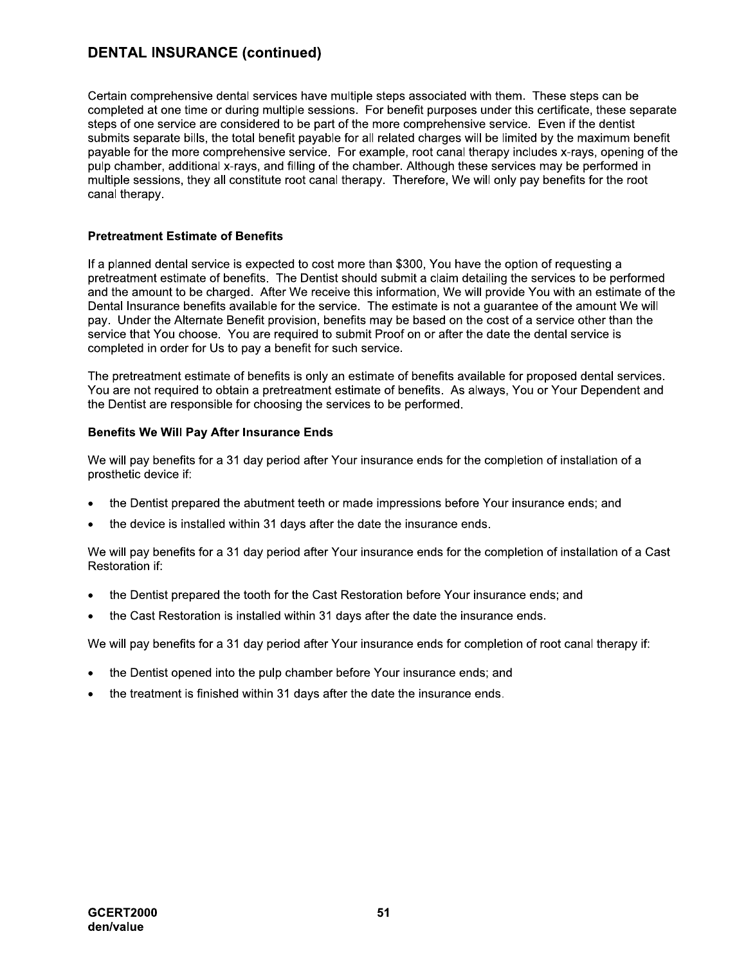## **DENTAL INSURANCE (continued)**

Certain comprehensive dental services have multiple steps associated with them. These steps can be completed at one time or during multiple sessions. For benefit purposes under this certificate, these separate steps of one service are considered to be part of the more comprehensive service. Even if the dentist submits separate bills, the total benefit payable for all related charges will be limited by the maximum benefit payable for the more comprehensive service. For example, root canal therapy includes x-rays, opening of the pulp chamber, additional x-rays, and filling of the chamber. Although these services may be performed in multiple sessions, they all constitute root canal therapy. Therefore, We will only pay benefits for the root canal therapy.

## **Pretreatment Estimate of Benefits**

If a planned dental service is expected to cost more than \$300. You have the option of requesting a pretreatment estimate of benefits. The Dentist should submit a claim detailing the services to be performed and the amount to be charged. After We receive this information, We will provide You with an estimate of the Dental Insurance benefits available for the service. The estimate is not a quarantee of the amount We will pay. Under the Alternate Benefit provision, benefits may be based on the cost of a service other than the service that You choose. You are required to submit Proof on or after the date the dental service is completed in order for Us to pay a benefit for such service.

The pretreatment estimate of benefits is only an estimate of benefits available for proposed dental services. You are not required to obtain a pretreatment estimate of benefits. As always, You or Your Dependent and the Dentist are responsible for choosing the services to be performed.

## **Benefits We Will Pay After Insurance Ends**

We will pay benefits for a 31 day period after Your insurance ends for the completion of installation of a prosthetic device if:

- the Dentist prepared the abutment teeth or made impressions before Your insurance ends; and
- the device is installed within 31 days after the date the insurance ends.

We will pay benefits for a 31 day period after Your insurance ends for the completion of installation of a Cast Restoration if:

- the Dentist prepared the tooth for the Cast Restoration before Your insurance ends; and
- the Cast Restoration is installed within 31 days after the date the insurance ends.

We will pay benefits for a 31 day period after Your insurance ends for completion of root canal therapy if:

- the Dentist opened into the pulp chamber before Your insurance ends; and
- the treatment is finished within 31 days after the date the insurance ends.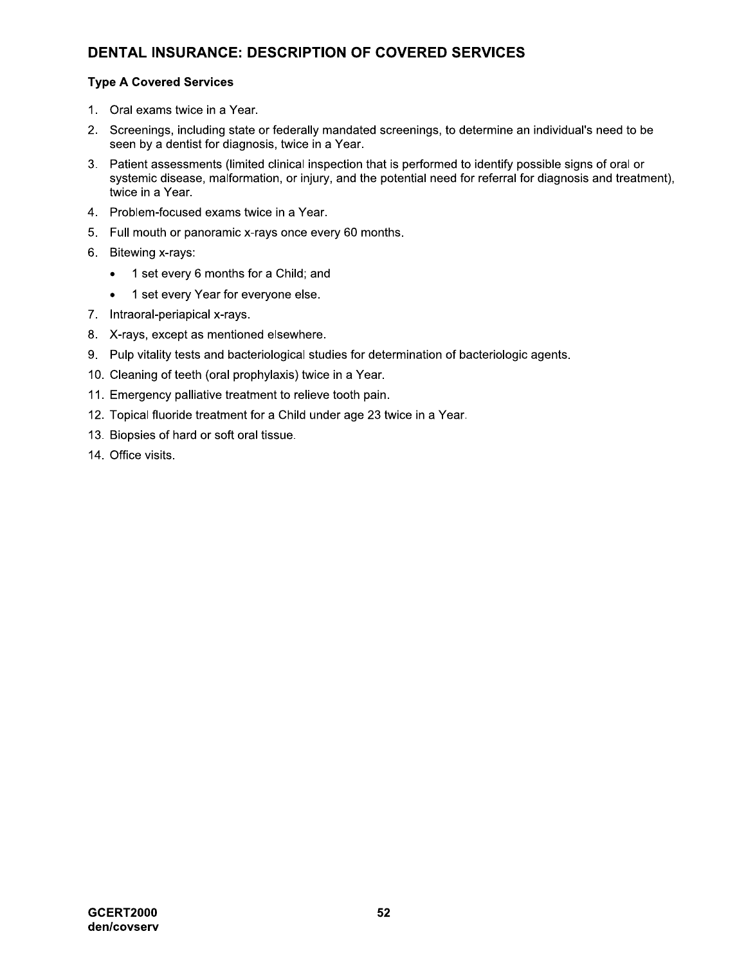## **DENTAL INSURANCE: DESCRIPTION OF COVERED SERVICES**

## **Type A Covered Services**

- 1. Oral exams twice in a Year.
- 2. Screenings, including state or federally mandated screenings, to determine an individual's need to be seen by a dentist for diagnosis, twice in a Year.
- 3. Patient assessments (limited clinical inspection that is performed to identify possible signs of oral or systemic disease, malformation, or injury, and the potential need for referral for diagnosis and treatment), twice in a Year.
- 4. Problem-focused exams twice in a Year.
- 5. Full mouth or panoramic x-rays once every 60 months.
- 6. Bitewing x-rays:
	- 1 set every 6 months for a Child; and
	- 1 set every Year for everyone else.  $\bullet$
- 7. Intraoral-periapical x-rays.
- 8. X-rays, except as mentioned elsewhere.
- 9. Pulp vitality tests and bacteriological studies for determination of bacteriologic agents.
- 10. Cleaning of teeth (oral prophylaxis) twice in a Year.
- 11. Emergency palliative treatment to relieve tooth pain.
- 12. Topical fluoride treatment for a Child under age 23 twice in a Year.
- 13. Biopsies of hard or soft oral tissue.
- 14. Office visits.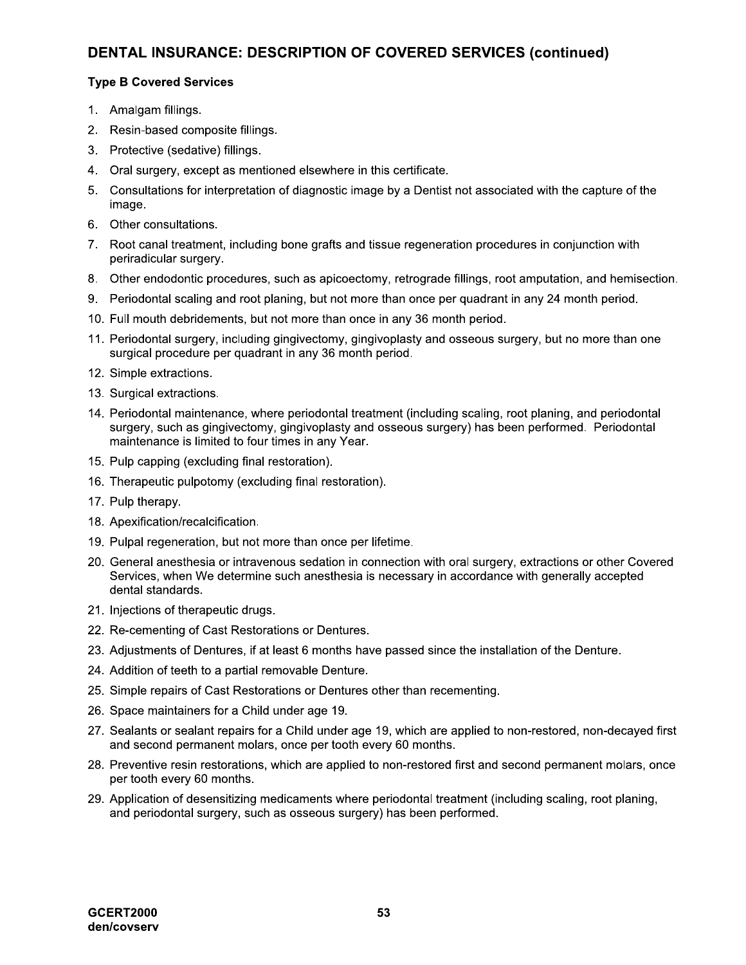## DENTAL INSURANCE: DESCRIPTION OF COVERED SERVICES (continued)

## **Type B Covered Services**

- 1. Amalgam fillings.
- 2. Resin-based composite fillings.
- 3. Protective (sedative) fillings.
- 4. Oral surgery, except as mentioned elsewhere in this certificate.
- 5. Consultations for interpretation of diagnostic image by a Dentist not associated with the capture of the image.
- 6. Other consultations.
- 7. Root canal treatment, including bone grafts and tissue regeneration procedures in conjunction with periradicular surgery.
- 8. Other endodontic procedures, such as apicoectomy, retrograde fillings, root amputation, and hemisection.
- 9. Periodontal scaling and root planing, but not more than once per quadrant in any 24 month period.
- 10. Full mouth debridements, but not more than once in any 36 month period.
- 11. Periodontal surgery, including gingivectomy, gingivoplasty and osseous surgery, but no more than one surgical procedure per quadrant in any 36 month period.
- 12. Simple extractions.
- 13. Surgical extractions.
- 14. Periodontal maintenance, where periodontal treatment (including scaling, root planing, and periodontal surgery, such as gingivectomy, gingivoplasty and osseous surgery) has been performed. Periodontal maintenance is limited to four times in any Year.
- 15. Pulp capping (excluding final restoration).
- 16. Therapeutic pulpotomy (excluding final restoration).
- 17. Pulp therapy.
- 18. Apexification/recalcification.
- 19. Pulpal regeneration, but not more than once per lifetime.
- 20. General anesthesia or intravenous sedation in connection with oral surgery, extractions or other Covered Services, when We determine such anesthesia is necessary in accordance with generally accepted dental standards.
- 21. Injections of therapeutic drugs.
- 22. Re-cementing of Cast Restorations or Dentures.
- 23. Adjustments of Dentures, if at least 6 months have passed since the installation of the Denture.
- 24. Addition of teeth to a partial removable Denture.
- 25. Simple repairs of Cast Restorations or Dentures other than recementing.
- 26. Space maintainers for a Child under age 19.
- 27. Sealants or sealant repairs for a Child under age 19, which are applied to non-restored, non-decayed first and second permanent molars, once per tooth every 60 months.
- 28. Preventive resin restorations, which are applied to non-restored first and second permanent molars, once per tooth every 60 months.
- 29. Application of desensitizing medicaments where periodontal treatment (including scaling, root planing, and periodontal surgery, such as osseous surgery) has been performed.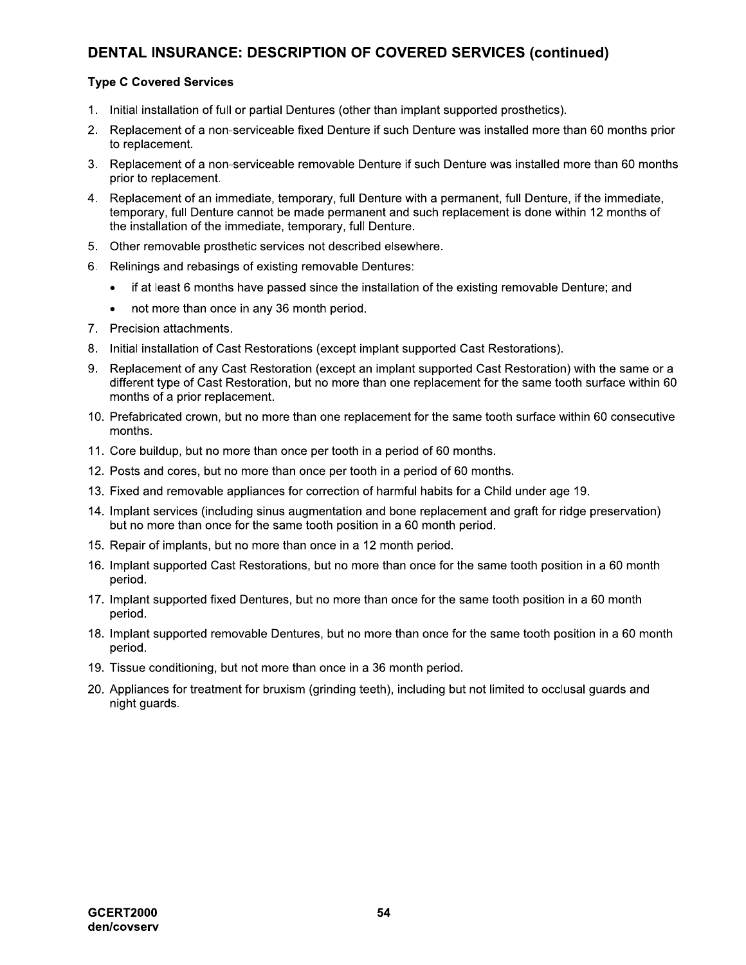## DENTAL INSURANCE: DESCRIPTION OF COVERED SERVICES (continued)

## **Type C Covered Services**

- 1. Initial installation of full or partial Dentures (other than implant supported prosthetics).
- 2. Replacement of a non-serviceable fixed Denture if such Denture was installed more than 60 months prior to replacement.
- 3. Replacement of a non-serviceable removable Denture if such Denture was installed more than 60 months prior to replacement.
- 4. Replacement of an immediate, temporary, full Denture with a permanent, full Denture, if the immediate, temporary, full Denture cannot be made permanent and such replacement is done within 12 months of the installation of the immediate, temporary, full Denture.
- 5. Other removable prosthetic services not described elsewhere.
- 6. Relinings and rebasings of existing removable Dentures:
	- if at least 6 months have passed since the installation of the existing removable Denture; and  $\bullet$
	- not more than once in any 36 month period.
- 7. Precision attachments.
- 8. Initial installation of Cast Restorations (except implant supported Cast Restorations).
- 9. Replacement of any Cast Restoration (except an implant supported Cast Restoration) with the same or a different type of Cast Restoration, but no more than one replacement for the same tooth surface within 60 months of a prior replacement.
- 10. Prefabricated crown, but no more than one replacement for the same tooth surface within 60 consecutive months.
- 11. Core buildup, but no more than once per tooth in a period of 60 months.
- 12. Posts and cores, but no more than once per tooth in a period of 60 months.
- 13. Fixed and removable appliances for correction of harmful habits for a Child under age 19.
- 14. Implant services (including sinus augmentation and bone replacement and graft for ridge preservation) but no more than once for the same tooth position in a 60 month period.
- 15. Repair of implants, but no more than once in a 12 month period.
- 16. Implant supported Cast Restorations, but no more than once for the same tooth position in a 60 month period.
- 17. Implant supported fixed Dentures, but no more than once for the same tooth position in a 60 month period.
- 18. Implant supported removable Dentures, but no more than once for the same tooth position in a 60 month period.
- 19. Tissue conditioning, but not more than once in a 36 month period.
- 20. Appliances for treatment for bruxism (grinding teeth), including but not limited to occlusal guards and night guards.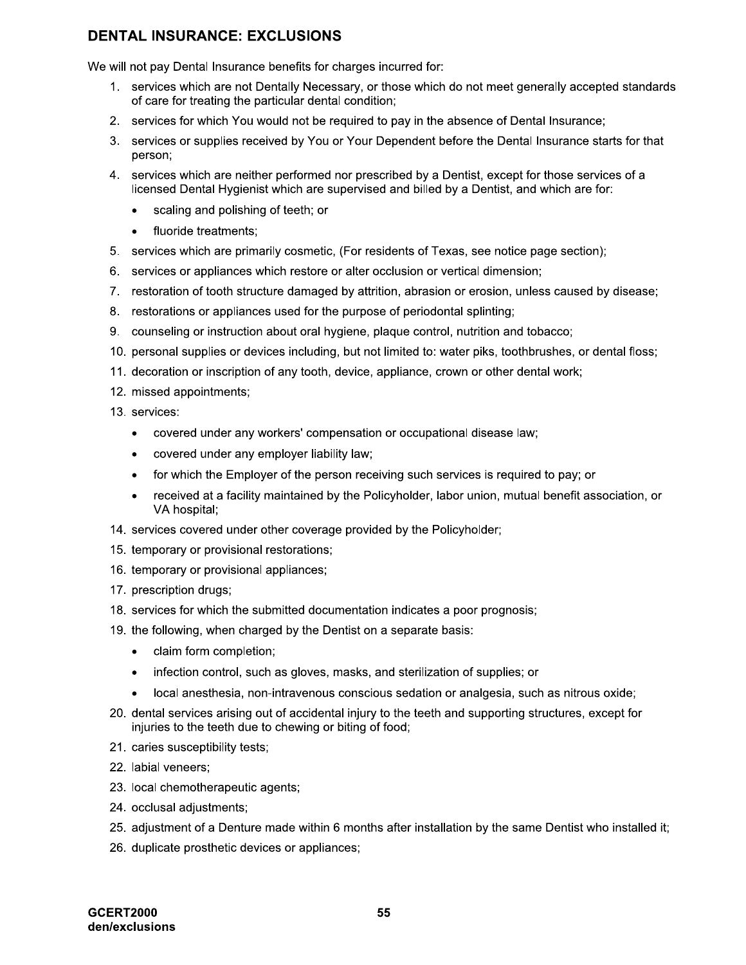## **DENTAL INSURANCE: EXCLUSIONS**

We will not pay Dental Insurance benefits for charges incurred for:

- 1. services which are not Dentally Necessary, or those which do not meet generally accepted standards of care for treating the particular dental condition;
- 2. services for which You would not be required to pay in the absence of Dental Insurance;
- 3. services or supplies received by You or Your Dependent before the Dental Insurance starts for that person;
- 4. services which are neither performed nor prescribed by a Dentist, except for those services of a licensed Dental Hygienist which are supervised and billed by a Dentist, and which are for:
	- scaling and polishing of teeth; or  $\bullet$
	- fluoride treatments;  $\bullet$
- 5. services which are primarily cosmetic, (For residents of Texas, see notice page section);
- 6. services or appliances which restore or alter occlusion or vertical dimension;
- 7. restoration of tooth structure damaged by attrition, abrasion or erosion, unless caused by disease;
- 8. restorations or appliances used for the purpose of periodontal splinting;
- 9. counseling or instruction about oral hygiene, plague control, nutrition and tobacco;
- 10. personal supplies or devices including, but not limited to: water piks, toothbrushes, or dental floss;
- 11. decoration or inscription of any tooth, device, appliance, crown or other dental work;
- 12. missed appointments;
- 13. services:
	- covered under any workers' compensation or occupational disease law;
	- covered under any employer liability law;  $\bullet$
	- for which the Employer of the person receiving such services is required to pay; or  $\bullet$
	- received at a facility maintained by the Policyholder, labor union, mutual benefit association, or  $\bullet$ VA hospital;
- 14. services covered under other coverage provided by the Policyholder;
- 15. temporary or provisional restorations;
- 16. temporary or provisional appliances;
- 17. prescription drugs;
- 18. services for which the submitted documentation indicates a poor prognosis;
- 19. the following, when charged by the Dentist on a separate basis:
	- claim form completion;  $\bullet$
	- infection control, such as gloves, masks, and sterilization of supplies; or
	- local anesthesia, non-intravenous conscious sedation or analgesia, such as nitrous oxide;  $\bullet$
- 20. dental services arising out of accidental injury to the teeth and supporting structures, except for injuries to the teeth due to chewing or biting of food;
- 21. caries susceptibility tests;
- 22. labial veneers:
- 23. local chemotherapeutic agents;
- 24. occlusal adjustments;
- 25. adjustment of a Denture made within 6 months after installation by the same Dentist who installed it;
- 26. duplicate prosthetic devices or appliances;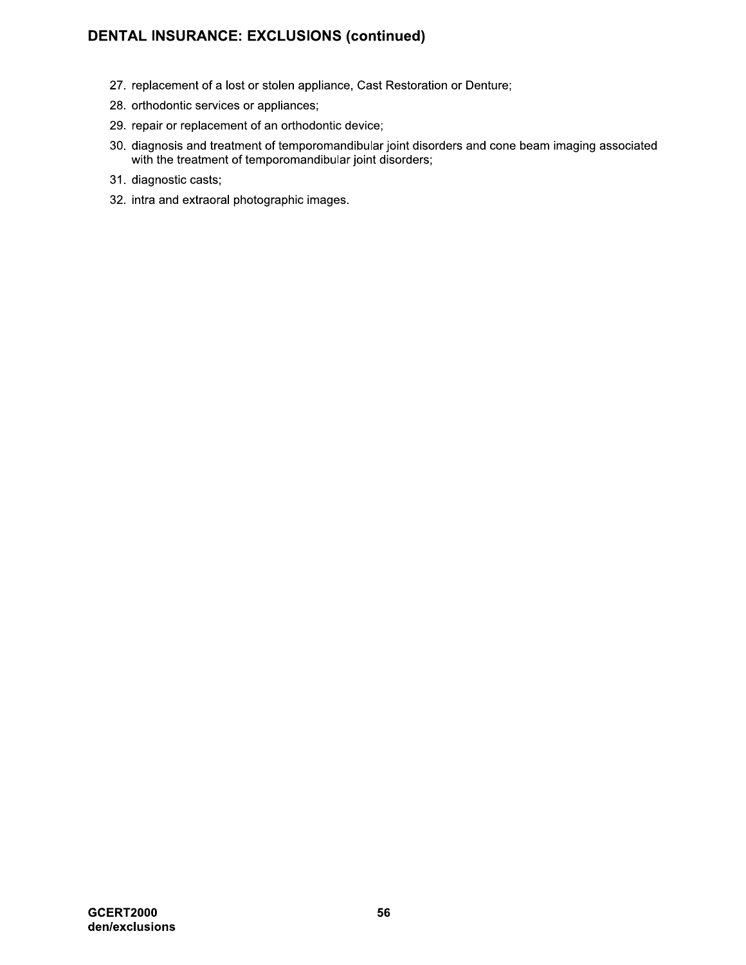## **DENTAL INSURANCE: EXCLUSIONS (continued)**

- 27. replacement of a lost or stolen appliance, Cast Restoration or Denture;
- 28. orthodontic services or appliances;
- 29. repair or replacement of an orthodontic device;
- 30. diagnosis and treatment of temporomandibular joint disorders and cone beam imaging associated with the treatment of temporomandibular joint disorders;
- 31. diagnostic casts;
- 32. intra and extraoral photographic images.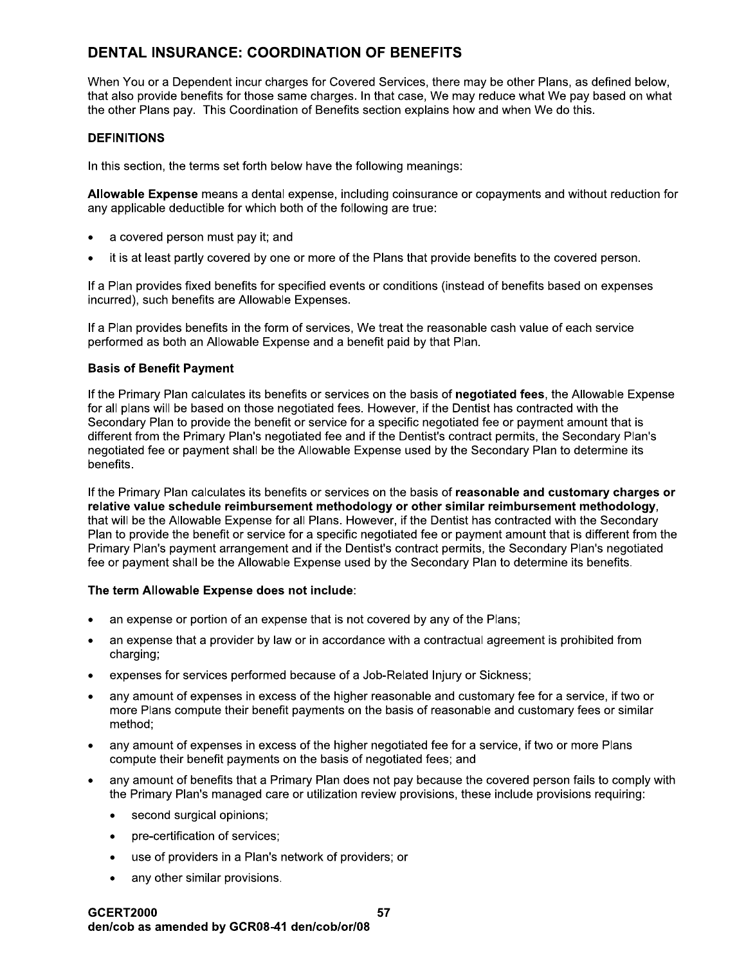## DENTAL INSURANCE: COORDINATION OF BENEFITS

**DENTAL INSURANCE: COORDINATION OF BENEFITS**<br>When You or a Dependent incur charges for Covered Services, there may be other Plans, as defined below,<br>that also provide benefits for those same charges. In that case, We may r DENTAL INSURANCE: COORDINATION OF BENEFITS<br>
When You or a Dependent incur charges for Covered Services, there may be other Plans, as defined below,<br>
that also provide benefits for those same charges. In that case, We may r

## **DEFINITIONS**

Let infinition this section, the terms set forth below have the following meanings:<br>
Allowable Expense means a dental expense, including coinsurance or copayments and without reduction<br>
any applicable deductible for which

- 
- 

### **Basis of Benefit Payment**

Allowable Expense means a dental expense, including coinsurance or copayments and without reduction<br>
any applicable deductible for which both of the following are true:<br>
• a covered person must pay it; and<br>
• it is at leas **C7.** and the secondary of the secondary of the secondary of the secondary and the secondary of the covered person.<br>
If a Plan provides fixed benefits for specified events or conditions (instead of benefits based on expens

If a Plan provides fixed benefits for specified events or conditions (instead of benefits based on expenses<br>incurred), such benefits are Allowable Expenses.<br>If a Plan provides benefits in the form of services, We treat the If the Primary Plan calculates its benefits or services on the basis of **negotiated fees**, the Allowable Expense<br>for all plans will be based on those negotiated fees. However, if the Dentist has contracted with the<br>Seconda relative value schedule reimburs<br>emeritment methodology or orther similar reimbursement methodology.<br>
that will be the Allowable Expense for all Plans. However, if the Dentisi has contracted with the Secondary<br>
Plan to pr

- 
- 
- 
- an experience condition of a expense that is not covered by any of the Plans;<br>• an expense that a provider by law or in accordance with a contractual agreement is prohibited from<br>charging;<br>• expense for services performe
	-
	- -
		-
		-
		-

#### **GCERT2000** den/cob as amended by GCR08-41 den/cob/or/08 57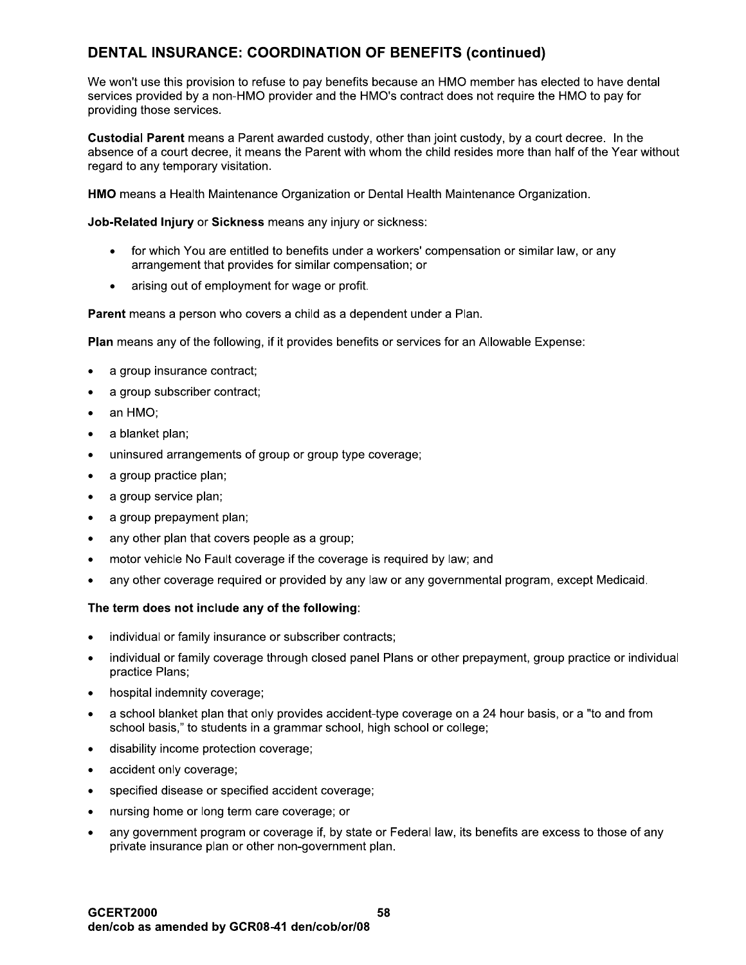We won't use this provision to refuse to pay benefits because an HMO member has elected to have dental services provided by a non-HMO provider and the HMO's contract does not require the HMO to pay for providing those services.

Custodial Parent means a Parent awarded custody, other than joint custody, by a court decree. In the absence of a court decree, it means the Parent with whom the child resides more than half of the Year without regard to any temporary visitation.

HMO means a Health Maintenance Organization or Dental Health Maintenance Organization.

Job-Related Injury or Sickness means any injury or sickness:

- for which You are entitled to benefits under a workers' compensation or similar law, or any  $\bullet$ arrangement that provides for similar compensation; or
- arising out of employment for wage or profit.

Parent means a person who covers a child as a dependent under a Plan.

Plan means any of the following, if it provides benefits or services for an Allowable Expense:

- a group insurance contract;
- a group subscriber contract;
- an HMO:
- a blanket plan;  $\bullet$
- uninsured arrangements of group or group type coverage;
- a group practice plan;
- a group service plan;  $\bullet$
- a group prepayment plan;
- any other plan that covers people as a group;  $\bullet$
- motor vehicle No Fault coverage if the coverage is required by law; and
- any other coverage required or provided by any law or any governmental program, except Medicaid.

#### The term does not include any of the following:

- individual or family insurance or subscriber contracts;
- individual or family coverage through closed panel Plans or other prepayment, group practice or individual practice Plans;
- hospital indemnity coverage;
- a school blanket plan that only provides accident-type coverage on a 24 hour basis, or a "to and from school basis," to students in a grammar school, high school or college;
- disability income protection coverage;
- accident only coverage;  $\bullet$
- specified disease or specified accident coverage;
- nursing home or long term care coverage; or
- any government program or coverage if, by state or Federal law, its benefits are excess to those of any private insurance plan or other non-government plan.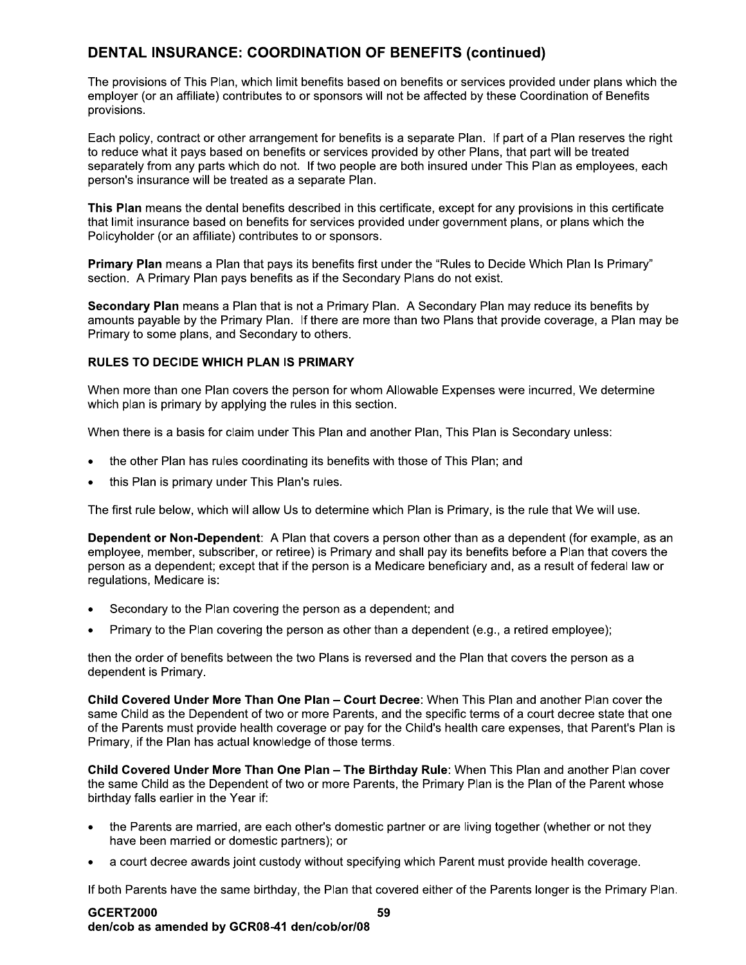The provisions of This Plan, which limit benefits based on benefits or services provided under plans which the employer (or an affiliate) contributes to or sponsors will not be affected by these Coordination of Benefits provisions.

Each policy, contract or other arrangement for benefits is a separate Plan. If part of a Plan reserves the right to reduce what it pays based on benefits or services provided by other Plans, that part will be treated separately from any parts which do not. If two people are both insured under This Plan as employees, each person's insurance will be treated as a separate Plan.

This Plan means the dental benefits described in this certificate, except for any provisions in this certificate that limit insurance based on benefits for services provided under government plans, or plans which the Policyholder (or an affiliate) contributes to or sponsors.

**Primary Plan** means a Plan that pays its benefits first under the "Rules to Decide Which Plan Is Primary" section. A Primary Plan pays benefits as if the Secondary Plans do not exist.

Secondary Plan means a Plan that is not a Primary Plan. A Secondary Plan may reduce its benefits by amounts payable by the Primary Plan. If there are more than two Plans that provide coverage, a Plan may be Primary to some plans, and Secondary to others.

## **RULES TO DECIDE WHICH PLAN IS PRIMARY**

When more than one Plan covers the person for whom Allowable Expenses were incurred, We determine which plan is primary by applying the rules in this section.

When there is a basis for claim under This Plan and another Plan, This Plan is Secondary unless:

- the other Plan has rules coordinating its benefits with those of This Plan; and
- this Plan is primary under This Plan's rules.

The first rule below, which will allow Us to determine which Plan is Primary, is the rule that We will use.

Dependent or Non-Dependent: A Plan that covers a person other than as a dependent (for example, as an employee, member, subscriber, or retiree) is Primary and shall pay its benefits before a Plan that covers the person as a dependent; except that if the person is a Medicare beneficiary and, as a result of federal law or regulations, Medicare is:

- Secondary to the Plan covering the person as a dependent; and
- Primary to the Plan covering the person as other than a dependent (e.g., a retired employee);

then the order of benefits between the two Plans is reversed and the Plan that covers the person as a dependent is Primary.

Child Covered Under More Than One Plan - Court Decree: When This Plan and another Plan cover the same Child as the Dependent of two or more Parents, and the specific terms of a court decree state that one of the Parents must provide health coverage or pay for the Child's health care expenses, that Parent's Plan is Primary, if the Plan has actual knowledge of those terms.

Child Covered Under More Than One Plan - The Birthday Rule: When This Plan and another Plan cover the same Child as the Dependent of two or more Parents, the Primary Plan is the Plan of the Parent whose birthday falls earlier in the Year if:

- the Parents are married, are each other's domestic partner or are living together (whether or not they have been married or domestic partners); or
- a court decree awards joint custody without specifying which Parent must provide health coverage.

If both Parents have the same birthday, the Plan that covered either of the Parents longer is the Primary Plan.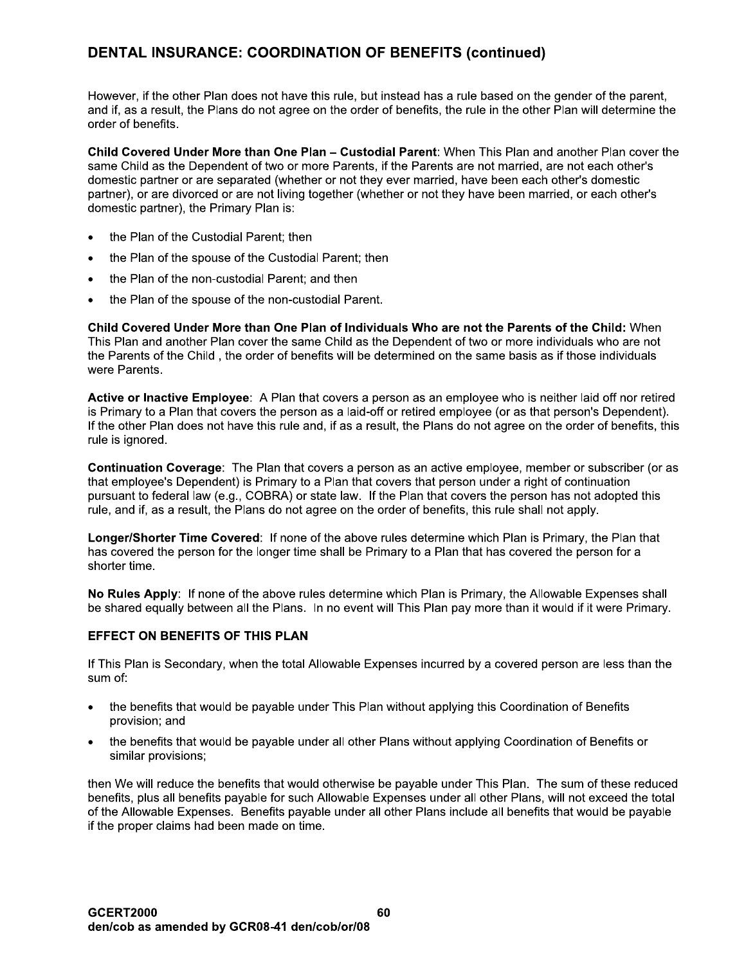However, if the other Plan does not have this rule, but instead has a rule based on the gender of the parent, and if, as a result, the Plans do not agree on the order of benefits, the rule in the other Plan will determine the order of benefits.

Child Covered Under More than One Plan - Custodial Parent: When This Plan and another Plan cover the same Child as the Dependent of two or more Parents, if the Parents are not married, are not each other's domestic partner or are separated (whether or not they ever married, have been each other's domestic partner), or are divorced or are not living together (whether or not they have been married, or each other's domestic partner), the Primary Plan is:

- the Plan of the Custodial Parent; then  $\bullet$
- the Plan of the spouse of the Custodial Parent; then  $\bullet$
- the Plan of the non-custodial Parent; and then  $\bullet$
- the Plan of the spouse of the non-custodial Parent.

Child Covered Under More than One Plan of Individuals Who are not the Parents of the Child: When This Plan and another Plan cover the same Child as the Dependent of two or more individuals who are not the Parents of the Child, the order of benefits will be determined on the same basis as if those individuals were Parents.

Active or Inactive Employee: A Plan that covers a person as an employee who is neither laid off nor retired is Primary to a Plan that covers the person as a laid-off or retired employee (or as that person's Dependent). If the other Plan does not have this rule and, if as a result, the Plans do not agree on the order of benefits, this rule is ignored.

Continuation Coverage: The Plan that covers a person as an active employee, member or subscriber (or as that employee's Dependent) is Primary to a Plan that covers that person under a right of continuation pursuant to federal law (e.g., COBRA) or state law. If the Plan that covers the person has not adopted this rule, and if, as a result, the Plans do not agree on the order of benefits, this rule shall not apply.

Longer/Shorter Time Covered: If none of the above rules determine which Plan is Primary, the Plan that has covered the person for the longer time shall be Primary to a Plan that has covered the person for a shorter time.

No Rules Apply: If none of the above rules determine which Plan is Primary, the Allowable Expenses shall be shared equally between all the Plans. In no event will This Plan pay more than it would if it were Primary.

## **EFFECT ON BENEFITS OF THIS PLAN**

If This Plan is Secondary, when the total Allowable Expenses incurred by a covered person are less than the sum of:

- the benefits that would be payable under This Plan without applying this Coordination of Benefits provision; and
- the benefits that would be payable under all other Plans without applying Coordination of Benefits or similar provisions;

then We will reduce the benefits that would otherwise be payable under This Plan. The sum of these reduced benefits, plus all benefits payable for such Allowable Expenses under all other Plans, will not exceed the total of the Allowable Expenses. Benefits payable under all other Plans include all benefits that would be payable if the proper claims had been made on time.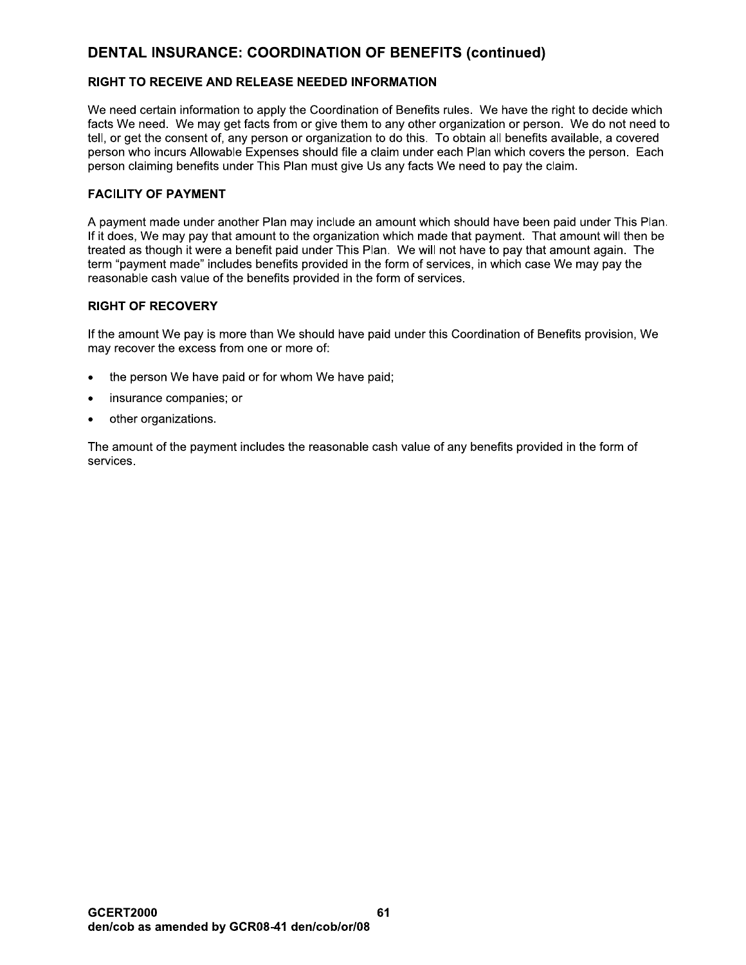## **RIGHT TO RECEIVE AND RELEASE NEEDED INFORMATION**

We need certain information to apply the Coordination of Benefits rules. We have the right to decide which facts We need. We may get facts from or give them to any other organization or person. We do not need to tell, or get the consent of, any person or organization to do this. To obtain all benefits available, a covered person who incurs Allowable Expenses should file a claim under each Plan which covers the person. Each person claiming benefits under This Plan must give Us any facts We need to pay the claim.

## **FACILITY OF PAYMENT**

A payment made under another Plan may include an amount which should have been paid under This Plan. If it does, We may pay that amount to the organization which made that payment. That amount will then be treated as though it were a benefit paid under This Plan. We will not have to pay that amount again. The term "payment made" includes benefits provided in the form of services, in which case We may pay the reasonable cash value of the benefits provided in the form of services.

## **RIGHT OF RECOVERY**

If the amount We pay is more than We should have paid under this Coordination of Benefits provision, We may recover the excess from one or more of:

- the person We have paid or for whom We have paid;
- insurance companies; or
- other organizations.

The amount of the payment includes the reasonable cash value of any benefits provided in the form of services.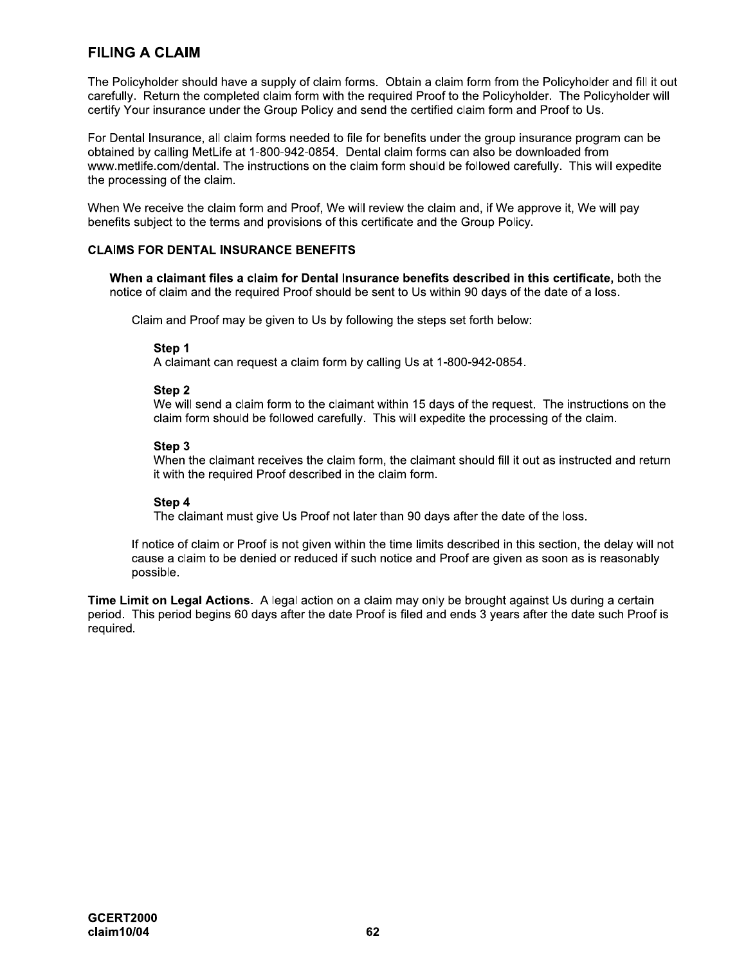## **FILING A CLAIM**

The Policyholder should have a supply of claim forms. Obtain a claim form from the Policyholder and fill it out carefully. Return the completed claim form with the required Proof to the Policyholder. The Policyholder will certify Your insurance under the Group Policy and send the certified claim form and Proof to Us.

For Dental Insurance, all claim forms needed to file for benefits under the group insurance program can be obtained by calling MetLife at 1-800-942-0854. Dental claim forms can also be downloaded from www.metlife.com/dental. The instructions on the claim form should be followed carefully. This will expedite the processing of the claim.

When We receive the claim form and Proof, We will review the claim and, if We approve it, We will pay benefits subject to the terms and provisions of this certificate and the Group Policy.

## **CLAIMS FOR DENTAL INSURANCE BENEFITS**

When a claimant files a claim for Dental Insurance benefits described in this certificate, both the notice of claim and the required Proof should be sent to Us within 90 days of the date of a loss.

Claim and Proof may be given to Us by following the steps set forth below:

#### Step 1

A claimant can request a claim form by calling Us at 1-800-942-0854.

#### Step 2

We will send a claim form to the claimant within 15 days of the request. The instructions on the claim form should be followed carefully. This will expedite the processing of the claim.

#### Step 3

When the claimant receives the claim form, the claimant should fill it out as instructed and return it with the required Proof described in the claim form.

#### Step 4

The claimant must give Us Proof not later than 90 days after the date of the loss.

If notice of claim or Proof is not given within the time limits described in this section, the delay will not cause a claim to be denied or reduced if such notice and Proof are given as soon as is reasonably possible.

Time Limit on Legal Actions. A legal action on a claim may only be brought against Us during a certain period. This period begins 60 days after the date Proof is filed and ends 3 years after the date such Proof is required.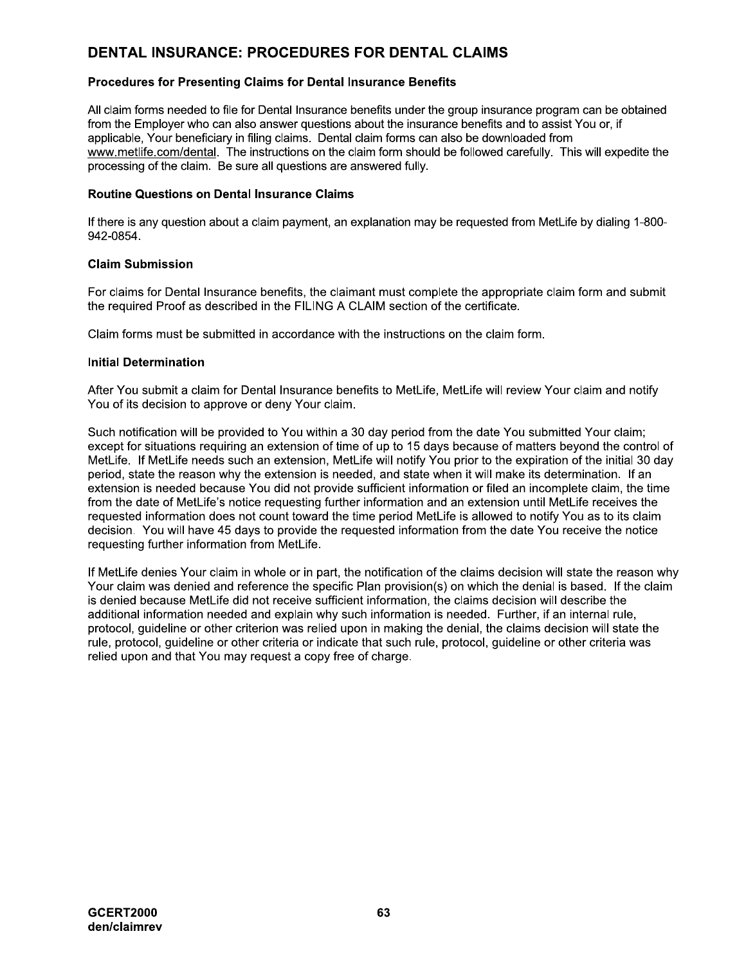## **DENTAL INSURANCE: PROCEDURES FOR DENTAL CLAIMS**

## **Procedures for Presenting Claims for Dental Insurance Benefits**

All claim forms needed to file for Dental Insurance benefits under the group insurance program can be obtained from the Employer who can also answer questions about the insurance benefits and to assist You or, if applicable. Your beneficiary in filing claims. Dental claim forms can also be downloaded from www.metlife.com/dental. The instructions on the claim form should be followed carefully. This will expedite the processing of the claim. Be sure all questions are answered fully.

### **Routine Questions on Dental Insurance Claims**

If there is any question about a claim payment, an explanation may be requested from MetLife by dialing 1-800-942-0854.

### **Claim Submission**

For claims for Dental Insurance benefits, the claimant must complete the appropriate claim form and submit the required Proof as described in the FILING A CLAIM section of the certificate.

Claim forms must be submitted in accordance with the instructions on the claim form.

### **Initial Determination**

After You submit a claim for Dental Insurance benefits to MetLife, MetLife will review Your claim and notify You of its decision to approve or deny Your claim.

Such notification will be provided to You within a 30 day period from the date You submitted Your claim; except for situations requiring an extension of time of up to 15 days because of matters beyond the control of MetLife. If MetLife needs such an extension, MetLife will notify You prior to the expiration of the initial 30 day period, state the reason why the extension is needed, and state when it will make its determination. If an extension is needed because You did not provide sufficient information or filed an incomplete claim, the time from the date of MetLife's notice requesting further information and an extension until MetLife receives the requested information does not count toward the time period MetLife is allowed to notify You as to its claim decision. You will have 45 days to provide the requested information from the date You receive the notice requesting further information from MetLife.

If MetLife denies Your claim in whole or in part, the notification of the claims decision will state the reason why Your claim was denied and reference the specific Plan provision(s) on which the denial is based. If the claim is denied because MetLife did not receive sufficient information, the claims decision will describe the additional information needed and explain why such information is needed. Further, if an internal rule, protocol, guideline or other criterion was relied upon in making the denial, the claims decision will state the rule, protocol, guideline or other criteria or indicate that such rule, protocol, guideline or other criteria was relied upon and that You may request a copy free of charge.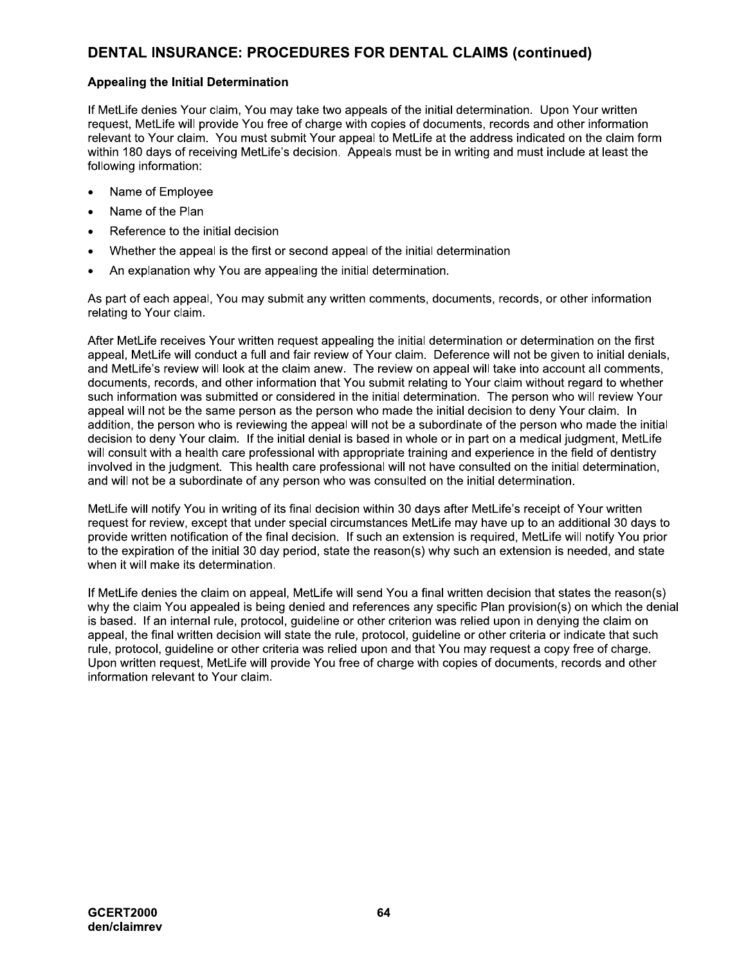## **DENTAL INSURANCE: PROCEDURES FOR DENTAL CLAIMS (continued)**

## **Appealing the Initial Determination**

If MetLife denies Your claim, You may take two appeals of the initial determination. Upon Your written request, MetLife will provide You free of charge with copies of documents, records and other information relevant to Your claim. You must submit Your appeal to MetLife at the address indicated on the claim form within 180 days of receiving MetLife's decision. Appeals must be in writing and must include at least the following information:

- Name of Employee  $\bullet$
- Name of the Plan
- Reference to the initial decision
- Whether the appeal is the first or second appeal of the initial determination
- An explanation why You are appealing the initial determination.

As part of each appeal, You may submit any written comments, documents, records, or other information relating to Your claim.

After MetLife receives Your written request appealing the initial determination or determination on the first appeal, MetLife will conduct a full and fair review of Your claim. Deference will not be given to initial denials, and MetLife's review will look at the claim anew. The review on appeal will take into account all comments, documents, records, and other information that You submit relating to Your claim without regard to whether such information was submitted or considered in the initial determination. The person who will review Your appeal will not be the same person as the person who made the initial decision to deny Your claim. In addition, the person who is reviewing the appeal will not be a subordinate of the person who made the initial decision to deny Your claim. If the initial denial is based in whole or in part on a medical judgment, MetLife will consult with a health care professional with appropriate training and experience in the field of dentistry involved in the judgment. This health care professional will not have consulted on the initial determination. and will not be a subordinate of any person who was consulted on the initial determination.

MetLife will notify You in writing of its final decision within 30 days after MetLife's receipt of Your written request for review, except that under special circumstances MetLife may have up to an additional 30 days to provide written notification of the final decision. If such an extension is required, MetLife will notify You prior to the expiration of the initial 30 day period, state the reason(s) why such an extension is needed, and state when it will make its determination.

If MetLife denies the claim on appeal, MetLife will send You a final written decision that states the reason(s) why the claim You appealed is being denied and references any specific Plan provision(s) on which the denial is based. If an internal rule, protocol, quideline or other criterion was relied upon in denving the claim on appeal, the final written decision will state the rule, protocol, guideline or other criteria or indicate that such rule, protocol, guideline or other criteria was relied upon and that You may request a copy free of charge. Upon written request, MetLife will provide You free of charge with copies of documents, records and other information relevant to Your claim.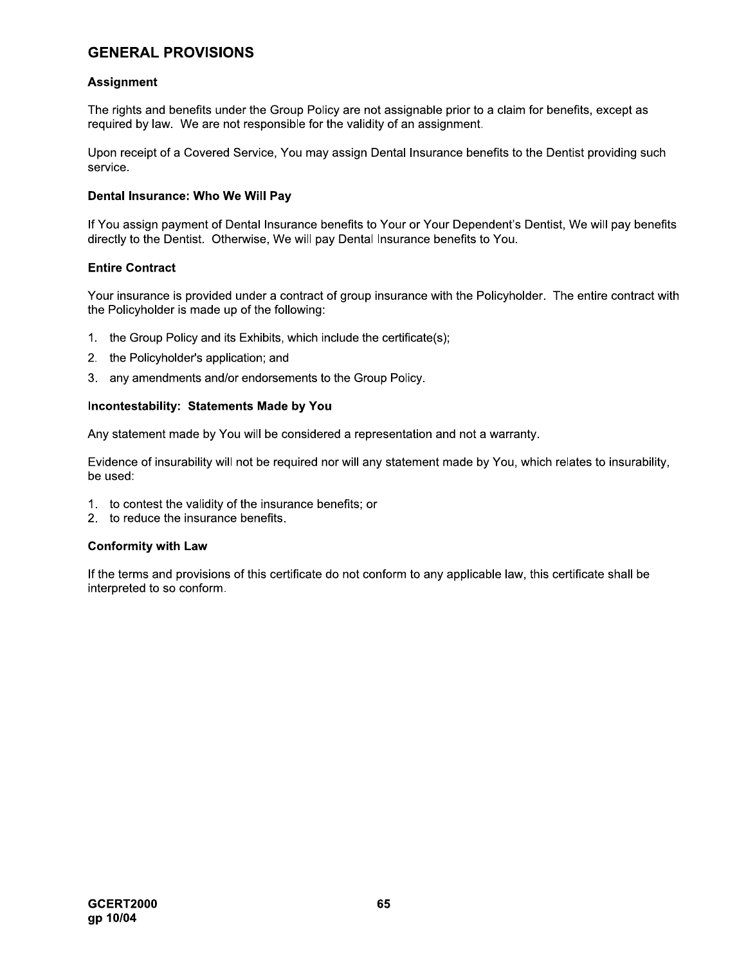## **GENERAL PROVISIONS**

## **Assignment**

The rights and benefits under the Group Policy are not assignable prior to a claim for benefits, except as required by law. We are not responsible for the validity of an assignment.

Upon receipt of a Covered Service, You may assign Dental Insurance benefits to the Dentist providing such service.

## Dental Insurance: Who We Will Pay

If You assign payment of Dental Insurance benefits to Your or Your Dependent's Dentist, We will pay benefits directly to the Dentist. Otherwise, We will pay Dental Insurance benefits to You.

## **Entire Contract**

Your insurance is provided under a contract of group insurance with the Policyholder. The entire contract with the Policyholder is made up of the following:

- 1. the Group Policy and its Exhibits, which include the certificate(s);
- 2. the Policyholder's application; and
- 3. any amendments and/or endorsements to the Group Policy.

### Incontestability: Statements Made by You

Any statement made by You will be considered a representation and not a warranty.

Evidence of insurability will not be required nor will any statement made by You, which relates to insurability, be used:

- 1. to contest the validity of the insurance benefits; or
- 2. to reduce the insurance benefits.

## **Conformity with Law**

If the terms and provisions of this certificate do not conform to any applicable law, this certificate shall be interpreted to so conform.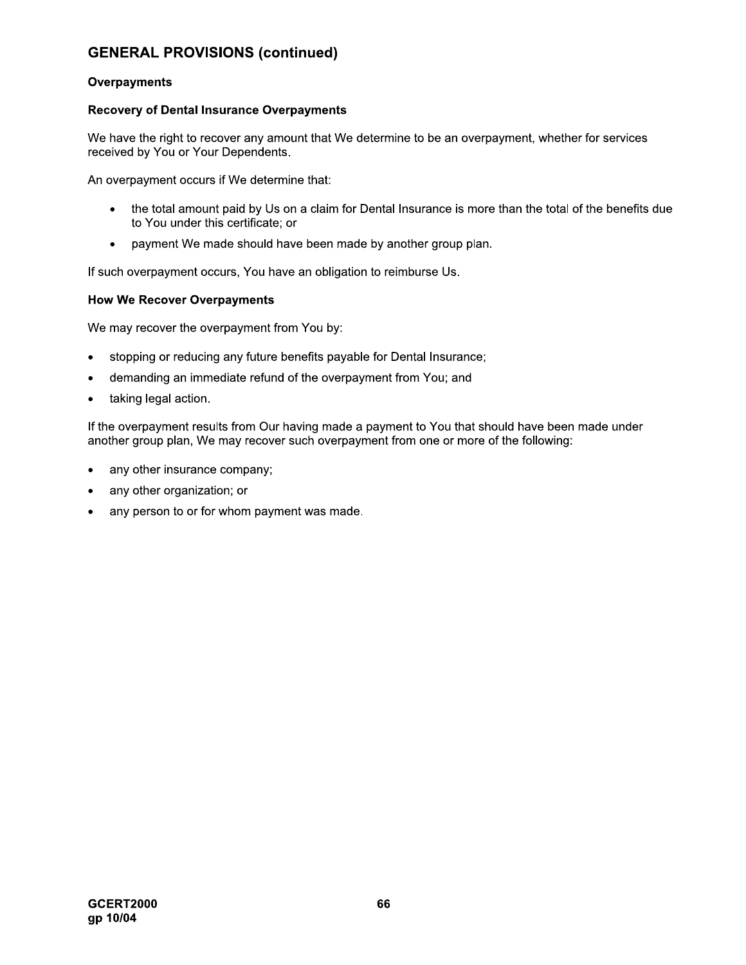## **GENERAL PROVISIONS (continued)**

## Overpayments

## **Recovery of Dental Insurance Overpayments**

We have the right to recover any amount that We determine to be an overpayment, whether for services received by You or Your Dependents.

An overpayment occurs if We determine that:

- the total amount paid by Us on a claim for Dental Insurance is more than the total of the benefits due  $\bullet$ to You under this certificate; or
- payment We made should have been made by another group plan.  $\bullet$

If such overpayment occurs, You have an obligation to reimburse Us.

## **How We Recover Overpayments**

We may recover the overpayment from You by:

- stopping or reducing any future benefits payable for Dental Insurance;
- demanding an immediate refund of the overpayment from You; and
- taking legal action.

If the overpayment results from Our having made a payment to You that should have been made under another group plan, We may recover such overpayment from one or more of the following:

- any other insurance company;  $\bullet$
- any other organization; or  $\bullet$
- any person to or for whom payment was made.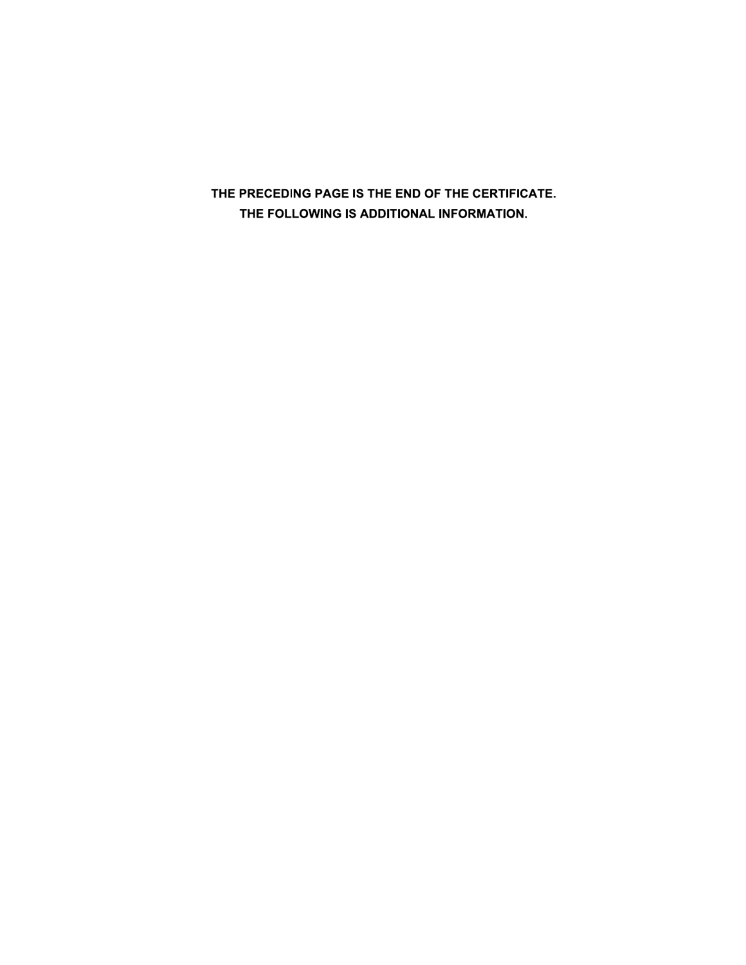THE PRECEDING PAGE IS THE END OF THE CERTIFICATE. THE FOLLOWING IS ADDITIONAL INFORMATION.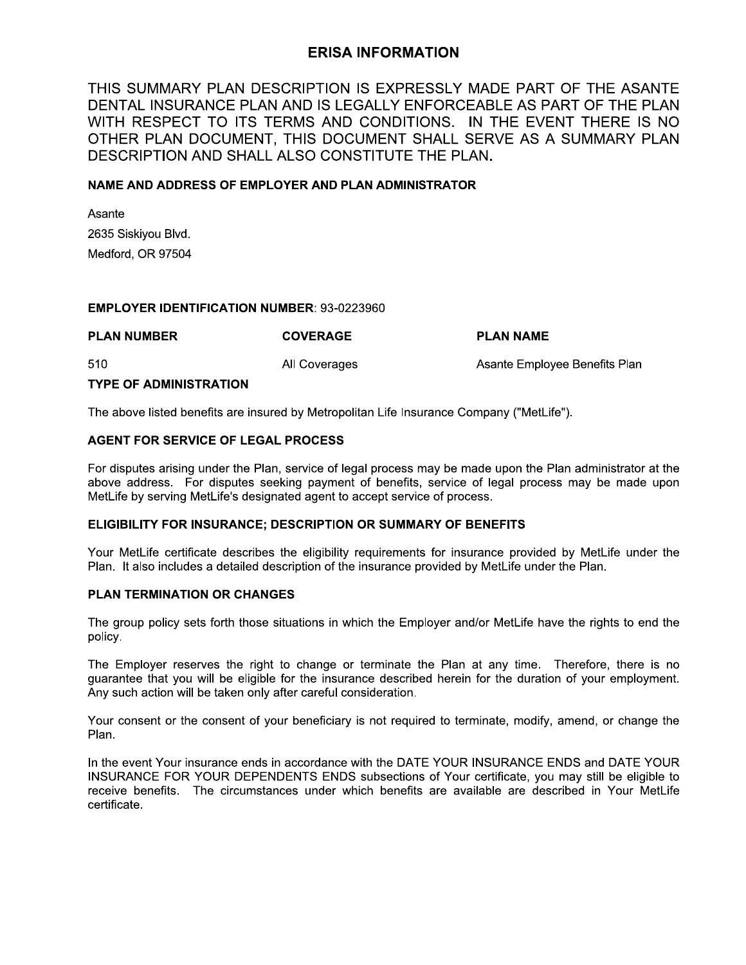## **ERISA INFORMATION**

THIS SUMMARY PLAN DESCRIPTION IS EXPRESSLY MADE PART OF THE ASANTE DENTAL INSURANCE PLAN AND IS LEGALLY ENFORCEABLE AS PART OF THE PLAN WITH RESPECT TO ITS TERMS AND CONDITIONS. IN THE EVENT THERE IS NO OTHER PLAN DOCUMENT, THIS DOCUMENT SHALL SERVE AS A SUMMARY PLAN DESCRIPTION AND SHALL ALSO CONSTITUTE THE PLAN.

## NAME AND ADDRESS OF EMPLOYER AND PLAN ADMINISTRATOR

Asante 2635 Siskiyou Blvd. Medford, OR 97504

### **EMPLOYER IDENTIFICATION NUMBER: 93-0223960**

**PLAN NUMBER COVERAGE** 

510

All Coverages

**PLAN NAME** 

Asante Employee Benefits Plan

#### **TYPE OF ADMINISTRATION**

The above listed benefits are insured by Metropolitan Life Insurance Company ("MetLife").

## **AGENT FOR SERVICE OF LEGAL PROCESS**

For disputes arising under the Plan, service of legal process may be made upon the Plan administrator at the above address. For disputes seeking payment of benefits, service of legal process may be made upon MetLife by serving MetLife's designated agent to accept service of process.

#### **ELIGIBILITY FOR INSURANCE; DESCRIPTION OR SUMMARY OF BENEFITS**

Your MetLife certificate describes the eligibility requirements for insurance provided by MetLife under the Plan. It also includes a detailed description of the insurance provided by MetLife under the Plan.

#### **PLAN TERMINATION OR CHANGES**

The group policy sets forth those situations in which the Employer and/or MetLife have the rights to end the policy.

The Employer reserves the right to change or terminate the Plan at any time. Therefore, there is no guarantee that you will be eligible for the insurance described herein for the duration of your employment. Any such action will be taken only after careful consideration.

Your consent or the consent of your beneficiary is not required to terminate, modify, amend, or change the Plan.

In the event Your insurance ends in accordance with the DATE YOUR INSURANCE ENDS and DATE YOUR INSURANCE FOR YOUR DEPENDENTS ENDS subsections of Your certificate, you may still be eligible to receive benefits. The circumstances under which benefits are available are described in Your MetLife certificate.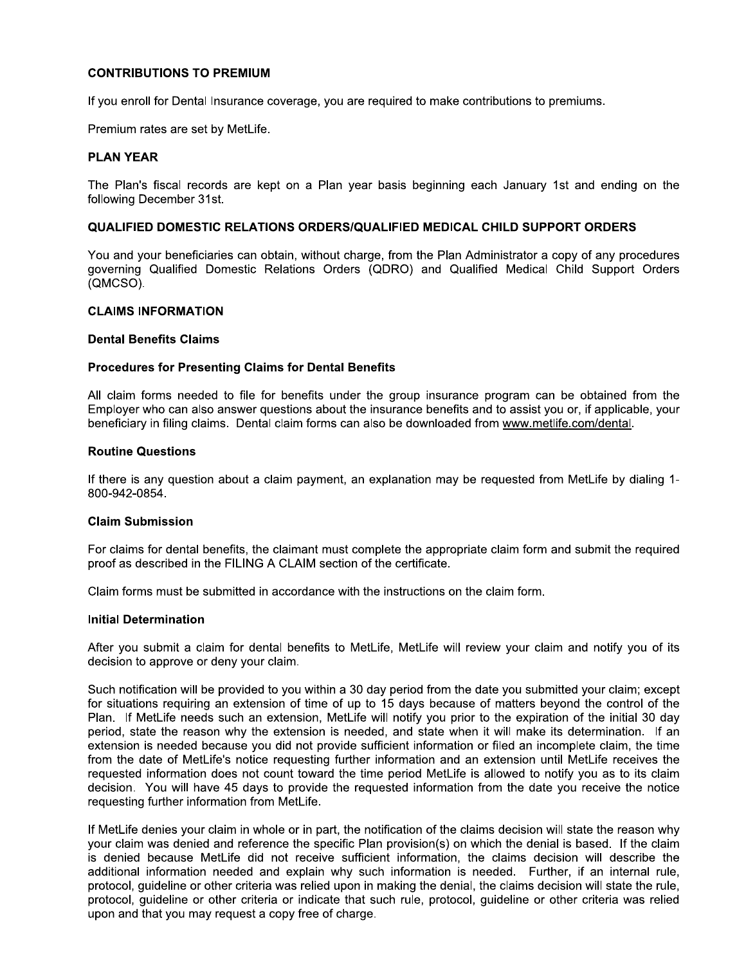## **CONTRIBUTIONS TO PREMIUM**

If you enroll for Dental Insurance coverage, you are required to make contributions to premiums.

Premium rates are set by MetLife.

## **PLAN YEAR**

The Plan's fiscal records are kept on a Plan year basis beginning each January 1st and ending on the following December 31st.

#### QUALIFIED DOMESTIC RELATIONS ORDERS/QUALIFIED MEDICAL CHILD SUPPORT ORDERS

You and your beneficiaries can obtain, without charge, from the Plan Administrator a copy of any procedures governing Qualified Domestic Relations Orders (QDRO) and Qualified Medical Child Support Orders (QMCSO).

#### **CLAIMS INFORMATION**

#### **Dental Benefits Claims**

#### **Procedures for Presenting Claims for Dental Benefits**

All claim forms needed to file for benefits under the group insurance program can be obtained from the Employer who can also answer questions about the insurance benefits and to assist you or, if applicable, your beneficiary in filing claims. Dental claim forms can also be downloaded from www.metlife.com/dental.

## **Routine Questions**

If there is any question about a claim payment, an explanation may be requested from MetLife by dialing 1-800-942-0854.

#### **Claim Submission**

For claims for dental benefits, the claimant must complete the appropriate claim form and submit the required proof as described in the FILING A CLAIM section of the certificate.

Claim forms must be submitted in accordance with the instructions on the claim form.

#### **Initial Determination**

After you submit a claim for dental benefits to MetLife, MetLife will review your claim and notify you of its decision to approve or deny your claim.

Such notification will be provided to you within a 30 day period from the date you submitted your claim; except for situations requiring an extension of time of up to 15 days because of matters beyond the control of the Plan. If MetLife needs such an extension, MetLife will notify you prior to the expiration of the initial 30 day period, state the reason why the extension is needed, and state when it will make its determination. If an extension is needed because you did not provide sufficient information or filed an incomplete claim, the time from the date of MetLife's notice requesting further information and an extension until MetLife receives the requested information does not count toward the time period MetLife is allowed to notify you as to its claim decision. You will have 45 days to provide the requested information from the date you receive the notice requesting further information from MetLife.

If MetLife denies your claim in whole or in part, the notification of the claims decision will state the reason why your claim was denied and reference the specific Plan provision(s) on which the denial is based. If the claim is denied because MetLife did not receive sufficient information, the claims decision will describe the additional information needed and explain why such information is needed. Further, if an internal rule, protocol, guideline or other criteria was relied upon in making the denial, the claims decision will state the rule, protocol, guideline or other criteria or indicate that such rule, protocol, guideline or other criteria was relied upon and that you may request a copy free of charge.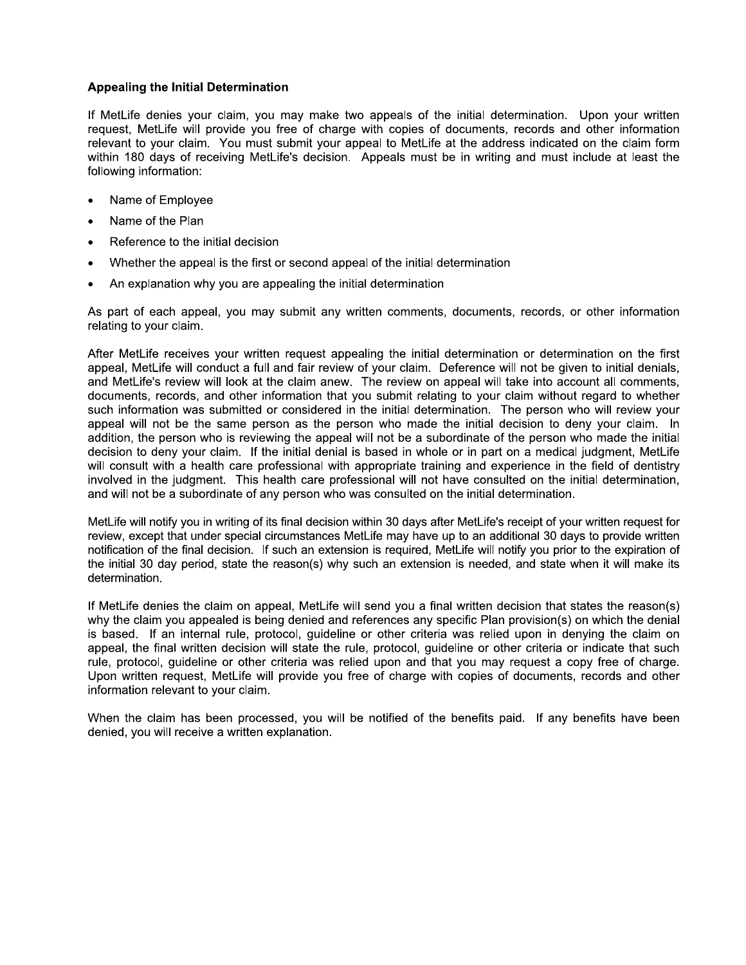## **Appealing the Initial Determination**

If MetLife denies your claim, you may make two appeals of the initial determination. Upon your written request. MetLife will provide you free of charge with copies of documents, records and other information relevant to your claim. You must submit your appeal to MetLife at the address indicated on the claim form within 180 days of receiving MetLife's decision. Appeals must be in writing and must include at least the following information:

- Name of Employee
- Name of the Plan
- Reference to the initial decision
- Whether the appeal is the first or second appeal of the initial determination
- An explanation why you are appealing the initial determination

As part of each appeal, you may submit any written comments, documents, records, or other information relating to your claim.

After MetLife receives your written request appealing the initial determination or determination on the first appeal, MetLife will conduct a full and fair review of your claim. Deference will not be given to initial denials, and MetLife's review will look at the claim anew. The review on appeal will take into account all comments, documents, records, and other information that you submit relating to your claim without regard to whether such information was submitted or considered in the initial determination. The person who will review your appeal will not be the same person as the person who made the initial decision to deny your claim. In addition, the person who is reviewing the appeal will not be a subordinate of the person who made the initial decision to deny your claim. If the initial denial is based in whole or in part on a medical judgment, MetLife will consult with a health care professional with appropriate training and experience in the field of dentistry involved in the judgment. This health care professional will not have consulted on the initial determination, and will not be a subordinate of any person who was consulted on the initial determination.

MetLife will notify you in writing of its final decision within 30 days after MetLife's receipt of your written request for review, except that under special circumstances MetLife may have up to an additional 30 days to provide written notification of the final decision. If such an extension is required, MetLife will notify you prior to the expiration of the initial 30 day period, state the reason(s) why such an extension is needed, and state when it will make its determination.

If MetLife denies the claim on appeal, MetLife will send you a final written decision that states the reason(s) why the claim you appealed is being denied and references any specific Plan provision(s) on which the denial is based. If an internal rule, protocol, guideline or other criteria was relied upon in denying the claim on appeal, the final written decision will state the rule, protocol, guideline or other criteria or indicate that such rule, protocol, guideline or other criteria was relied upon and that you may request a copy free of charge. Upon written request, MetLife will provide you free of charge with copies of documents, records and other information relevant to your claim.

When the claim has been processed, you will be notified of the benefits paid. If any benefits have been denied, you will receive a written explanation.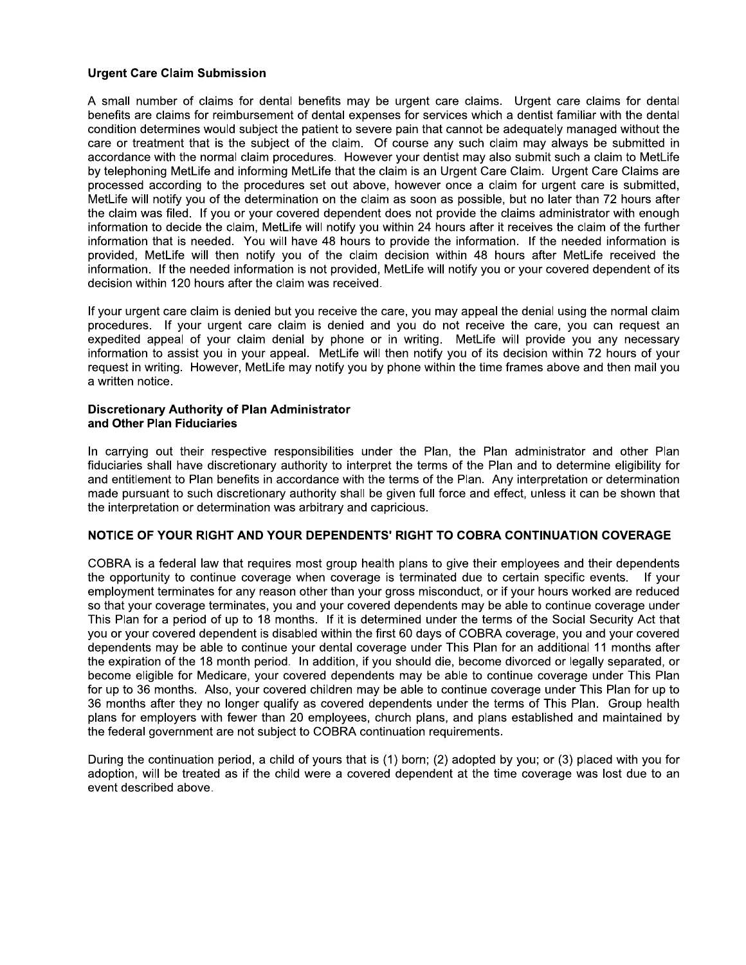## **Urgent Care Claim Submission**

A small number of claims for dental benefits may be urgent care claims. Urgent care claims for dental benefits are claims for reimbursement of dental expenses for services which a dentist familiar with the dental condition determines would subject the patient to severe pain that cannot be adequately managed without the care or treatment that is the subject of the claim. Of course any such claim may always be submitted in accordance with the normal claim procedures. However your dentist may also submit such a claim to MetLife by telephoning MetLife and informing MetLife that the claim is an Urgent Care Claim. Urgent Care Claims are processed according to the procedures set out above, however once a claim for urgent care is submitted, MetLife will notify you of the determination on the claim as soon as possible, but no later than 72 hours after the claim was filed. If you or your covered dependent does not provide the claims administrator with enough information to decide the claim, MetLife will notify you within 24 hours after it receives the claim of the further information that is needed. You will have 48 hours to provide the information. If the needed information is provided, MetLife will then notify you of the claim decision within 48 hours after MetLife received the information. If the needed information is not provided, MetLife will notify you or your covered dependent of its decision within 120 hours after the claim was received.

If your urgent care claim is denied but you receive the care, you may appeal the denial using the normal claim procedures. If your urgent care claim is denied and you do not receive the care, you can request an expedited appeal of your claim denial by phone or in writing. MetLife will provide you any necessary information to assist you in your appeal. MetLife will then notify you of its decision within 72 hours of your request in writing. However, MetLife may notify you by phone within the time frames above and then mail you a written notice.

## **Discretionary Authority of Plan Administrator** and Other Plan Fiduciaries

In carrying out their respective responsibilities under the Plan, the Plan administrator and other Plan fiduciaries shall have discretionary authority to interpret the terms of the Plan and to determine eligibility for and entitlement to Plan benefits in accordance with the terms of the Plan. Any interpretation or determination made pursuant to such discretionary authority shall be given full force and effect, unless it can be shown that the interpretation or determination was arbitrary and capricious.

## NOTICE OF YOUR RIGHT AND YOUR DEPENDENTS' RIGHT TO COBRA CONTINUATION COVERAGE

COBRA is a federal law that requires most group health plans to give their employees and their dependents the opportunity to continue coverage when coverage is terminated due to certain specific events. If your employment terminates for any reason other than your gross misconduct, or if your hours worked are reduced so that your coverage terminates, you and your covered dependents may be able to continue coverage under This Plan for a period of up to 18 months. If it is determined under the terms of the Social Security Act that you or your covered dependent is disabled within the first 60 days of COBRA coverage, you and your covered dependents may be able to continue your dental coverage under This Plan for an additional 11 months after the expiration of the 18 month period. In addition, if you should die, become divorced or legally separated, or become eligible for Medicare, your covered dependents may be able to continue coverage under This Plan for up to 36 months. Also, your covered children may be able to continue coverage under This Plan for up to 36 months after they no longer qualify as covered dependents under the terms of This Plan. Group health plans for employers with fewer than 20 employees, church plans, and plans established and maintained by the federal government are not subject to COBRA continuation requirements.

During the continuation period, a child of yours that is (1) born; (2) adopted by you; or (3) placed with you for adoption, will be treated as if the child were a covered dependent at the time coverage was lost due to an event described above.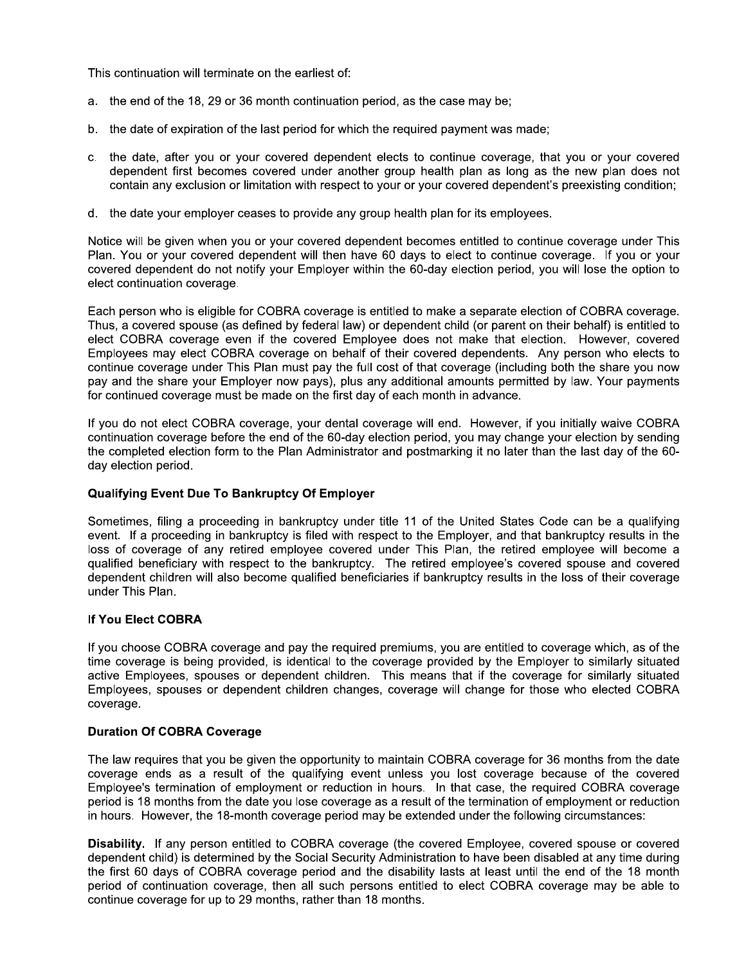This continuation will terminate on the earliest of:

- a. the end of the 18, 29 or 36 month continuation period, as the case may be;
- b. the date of expiration of the last period for which the required payment was made:
- c. the date, after you or your covered dependent elects to continue coverage, that you or your covered dependent first becomes covered under another group health plan as long as the new plan does not contain any exclusion or limitation with respect to your or your covered dependent's preexisting condition;
- d. the date your employer ceases to provide any group health plan for its employees.

Notice will be given when you or your covered dependent becomes entitled to continue coverage under This Plan. You or your covered dependent will then have 60 days to elect to continue coverage. If you or your covered dependent do not notify your Employer within the 60-day election period, you will lose the option to elect continuation coverage.

Each person who is eligible for COBRA coverage is entitled to make a separate election of COBRA coverage. Thus, a covered spouse (as defined by federal law) or dependent child (or parent on their behalf) is entitled to elect COBRA coverage even if the covered Employee does not make that election. However, covered Employees may elect COBRA coverage on behalf of their covered dependents. Any person who elects to continue coverage under This Plan must pay the full cost of that coverage (including both the share you now pay and the share your Employer now pays), plus any additional amounts permitted by law. Your payments for continued coverage must be made on the first day of each month in advance.

If you do not elect COBRA coverage, your dental coverage will end. However, if you initially waive COBRA continuation coverage before the end of the 60-day election period, you may change your election by sending the completed election form to the Plan Administrator and postmarking it no later than the last day of the 60day election period.

# **Qualifying Event Due To Bankruptcy Of Employer**

Sometimes, filing a proceeding in bankruptcy under title 11 of the United States Code can be a qualifying event. If a proceeding in bankruptcy is filed with respect to the Employer, and that bankruptcy results in the loss of coverage of any retired employee covered under This Plan, the retired employee will become a qualified beneficiary with respect to the bankruptcy. The retired employee's covered spouse and covered dependent children will also become qualified beneficiaries if bankruptcy results in the loss of their coverage under This Plan.

## If You Elect COBRA

If you choose COBRA coverage and pay the required premiums, you are entitled to coverage which, as of the time coverage is being provided, is identical to the coverage provided by the Employer to similarly situated active Employees, spouses or dependent children. This means that if the coverage for similarly situated Employees, spouses or dependent children changes, coverage will change for those who elected COBRA coverage.

## **Duration Of COBRA Coverage**

The law requires that you be given the opportunity to maintain COBRA coverage for 36 months from the date coverage ends as a result of the qualifying event unless you lost coverage because of the covered Employee's termination of employment or reduction in hours. In that case, the required COBRA coverage period is 18 months from the date you lose coverage as a result of the termination of employment or reduction in hours. However, the 18-month coverage period may be extended under the following circumstances:

Disability. If any person entitled to COBRA coverage (the covered Employee, covered spouse or covered dependent child) is determined by the Social Security Administration to have been disabled at any time during the first 60 days of COBRA coverage period and the disability lasts at least until the end of the 18 month period of continuation coverage, then all such persons entitled to elect COBRA coverage may be able to continue coverage for up to 29 months, rather than 18 months.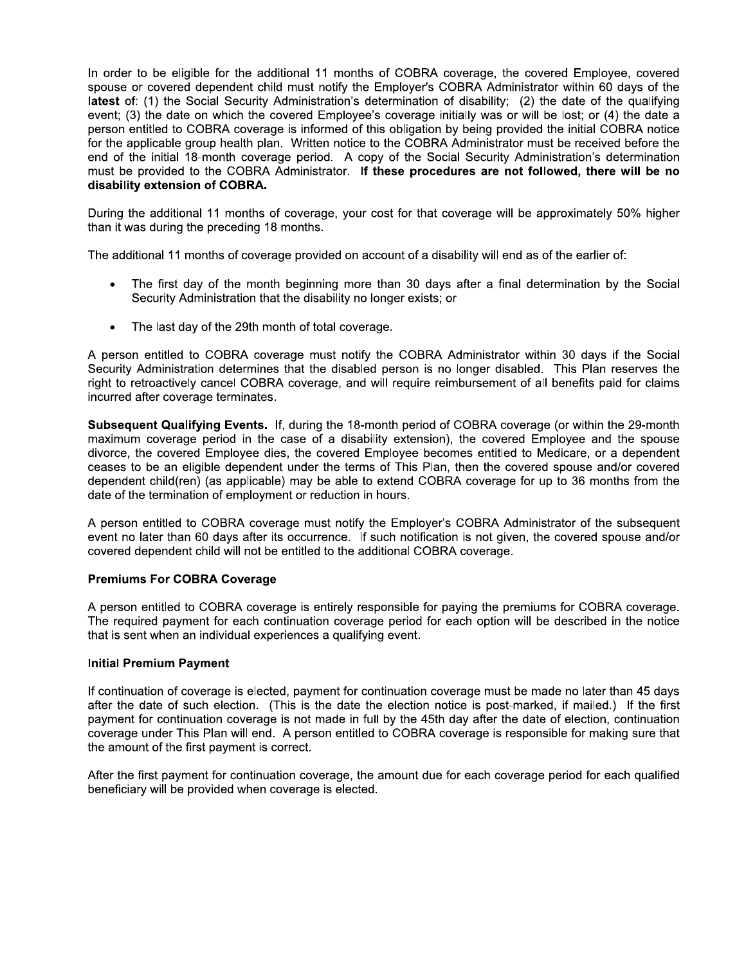In order to be eligible for the additional 11 months of COBRA coverage, the covered Employee, covered spouse or covered dependent child must notify the Employer's COBRA Administrator within 60 days of the latest of: (1) the Social Security Administration's determination of disability; (2) the date of the qualifying event; (3) the date on which the covered Employee's coverage initially was or will be lost; or (4) the date a person entitled to COBRA coverage is informed of this obligation by being provided the initial COBRA notice for the applicable group health plan. Written notice to the COBRA Administrator must be received before the end of the initial 18-month coverage period. A copy of the Social Security Administration's determination must be provided to the COBRA Administrator. If these procedures are not followed, there will be no disability extension of COBRA.

During the additional 11 months of coverage, your cost for that coverage will be approximately 50% higher than it was during the preceding 18 months.

The additional 11 months of coverage provided on account of a disability will end as of the earlier of:

- The first day of the month beginning more than 30 days after a final determination by the Social  $\bullet$ Security Administration that the disability no longer exists; or
- $\bullet$ The last day of the 29th month of total coverage.

A person entitled to COBRA coverage must notify the COBRA Administrator within 30 days if the Social Security Administration determines that the disabled person is no longer disabled. This Plan reserves the right to retroactively cancel COBRA coverage, and will require reimbursement of all benefits paid for claims incurred after coverage terminates.

Subsequent Qualifying Events. If, during the 18-month period of COBRA coverage (or within the 29-month maximum coverage period in the case of a disability extension), the covered Employee and the spouse divorce, the covered Employee dies, the covered Employee becomes entitled to Medicare, or a dependent ceases to be an eligible dependent under the terms of This Plan, then the covered spouse and/or covered dependent child(ren) (as applicable) may be able to extend COBRA coverage for up to 36 months from the date of the termination of employment or reduction in hours.

A person entitled to COBRA coverage must notify the Employer's COBRA Administrator of the subsequent event no later than 60 days after its occurrence. If such notification is not given, the covered spouse and/or covered dependent child will not be entitled to the additional COBRA coverage.

## **Premiums For COBRA Coverage**

A person entitled to COBRA coverage is entirely responsible for paying the premiums for COBRA coverage. The required payment for each continuation coverage period for each option will be described in the notice that is sent when an individual experiences a qualifying event.

#### **Initial Premium Payment**

If continuation of coverage is elected, payment for continuation coverage must be made no later than 45 days after the date of such election. (This is the date the election notice is post-marked, if mailed.) If the first payment for continuation coverage is not made in full by the 45th day after the date of election, continuation coverage under This Plan will end. A person entitled to COBRA coverage is responsible for making sure that the amount of the first payment is correct.

After the first payment for continuation coverage, the amount due for each coverage period for each qualified beneficiary will be provided when coverage is elected.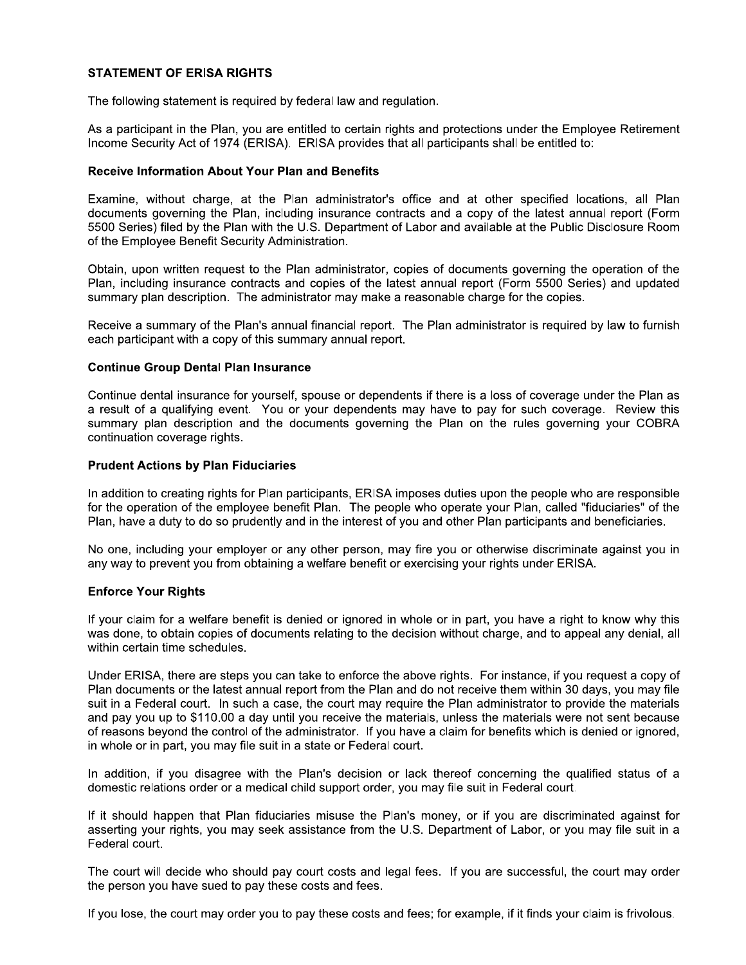# **STATEMENT OF ERISA RIGHTS**

The following statement is required by federal law and regulation.

As a participant in the Plan, you are entitled to certain rights and protections under the Employee Retirement Income Security Act of 1974 (ERISA). ERISA provides that all participants shall be entitled to:

## **Receive Information About Your Plan and Benefits**

Examine, without charge, at the Plan administrator's office and at other specified locations, all Plan documents governing the Plan, including insurance contracts and a copy of the latest annual report (Form 5500 Series) filed by the Plan with the U.S. Department of Labor and available at the Public Disclosure Room of the Employee Benefit Security Administration.

Obtain, upon written request to the Plan administrator, copies of documents governing the operation of the Plan, including insurance contracts and copies of the latest annual report (Form 5500 Series) and updated summary plan description. The administrator may make a reasonable charge for the copies.

Receive a summary of the Plan's annual financial report. The Plan administrator is required by law to furnish each participant with a copy of this summary annual report.

#### **Continue Group Dental Plan Insurance**

Continue dental insurance for yourself, spouse or dependents if there is a loss of coverage under the Plan as a result of a qualifying event. You or your dependents may have to pay for such coverage. Review this summary plan description and the documents governing the Plan on the rules governing your COBRA continuation coverage rights.

#### **Prudent Actions by Plan Fiduciaries**

In addition to creating rights for Plan participants, ERISA imposes duties upon the people who are responsible for the operation of the employee benefit Plan. The people who operate your Plan, called "fiduciaries" of the Plan, have a duty to do so prudently and in the interest of you and other Plan participants and beneficiaries.

No one, including your employer or any other person, may fire you or otherwise discriminate against you in any way to prevent you from obtaining a welfare benefit or exercising your rights under ERISA.

## **Enforce Your Rights**

If your claim for a welfare benefit is denied or ignored in whole or in part, you have a right to know why this was done, to obtain copies of documents relating to the decision without charge, and to appeal any denial, all within certain time schedules.

Under ERISA, there are steps you can take to enforce the above rights. For instance, if you request a copy of Plan documents or the latest annual report from the Plan and do not receive them within 30 days, you may file suit in a Federal court. In such a case, the court may require the Plan administrator to provide the materials and pay you up to \$110.00 a day until you receive the materials, unless the materials were not sent because of reasons beyond the control of the administrator. If you have a claim for benefits which is denied or ignored, in whole or in part, you may file suit in a state or Federal court.

In addition, if you disagree with the Plan's decision or lack thereof concerning the qualified status of a domestic relations order or a medical child support order, you may file suit in Federal court.

If it should happen that Plan fiduciaries misuse the Plan's money, or if you are discriminated against for asserting your rights, you may seek assistance from the U.S. Department of Labor, or you may file suit in a Federal court.

The court will decide who should pay court costs and legal fees. If you are successful, the court may order the person you have sued to pay these costs and fees.

If you lose, the court may order you to pay these costs and fees; for example, if it finds your claim is frivolous.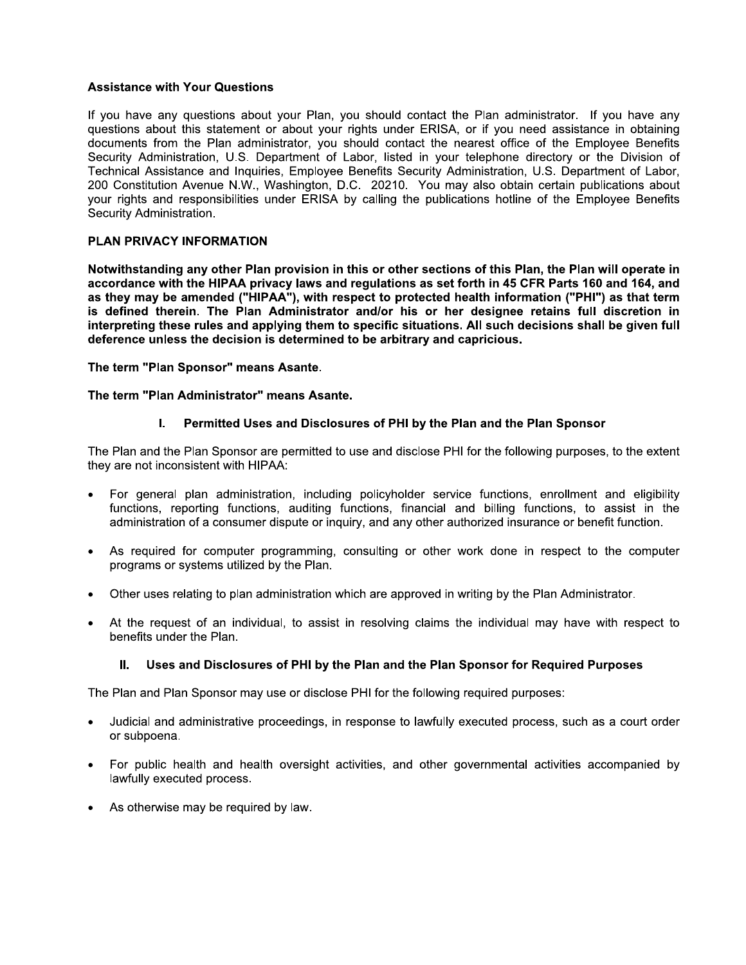## **Assistance with Your Questions**

If you have any questions about your Plan, you should contact the Plan administrator. If you have any questions about this statement or about your rights under ERISA, or if you need assistance in obtaining documents from the Plan administrator, you should contact the nearest office of the Employee Benefits Security Administration, U.S. Department of Labor, listed in your telephone directory or the Division of Technical Assistance and Inquiries, Employee Benefits Security Administration, U.S. Department of Labor, 200 Constitution Avenue N.W., Washington, D.C. 20210. You may also obtain certain publications about your rights and responsibilities under ERISA by calling the publications hotline of the Employee Benefits Security Administration.

# PLAN PRIVACY INFORMATION

Notwithstanding any other Plan provision in this or other sections of this Plan, the Plan will operate in accordance with the HIPAA privacy laws and regulations as set forth in 45 CFR Parts 160 and 164, and as they may be amended ("HIPAA"), with respect to protected health information ("PHI") as that term is defined therein. The Plan Administrator and/or his or her designee retains full discretion in interpreting these rules and applying them to specific situations. All such decisions shall be given full deference unless the decision is determined to be arbitrary and capricious.

#### The term "Plan Sponsor" means Asante.

The term "Plan Administrator" means Asante.

#### Permitted Uses and Disclosures of PHI by the Plan and the Plan Sponsor  $\mathbf{L}$

The Plan and the Plan Sponsor are permitted to use and disclose PHI for the following purposes, to the extent they are not inconsistent with HIPAA:

- For general plan administration, including policyholder service functions, enrollment and eligibility functions, reporting functions, auditing functions, financial and billing functions, to assist in the administration of a consumer dispute or inquiry, and any other authorized insurance or benefit function.
- As required for computer programming, consulting or other work done in respect to the computer programs or systems utilized by the Plan.
- Other uses relating to plan administration which are approved in writing by the Plan Administrator.  $\bullet$
- At the request of an individual, to assist in resolving claims the individual may have with respect to benefits under the Plan.

#### Uses and Disclosures of PHI by the Plan and the Plan Sponsor for Required Purposes П.

The Plan and Plan Sponsor may use or disclose PHI for the following required purposes:

- Judicial and administrative proceedings, in response to lawfully executed process, such as a court order or subpoena.
- For public health and health oversight activities, and other governmental activities accompanied by lawfully executed process.
- As otherwise may be required by law.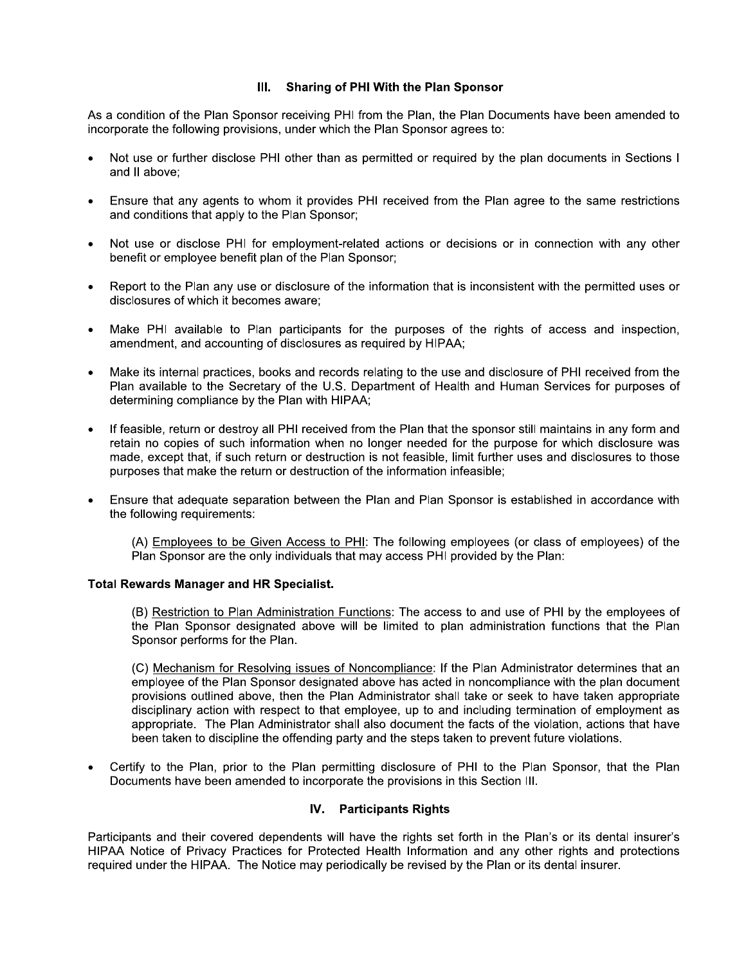#### Ш. **Sharing of PHI With the Plan Sponsor**

As a condition of the Plan Sponsor receiving PHI from the Plan, the Plan Documents have been amended to incorporate the following provisions, under which the Plan Sponsor agrees to:

- Not use or further disclose PHI other than as permitted or required by the plan documents in Sections I and II above:
- Ensure that any agents to whom it provides PHI received from the Plan agree to the same restrictions and conditions that apply to the Plan Sponsor;
- Not use or disclose PHI for employment-related actions or decisions or in connection with any other benefit or employee benefit plan of the Plan Sponsor;
- Report to the Plan any use or disclosure of the information that is inconsistent with the permitted uses or disclosures of which it becomes aware;
- Make PHI available to Plan participants for the purposes of the rights of access and inspection, amendment, and accounting of disclosures as required by HIPAA;
- Make its internal practices, books and records relating to the use and disclosure of PHI received from the Plan available to the Secretary of the U.S. Department of Health and Human Services for purposes of determining compliance by the Plan with HIPAA;
- If feasible, return or destroy all PHI received from the Plan that the sponsor still maintains in any form and retain no copies of such information when no longer needed for the purpose for which disclosure was made, except that, if such return or destruction is not feasible, limit further uses and disclosures to those purposes that make the return or destruction of the information infeasible;
- Ensure that adequate separation between the Plan and Plan Sponsor is established in accordance with the following requirements:

(A) Employees to be Given Access to PHI: The following employees (or class of employees) of the Plan Sponsor are the only individuals that may access PHI provided by the Plan:

## **Total Rewards Manager and HR Specialist.**

(B) Restriction to Plan Administration Functions: The access to and use of PHI by the employees of the Plan Sponsor designated above will be limited to plan administration functions that the Plan Sponsor performs for the Plan.

(C) Mechanism for Resolving issues of Noncompliance: If the Plan Administrator determines that an employee of the Plan Sponsor designated above has acted in noncompliance with the plan document provisions outlined above, then the Plan Administrator shall take or seek to have taken appropriate disciplinary action with respect to that employee, up to and including termination of employment as appropriate. The Plan Administrator shall also document the facts of the violation, actions that have been taken to discipline the offending party and the steps taken to prevent future violations.

Certify to the Plan, prior to the Plan permitting disclosure of PHI to the Plan Sponsor, that the Plan Documents have been amended to incorporate the provisions in this Section III.

# **IV.** Participants Rights

Participants and their covered dependents will have the rights set forth in the Plan's or its dental insurer's HIPAA Notice of Privacy Practices for Protected Health Information and any other rights and protections required under the HIPAA. The Notice may periodically be revised by the Plan or its dental insurer.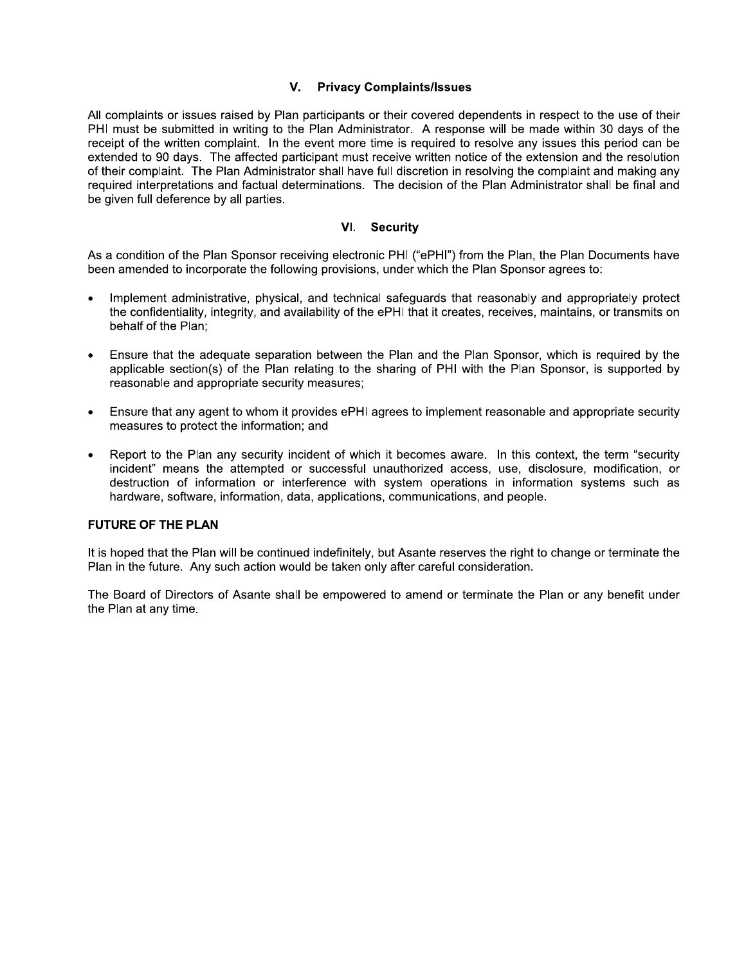# V. Privacy Complaints/Issues

All complaints or issues raised by Plan participants or their covered dependents in respect to the use of their PHI must be submitted in writing to the Plan Administrator. A response will be made within 30 days of the receipt of the written complaint. In the event more time is required to resolve any issues this period can be extended to 90 days. The affected participant must receive written notice of the extension and the resolution of their complaint. The Plan Administrator shall have full discretion in resolving the complaint and making any required interpretations and factual determinations. The decision of the Plan Administrator shall be final and be given full deference by all parties.

## VI. Security

As a condition of the Plan Sponsor receiving electronic PHI ("ePHI") from the Plan, the Plan Documents have been amended to incorporate the following provisions, under which the Plan Sponsor agrees to:

- Implement administrative, physical, and technical safeguards that reasonably and appropriately protect the confidentiality, integrity, and availability of the ePHI that it creates, receives, maintains, or transmits on behalf of the Plan;
- Ensure that the adequate separation between the Plan and the Plan Sponsor, which is required by the applicable section(s) of the Plan relating to the sharing of PHI with the Plan Sponsor, is supported by reasonable and appropriate security measures;
- Ensure that any agent to whom it provides ePHI agrees to implement reasonable and appropriate security measures to protect the information; and
- Report to the Plan any security incident of which it becomes aware. In this context, the term "security incident" means the attempted or successful unauthorized access, use, disclosure, modification, or destruction of information or interference with system operations in information systems such as hardware, software, information, data, applications, communications, and people.

## **FUTURE OF THE PLAN**

It is hoped that the Plan will be continued indefinitely, but Asante reserves the right to change or terminate the Plan in the future. Any such action would be taken only after careful consideration.

The Board of Directors of Asante shall be empowered to amend or terminate the Plan or any benefit under the Plan at any time.